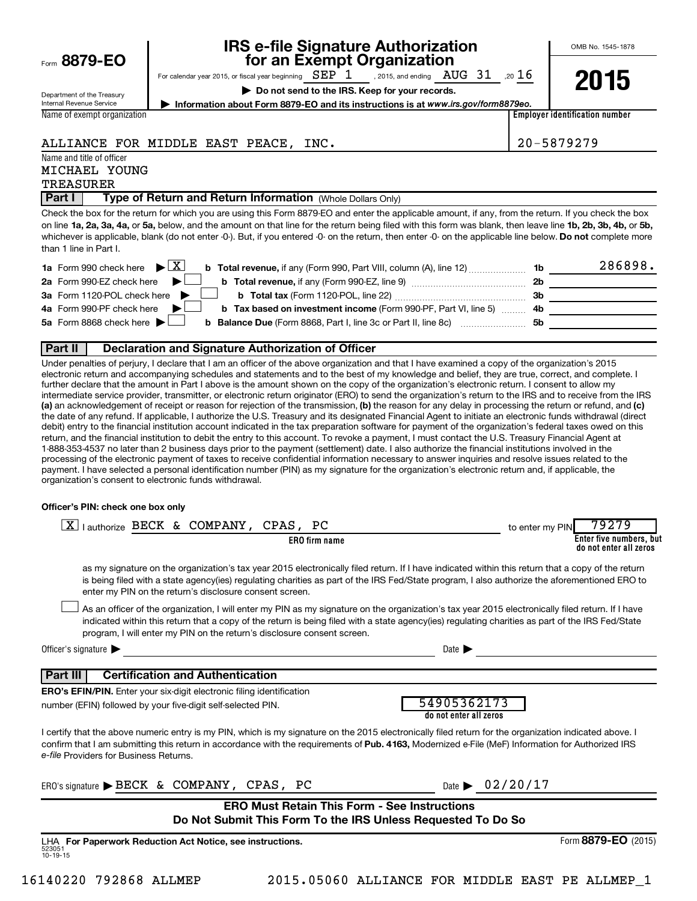|  |  | Form 8879-EO |
|--|--|--------------|
|--|--|--------------|

# **IRS e-file Signature Authorization**<br>**687 For an Exempt Organization**

OMB No. 1545-1878

For calendar year 2015, or fiscal year beginning  $\text{SEP}$  1 , 2015, and ending  $\,$  AUG  $\,$  31  $\,$  ,20  $16$ 

**| Do not send to the IRS. Keep for your records.**



Department of the Treasury Internal Revenue Service Name of exempt organization

**| Information about Form 8879-EO and its instructions is at**  *www.irs.gov/form8879eo.*

**Employer identification number**

## ALLIANCE FOR MIDDLE EAST PEACE, INC. 20-5879279

Name and title of officer

MICHAEL YOUNG

## TREASURER

**Part I** | Type of Return and Return Information (Whole Dollars Only)

on line 1a, 2a, 3a, 4a, or 5a, below, and the amount on that line for the return being filed with this form was blank, then leave line 1b, 2b, 3b, 4b, or 5b, whichever is applicable, blank (do not enter -0-). But, if you entered -0- on the return, then enter -0- on the applicable line below. **Do not** complete more Check the box for the return for which you are using this Form 8879-EO and enter the applicable amount, if any, from the return. If you check the box than 1 line in Part I.

| <b>1a</b> Form 990 check here $\triangleright$ $\boxed{X}$                                                                           |     | 286898. |
|--------------------------------------------------------------------------------------------------------------------------------------|-----|---------|
| 2a Form 990-EZ check here $\blacktriangleright$<br><b>b</b> Total revenue, if any (Form 990-EZ, line 9) <i>manageranan</i> manageran | 2b  |         |
| 3a Form 1120-POL check here                                                                                                          | -3b |         |
| 4a Form 990-PF check here<br><b>b</b> Tax based on investment income (Form 990-PF, Part VI, line 5) 4b                               |     |         |
| 5a Form 8868 check here $\blacktriangleright$<br><b>b Balance Due</b> (Form 8868, Part I, line 3c or Part II, line 8c)               | .5b |         |
|                                                                                                                                      |     |         |

### **Part II Declaration and Signature Authorization of Officer**

(a) an acknowledgement of receipt or reason for rejection of the transmission, (b) the reason for any delay in processing the return or refund, and (c) Under penalties of perjury, I declare that I am an officer of the above organization and that I have examined a copy of the organization's 2015 electronic return and accompanying schedules and statements and to the best of my knowledge and belief, they are true, correct, and complete. I further declare that the amount in Part I above is the amount shown on the copy of the organization's electronic return. I consent to allow my intermediate service provider, transmitter, or electronic return originator (ERO) to send the organization's return to the IRS and to receive from the IRS the date of any refund. If applicable, I authorize the U.S. Treasury and its designated Financial Agent to initiate an electronic funds withdrawal (direct debit) entry to the financial institution account indicated in the tax preparation software for payment of the organization's federal taxes owed on this return, and the financial institution to debit the entry to this account. To revoke a payment, I must contact the U.S. Treasury Financial Agent at 1-888-353-4537 no later than 2 business days prior to the payment (settlement) date. I also authorize the financial institutions involved in the processing of the electronic payment of taxes to receive confidential information necessary to answer inquiries and resolve issues related to the payment. I have selected a personal identification number (PIN) as my signature for the organization's electronic return and, if applicable, the organization's consent to electronic funds withdrawal.

#### **Officer's PIN: check one box only**

| lauthorize BECK & COMPANY, CPAS, PC<br><b>ERO</b> firm name                                                                                                                                                                                                                                                                                                                      | 79279<br>to enter my PIN<br>Enter five numbers, but<br>do not enter all zeros |
|----------------------------------------------------------------------------------------------------------------------------------------------------------------------------------------------------------------------------------------------------------------------------------------------------------------------------------------------------------------------------------|-------------------------------------------------------------------------------|
| as my signature on the organization's tax year 2015 electronically filed return. If I have indicated within this return that a copy of the return<br>is being filed with a state agency(ies) regulating charities as part of the IRS Fed/State program, I also authorize the aforementioned ERO to<br>enter my PIN on the return's disclosure consent screen.                    |                                                                               |
| As an officer of the organization, I will enter my PIN as my signature on the organization's tax year 2015 electronically filed return. If I have<br>indicated within this return that a copy of the return is being filed with a state agency(ies) regulating charities as part of the IRS Fed/State<br>program, I will enter my PIN on the return's disclosure consent screen. |                                                                               |
| Officer's signature $\blacktriangleright$<br>Date $\blacktriangleright$                                                                                                                                                                                                                                                                                                          |                                                                               |
| <b>Certification and Authentication</b><br><b>Part III</b>                                                                                                                                                                                                                                                                                                                       |                                                                               |
| <b>ERO's EFIN/PIN.</b> Enter your six-digit electronic filing identification<br>54905362173<br>number (EFIN) followed by your five-digit self-selected PIN.<br>do not enter all zeros                                                                                                                                                                                            |                                                                               |
| I certify that the above numeric entry is my PIN, which is my signature on the 2015 electronically filed return for the organization indicated above. I<br>confirm that I am submitting this return in accordance with the requirements of Pub. 4163, Modernized e-File (MeF) Information for Authorized IRS<br>e-file Providers for Business Returns.                           |                                                                               |
| Date $\triangleright$ 02/20/17<br>ERO's signature $\triangleright$ BECK & COMPANY, CPAS, PC                                                                                                                                                                                                                                                                                      |                                                                               |
| <b>ERO Must Retain This Form - See Instructions</b><br>Do Not Submit This Form To the IRS Unless Requested To Do So                                                                                                                                                                                                                                                              |                                                                               |
| LHA For Paperwork Reduction Act Notice, see instructions.<br>523051<br>$10 - 19 - 15$                                                                                                                                                                                                                                                                                            | Form 8879-EO (2015)                                                           |

16140220 792868 ALLMEP 2015.05060 ALLIANCE FOR MIDDLE EAST PE ALLMEP\_1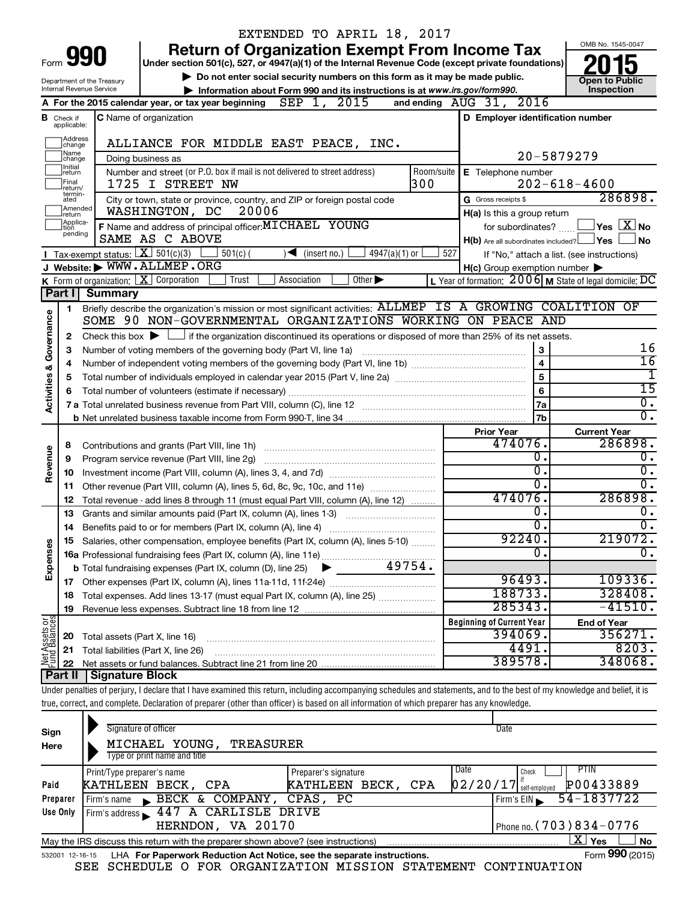|                                |                               |                                             |                                                                 |                                                                                           |                  | EXTENDED TO APRIL 18, 2017                                                                                                                 |            |                                                                                                                                           |                                                                                                                                                                            |
|--------------------------------|-------------------------------|---------------------------------------------|-----------------------------------------------------------------|-------------------------------------------------------------------------------------------|------------------|--------------------------------------------------------------------------------------------------------------------------------------------|------------|-------------------------------------------------------------------------------------------------------------------------------------------|----------------------------------------------------------------------------------------------------------------------------------------------------------------------------|
|                                |                               |                                             |                                                                 |                                                                                           |                  |                                                                                                                                            |            | <b>Return of Organization Exempt From Income Tax</b>                                                                                      | OMB No. 1545-0047                                                                                                                                                          |
| Form                           |                               |                                             |                                                                 |                                                                                           |                  |                                                                                                                                            |            | Under section 501(c), 527, or 4947(a)(1) of the Internal Revenue Code (except private foundations)                                        |                                                                                                                                                                            |
|                                |                               | Department of the Treasury                  |                                                                 |                                                                                           |                  | Do not enter social security numbers on this form as it may be made public.                                                                |            |                                                                                                                                           | <b>Open to Public</b>                                                                                                                                                      |
|                                |                               | <b>Internal Revenue Service</b>             |                                                                 |                                                                                           |                  | Information about Form 990 and its instructions is at www.irs.gov/form990.                                                                 |            |                                                                                                                                           | Inspection                                                                                                                                                                 |
|                                |                               |                                             |                                                                 | A For the 2015 calendar year, or tax year beginning $\overline{SEP}$ 1, $\overline{2015}$ |                  |                                                                                                                                            |            | and ending $\Delta UG$ 31, 2016                                                                                                           |                                                                                                                                                                            |
|                                | <b>B</b> Check if applicable: |                                             | <b>C</b> Name of organization                                   |                                                                                           |                  |                                                                                                                                            |            | D Employer identification number                                                                                                          |                                                                                                                                                                            |
|                                | Address<br> change            |                                             |                                                                 |                                                                                           |                  | ALLIANCE FOR MIDDLE EAST PEACE, INC.                                                                                                       |            |                                                                                                                                           |                                                                                                                                                                            |
|                                | Name<br>change                |                                             | Doing business as                                               |                                                                                           |                  |                                                                                                                                            |            |                                                                                                                                           | 20-5879279                                                                                                                                                                 |
|                                | Initial<br>∣return            |                                             |                                                                 | Number and street (or P.O. box if mail is not delivered to street address)                |                  |                                                                                                                                            | Room/suite | E Telephone number                                                                                                                        |                                                                                                                                                                            |
|                                | Final<br>return/              |                                             | 1725 I STREET NW                                                |                                                                                           |                  |                                                                                                                                            | 300        |                                                                                                                                           | $202 - 618 - 4600$                                                                                                                                                         |
|                                | termin-<br>ated               |                                             |                                                                 |                                                                                           |                  | City or town, state or province, country, and ZIP or foreign postal code                                                                   |            | G Gross receipts \$                                                                                                                       | 286898.                                                                                                                                                                    |
|                                | Amended<br>Ireturn            |                                             | WASHINGTON, DC                                                  | 20006                                                                                     |                  |                                                                                                                                            |            | H(a) Is this a group return                                                                                                               |                                                                                                                                                                            |
|                                | Applica-<br>Ition             |                                             |                                                                 | F Name and address of principal officer: MICHAEL YOUNG                                    |                  |                                                                                                                                            |            | for subordinates?                                                                                                                         | $\sqrt{\mathsf{Yes}\mathord{\;\mathbb{X}}\mathord{\;\mathsf{No}}}$                                                                                                         |
|                                | pending                       |                                             | SAME AS C ABOVE                                                 |                                                                                           |                  |                                                                                                                                            |            | $H(b)$ Are all subordinates included? $\Box$ Yes                                                                                          | l No                                                                                                                                                                       |
|                                |                               | <b>I</b> Tax-exempt status: $X \ 501(c)(3)$ |                                                                 | $501(c)$ (                                                                                |                  | $\sqrt{\frac{1}{1}}$ (insert no.)<br>$4947(a)(1)$ or                                                                                       |            | 527                                                                                                                                       | If "No," attach a list. (see instructions)                                                                                                                                 |
|                                |                               |                                             | J Website: WWW.ALLMEP.ORG                                       |                                                                                           |                  |                                                                                                                                            |            | $H(c)$ Group exemption number $\blacktriangleright$                                                                                       |                                                                                                                                                                            |
|                                |                               |                                             | <b>K</b> Form of organization: $\boxed{\mathbf{X}}$ Corporation | Trust                                                                                     | Association      | Other $\blacktriangleright$                                                                                                                |            |                                                                                                                                           | L Year of formation: $2006$ M State of legal domicile: DC                                                                                                                  |
|                                | Part I                        | Summary                                     |                                                                 |                                                                                           |                  |                                                                                                                                            |            |                                                                                                                                           |                                                                                                                                                                            |
|                                | 1.                            |                                             |                                                                 |                                                                                           |                  |                                                                                                                                            |            |                                                                                                                                           | Briefly describe the organization's mission or most significant activities: ALLMEP IS A GROWING COALITION OF                                                               |
|                                |                               |                                             |                                                                 |                                                                                           |                  |                                                                                                                                            |            | SOME 90 NON-GOVERNMENTAL ORGANIZATIONS WORKING ON PEACE AND                                                                               |                                                                                                                                                                            |
| Governance                     | 2                             |                                             |                                                                 |                                                                                           |                  |                                                                                                                                            |            | Check this box $\blacktriangleright \Box$ if the organization discontinued its operations or disposed of more than 25% of its net assets. |                                                                                                                                                                            |
|                                | 3                             |                                             |                                                                 | Number of voting members of the governing body (Part VI, line 1a)                         |                  |                                                                                                                                            |            | 3                                                                                                                                         | 16<br>$\overline{16}$                                                                                                                                                      |
|                                | 4                             | $\overline{4}$                              |                                                                 |                                                                                           |                  |                                                                                                                                            |            |                                                                                                                                           |                                                                                                                                                                            |
|                                | 5                             |                                             |                                                                 |                                                                                           |                  |                                                                                                                                            |            | 5<br>$\overline{6}$                                                                                                                       | $\overline{15}$                                                                                                                                                            |
| <b>Activities &amp;</b>        |                               |                                             |                                                                 |                                                                                           |                  |                                                                                                                                            |            |                                                                                                                                           | $\overline{0}$ .                                                                                                                                                           |
|                                |                               |                                             |                                                                 |                                                                                           |                  |                                                                                                                                            |            | 7a<br>7b                                                                                                                                  | σ.                                                                                                                                                                         |
|                                |                               |                                             |                                                                 |                                                                                           |                  |                                                                                                                                            |            |                                                                                                                                           |                                                                                                                                                                            |
|                                |                               |                                             |                                                                 |                                                                                           |                  |                                                                                                                                            |            | <b>Prior Year</b><br>474076.                                                                                                              | <b>Current Year</b><br>286898.                                                                                                                                             |
|                                | 8<br>9                        |                                             | Program service revenue (Part VIII, line 2g)                    |                                                                                           |                  |                                                                                                                                            |            | 0.                                                                                                                                        | $\overline{0}$ .                                                                                                                                                           |
| Revenue                        | 10                            |                                             |                                                                 |                                                                                           |                  |                                                                                                                                            |            | σ.                                                                                                                                        | Ο.                                                                                                                                                                         |
|                                | 11                            |                                             |                                                                 |                                                                                           |                  | Other revenue (Part VIII, column (A), lines 5, 6d, 8c, 9c, 10c, and 11e)                                                                   |            | $\overline{0}$ .                                                                                                                          | 0.                                                                                                                                                                         |
|                                | 12                            |                                             |                                                                 |                                                                                           |                  | Total revenue - add lines 8 through 11 (must equal Part VIII, column (A), line 12)                                                         |            | 474076.                                                                                                                                   | 286898.                                                                                                                                                                    |
|                                | 13                            |                                             |                                                                 |                                                                                           |                  | Grants and similar amounts paid (Part IX, column (A), lines 1-3)                                                                           |            | 0.                                                                                                                                        | о.                                                                                                                                                                         |
|                                | 14                            |                                             |                                                                 | Benefits paid to or for members (Part IX, column (A), line 4)                             |                  |                                                                                                                                            |            | $\overline{0}$ .                                                                                                                          | Ο.                                                                                                                                                                         |
|                                |                               |                                             |                                                                 |                                                                                           |                  | 15 Salaries, other compensation, employee benefits (Part IX, column (A), lines 5-10)                                                       |            | 92240.                                                                                                                                    | 219072.                                                                                                                                                                    |
|                                |                               |                                             |                                                                 |                                                                                           |                  |                                                                                                                                            |            | 0.                                                                                                                                        | Ο.                                                                                                                                                                         |
| Expenses                       |                               |                                             |                                                                 | <b>b</b> Total fundraising expenses (Part IX, column (D), line 25)                        |                  |                                                                                                                                            | 49754.     |                                                                                                                                           |                                                                                                                                                                            |
|                                |                               |                                             |                                                                 |                                                                                           |                  |                                                                                                                                            |            | 96493.                                                                                                                                    | 109336.                                                                                                                                                                    |
|                                | 18                            |                                             |                                                                 |                                                                                           |                  | Total expenses. Add lines 13-17 (must equal Part IX, column (A), line 25)                                                                  |            | 188733.                                                                                                                                   | 328408.                                                                                                                                                                    |
|                                | 19                            |                                             |                                                                 |                                                                                           |                  |                                                                                                                                            |            | 285343.                                                                                                                                   | $-41510.$                                                                                                                                                                  |
| Net Assets or<br>Fund Balances |                               |                                             |                                                                 |                                                                                           |                  |                                                                                                                                            |            | <b>Beginning of Current Year</b>                                                                                                          | <b>End of Year</b>                                                                                                                                                         |
|                                | 20                            |                                             | Total assets (Part X, line 16)                                  |                                                                                           |                  |                                                                                                                                            |            | 394069.                                                                                                                                   | 356271.                                                                                                                                                                    |
|                                | 21                            |                                             | Total liabilities (Part X, line 26)                             |                                                                                           |                  |                                                                                                                                            |            | 4491.                                                                                                                                     | 8203.                                                                                                                                                                      |
|                                | 22                            |                                             |                                                                 |                                                                                           |                  |                                                                                                                                            |            | 389578.                                                                                                                                   | 348068.                                                                                                                                                                    |
|                                | Part II                       | <b>Signature Block</b>                      |                                                                 |                                                                                           |                  |                                                                                                                                            |            |                                                                                                                                           |                                                                                                                                                                            |
|                                |                               |                                             |                                                                 |                                                                                           |                  |                                                                                                                                            |            |                                                                                                                                           | Under penalties of perjury, I declare that I have examined this return, including accompanying schedules and statements, and to the best of my knowledge and belief, it is |
|                                |                               |                                             |                                                                 |                                                                                           |                  | true, correct, and complete. Declaration of preparer (other than officer) is based on all information of which preparer has any knowledge. |            |                                                                                                                                           |                                                                                                                                                                            |
|                                |                               |                                             | Signature of officer                                            |                                                                                           |                  |                                                                                                                                            |            | Date                                                                                                                                      |                                                                                                                                                                            |
| Sign                           |                               |                                             |                                                                 |                                                                                           | <b>TREASURER</b> |                                                                                                                                            |            |                                                                                                                                           |                                                                                                                                                                            |
| Here                           |                               |                                             | MICHAEL YOUNG,<br>Type or print name and title                  |                                                                                           |                  |                                                                                                                                            |            |                                                                                                                                           |                                                                                                                                                                            |
|                                |                               | Print/Type preparer's name                  |                                                                 |                                                                                           |                  | Preparer's signature                                                                                                                       |            | Date<br>Check                                                                                                                             | PTIN                                                                                                                                                                       |
| Paid                           |                               |                                             | KATHLEEN BECK, CPA                                              |                                                                                           |                  | KATHLEEN BECK, CPA                                                                                                                         |            | $02/20/17$ self-employed                                                                                                                  | P00433889                                                                                                                                                                  |
|                                |                               |                                             |                                                                 |                                                                                           |                  |                                                                                                                                            |            |                                                                                                                                           |                                                                                                                                                                            |

| Preparer | BECK & COMPANY, CPAS, PC<br>Firm's name                                           | 54-1837722<br>Firm's $EIN$ |
|----------|-----------------------------------------------------------------------------------|----------------------------|
| Use Only | I Firm's address 1447 A CARLISLE DRIVE                                            |                            |
|          | HERNDON, VA 20170                                                                 | I Phone no. (703) 834-0776 |
|          | May the IRS discuss this return with the preparer shown above? (see instructions) | Yes<br>No<br>A             |
|          | .                                                                                 | $000 \times 10^{-1}$       |

| 532001 12-16-15 LHA For Paperwork Reduction Act Notice, see the separate instructions. |  | Form 990 (2015)                                                |  |  |  |  |  |
|----------------------------------------------------------------------------------------|--|----------------------------------------------------------------|--|--|--|--|--|
|                                                                                        |  | SEE SCHEDULE O FOR ORGANIZATION MISSION STATEMENT CONTINUATION |  |  |  |  |  |

**990**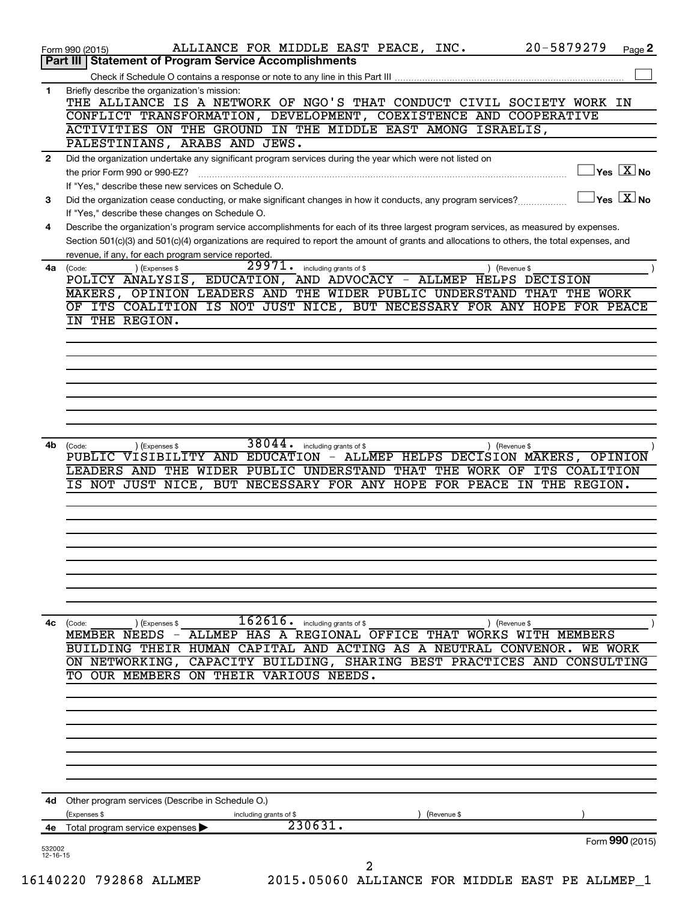|              | 20-5879279<br>ALLIANCE FOR MIDDLE EAST PEACE, INC.<br>Page 2<br>Form 990 (2015)<br>Part III   Statement of Program Service Accomplishments                                                         |
|--------------|----------------------------------------------------------------------------------------------------------------------------------------------------------------------------------------------------|
|              |                                                                                                                                                                                                    |
|              |                                                                                                                                                                                                    |
| 1            | Briefly describe the organization's mission:<br>THE ALLIANCE IS A NETWORK OF NGO'S THAT CONDUCT CIVIL SOCIETY WORK IN                                                                              |
|              | CONFLICT TRANSFORMATION, DEVELOPMENT, COEXISTENCE AND COOPERATIVE                                                                                                                                  |
|              | ACTIVITIES ON THE GROUND IN THE MIDDLE EAST AMONG ISRAELIS,<br>PALESTINIANS, ARABS AND JEWS.                                                                                                       |
| $\mathbf{2}$ | Did the organization undertake any significant program services during the year which were not listed on                                                                                           |
|              | $\sqrt{\mathsf{Yes}\ \mathbf{X}}$ No<br>the prior Form 990 or 990-EZ?                                                                                                                              |
|              | If "Yes," describe these new services on Schedule O.<br>$\left\vert \mathsf{Yes}\right\vert$ $\left\vert \mathsf{X}\right\vert$ No                                                                 |
| 3            | Did the organization cease conducting, or make significant changes in how it conducts, any program services?<br>If "Yes," describe these changes on Schedule O.                                    |
| 4            | Describe the organization's program service accomplishments for each of its three largest program services, as measured by expenses.                                                               |
|              | Section 501(c)(3) and 501(c)(4) organizations are required to report the amount of grants and allocations to others, the total expenses, and<br>revenue, if any, for each program service reported |
|              | 29971.<br>including grants of \$<br>) (Expenses \$<br>4a (Code:<br>) (Revenue \$                                                                                                                   |
|              | POLICY ANALYSIS, EDUCATION, AND ADVOCACY - ALLMEP HELPS DECISION                                                                                                                                   |
|              | MAKERS, OPINION LEADERS AND THE WIDER PUBLIC UNDERSTAND THAT THE WORK                                                                                                                              |
|              | OF ITS COALITION IS NOT JUST NICE, BUT NECESSARY FOR ANY HOPE FOR PEACE<br>IN THE REGION.                                                                                                          |
|              |                                                                                                                                                                                                    |
|              |                                                                                                                                                                                                    |
|              |                                                                                                                                                                                                    |
|              |                                                                                                                                                                                                    |
|              |                                                                                                                                                                                                    |
|              |                                                                                                                                                                                                    |
|              |                                                                                                                                                                                                    |
| 4b           | 38044.<br>including grants of \$<br>) (Expenses \$<br>) (Revenue \$<br>(Code:                                                                                                                      |
|              | PUBLIC VISIBILITY AND EDUCATION - ALLMEP HELPS DECISION MAKERS, OPINION                                                                                                                            |
|              | LEADERS AND THE WIDER PUBLIC UNDERSTAND THAT THE WORK OF ITS COALITION                                                                                                                             |
|              | IS NOT JUST NICE, BUT NECESSARY FOR ANY HOPE FOR PEACE IN THE REGION.                                                                                                                              |
|              |                                                                                                                                                                                                    |
|              |                                                                                                                                                                                                    |
|              |                                                                                                                                                                                                    |
|              |                                                                                                                                                                                                    |
|              |                                                                                                                                                                                                    |
|              |                                                                                                                                                                                                    |
|              |                                                                                                                                                                                                    |
|              | $\overline{1}62616$ . including grants of \$<br>4c (Code:<br>(Expenses \$<br>) (Revenue \$                                                                                                         |
|              | MEMBER NEEDS - ALLMEP HAS A REGIONAL OFFICE THAT WORKS WITH MEMBERS                                                                                                                                |
|              | BUILDING THEIR HUMAN CAPITAL AND ACTING AS A NEUTRAL CONVENOR. WE WORK<br>ON NETWORKING, CAPACITY BUILDING, SHARING BEST PRACTICES AND CONSULTING                                                  |
|              | TO OUR MEMBERS ON THEIR VARIOUS NEEDS.                                                                                                                                                             |
|              |                                                                                                                                                                                                    |
|              |                                                                                                                                                                                                    |
|              |                                                                                                                                                                                                    |
|              |                                                                                                                                                                                                    |
|              |                                                                                                                                                                                                    |
|              |                                                                                                                                                                                                    |
| 4d           | Other program services (Describe in Schedule O.)                                                                                                                                                   |
|              | (Expenses \$<br>including grants of \$<br>(Revenue \$                                                                                                                                              |
|              |                                                                                                                                                                                                    |
|              | 230631.<br>Total program service expenses ▶<br>Form 990 (2015)                                                                                                                                     |
| 4е           |                                                                                                                                                                                                    |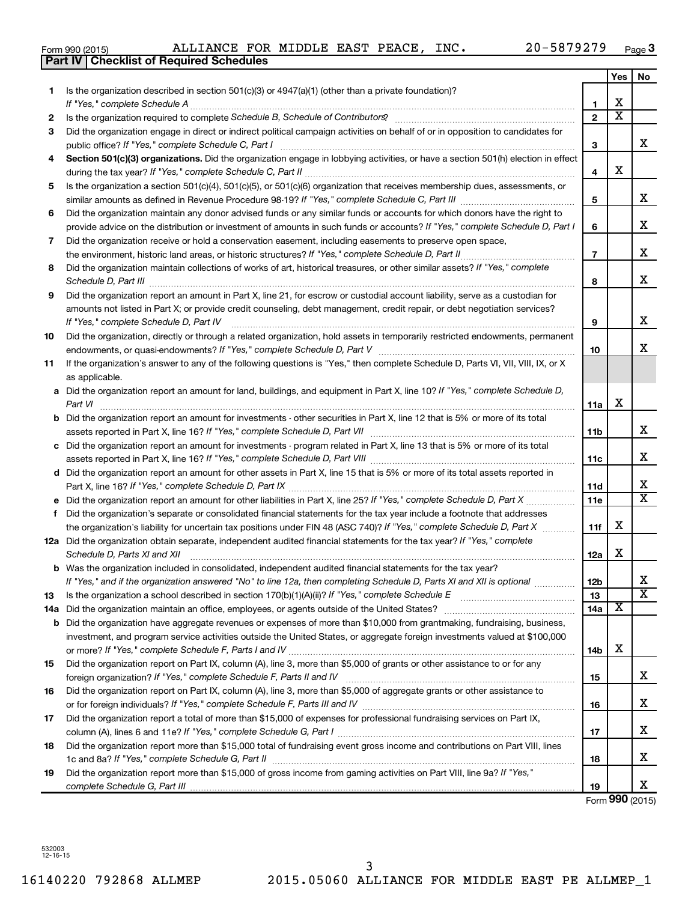| Form 990 (2015 |  |  |
|----------------|--|--|
|                |  |  |

|     | <b>Part IV   Checklist of Required Schedules</b>                                                                                                                                                                                                                                                                                                                     |                 |                         |                         |
|-----|----------------------------------------------------------------------------------------------------------------------------------------------------------------------------------------------------------------------------------------------------------------------------------------------------------------------------------------------------------------------|-----------------|-------------------------|-------------------------|
|     |                                                                                                                                                                                                                                                                                                                                                                      |                 | <b>Yes</b>              | No                      |
| 1.  | Is the organization described in section 501(c)(3) or 4947(a)(1) (other than a private foundation)?                                                                                                                                                                                                                                                                  |                 |                         |                         |
|     |                                                                                                                                                                                                                                                                                                                                                                      | 1               | X                       |                         |
| 2   | Is the organization required to complete Schedule B, Schedule of Contributors? [11] the organization required to complete Schedule B, Schedule of Contributors?                                                                                                                                                                                                      | $\mathbf{2}$    | $\overline{\mathbf{X}}$ |                         |
| З   | Did the organization engage in direct or indirect political campaign activities on behalf of or in opposition to candidates for                                                                                                                                                                                                                                      |                 |                         |                         |
|     |                                                                                                                                                                                                                                                                                                                                                                      | 3               |                         | x                       |
| 4   | Section 501(c)(3) organizations. Did the organization engage in lobbying activities, or have a section 501(h) election in effect                                                                                                                                                                                                                                     |                 |                         |                         |
|     |                                                                                                                                                                                                                                                                                                                                                                      | 4               | х                       |                         |
| 5   | Is the organization a section 501(c)(4), 501(c)(5), or 501(c)(6) organization that receives membership dues, assessments, or                                                                                                                                                                                                                                         |                 |                         |                         |
|     |                                                                                                                                                                                                                                                                                                                                                                      | 5               |                         | x                       |
| 6   | Did the organization maintain any donor advised funds or any similar funds or accounts for which donors have the right to                                                                                                                                                                                                                                            |                 |                         |                         |
|     | provide advice on the distribution or investment of amounts in such funds or accounts? If "Yes," complete Schedule D, Part I                                                                                                                                                                                                                                         | 6               |                         | х                       |
| 7   | Did the organization receive or hold a conservation easement, including easements to preserve open space,                                                                                                                                                                                                                                                            |                 |                         |                         |
|     |                                                                                                                                                                                                                                                                                                                                                                      | $\overline{7}$  |                         | х                       |
| 8   | Did the organization maintain collections of works of art, historical treasures, or other similar assets? If "Yes," complete                                                                                                                                                                                                                                         |                 |                         |                         |
|     |                                                                                                                                                                                                                                                                                                                                                                      | 8               |                         | X                       |
| 9   | Schedule D, Part III <b>Marting Community</b> Construction of the Construction of the Construction of the Construction of the Construction of the Construction of the Construction of the Construction of the Construction of the C<br>Did the organization report an amount in Part X, line 21, for escrow or custodial account liability, serve as a custodian for |                 |                         |                         |
|     | amounts not listed in Part X; or provide credit counseling, debt management, credit repair, or debt negotiation services?                                                                                                                                                                                                                                            |                 |                         |                         |
|     | If "Yes," complete Schedule D, Part IV                                                                                                                                                                                                                                                                                                                               | 9               |                         | х                       |
| 10  | Did the organization, directly or through a related organization, hold assets in temporarily restricted endowments, permanent                                                                                                                                                                                                                                        |                 |                         |                         |
|     |                                                                                                                                                                                                                                                                                                                                                                      | 10              |                         | х                       |
| 11  | If the organization's answer to any of the following questions is "Yes," then complete Schedule D, Parts VI, VII, VIII, IX, or X                                                                                                                                                                                                                                     |                 |                         |                         |
|     | as applicable.                                                                                                                                                                                                                                                                                                                                                       |                 |                         |                         |
|     | a Did the organization report an amount for land, buildings, and equipment in Part X, line 10? If "Yes," complete Schedule D,                                                                                                                                                                                                                                        |                 |                         |                         |
|     | Part VI                                                                                                                                                                                                                                                                                                                                                              | 11a             | х                       |                         |
|     | <b>b</b> Did the organization report an amount for investments - other securities in Part X, line 12 that is 5% or more of its total                                                                                                                                                                                                                                 |                 |                         |                         |
|     | assets reported in Part X, line 16? If "Yes," complete Schedule D, Part VII [[[[[[[[[[[[[[[[[[[[[[[[[[[[[[[[[                                                                                                                                                                                                                                                        | 11b             |                         | x                       |
|     | c Did the organization report an amount for investments - program related in Part X, line 13 that is 5% or more of its total                                                                                                                                                                                                                                         |                 |                         |                         |
|     |                                                                                                                                                                                                                                                                                                                                                                      | 11c             |                         | X                       |
|     | d Did the organization report an amount for other assets in Part X, line 15 that is 5% or more of its total assets reported in                                                                                                                                                                                                                                       |                 |                         |                         |
|     |                                                                                                                                                                                                                                                                                                                                                                      | 11d             |                         | х                       |
|     |                                                                                                                                                                                                                                                                                                                                                                      | 11e             |                         | $\overline{\texttt{x}}$ |
|     | f Did the organization's separate or consolidated financial statements for the tax year include a footnote that addresses                                                                                                                                                                                                                                            |                 |                         |                         |
|     | the organization's liability for uncertain tax positions under FIN 48 (ASC 740)? If "Yes," complete Schedule D, Part X                                                                                                                                                                                                                                               | 11f             | х                       |                         |
|     | 12a Did the organization obtain separate, independent audited financial statements for the tax year? If "Yes," complete                                                                                                                                                                                                                                              |                 |                         |                         |
|     | Schedule D, Parts XI and XII                                                                                                                                                                                                                                                                                                                                         | 12a             | х                       |                         |
|     | <b>b</b> Was the organization included in consolidated, independent audited financial statements for the tax year?                                                                                                                                                                                                                                                   |                 |                         |                         |
|     | If "Yes," and if the organization answered "No" to line 12a, then completing Schedule D, Parts XI and XII is optional <i>manum</i>                                                                                                                                                                                                                                   | 12 <sub>b</sub> |                         | х                       |
| 13  |                                                                                                                                                                                                                                                                                                                                                                      | 13              |                         | $\overline{\texttt{x}}$ |
| 14a |                                                                                                                                                                                                                                                                                                                                                                      | 14a             | х                       |                         |
|     | <b>b</b> Did the organization have aggregate revenues or expenses of more than \$10,000 from grantmaking, fundraising, business,                                                                                                                                                                                                                                     |                 |                         |                         |
|     | investment, and program service activities outside the United States, or aggregate foreign investments valued at \$100,000                                                                                                                                                                                                                                           |                 |                         |                         |
|     |                                                                                                                                                                                                                                                                                                                                                                      | 14b             | X                       |                         |
| 15  | Did the organization report on Part IX, column (A), line 3, more than \$5,000 of grants or other assistance to or for any                                                                                                                                                                                                                                            |                 |                         |                         |
|     |                                                                                                                                                                                                                                                                                                                                                                      | 15              |                         | х                       |
| 16  | Did the organization report on Part IX, column (A), line 3, more than \$5,000 of aggregate grants or other assistance to                                                                                                                                                                                                                                             |                 |                         |                         |
|     |                                                                                                                                                                                                                                                                                                                                                                      | 16              |                         | х                       |
| 17  | Did the organization report a total of more than \$15,000 of expenses for professional fundraising services on Part IX,                                                                                                                                                                                                                                              |                 |                         |                         |
|     |                                                                                                                                                                                                                                                                                                                                                                      | 17              |                         | х                       |
| 18  | Did the organization report more than \$15,000 total of fundraising event gross income and contributions on Part VIII, lines                                                                                                                                                                                                                                         |                 |                         |                         |
|     |                                                                                                                                                                                                                                                                                                                                                                      | 18              |                         | х                       |
| 19  | Did the organization report more than \$15,000 of gross income from gaming activities on Part VIII, line 9a? If "Yes,"                                                                                                                                                                                                                                               |                 |                         |                         |
|     |                                                                                                                                                                                                                                                                                                                                                                      | 19              |                         | х                       |
|     |                                                                                                                                                                                                                                                                                                                                                                      |                 |                         |                         |

Form **990** (2015)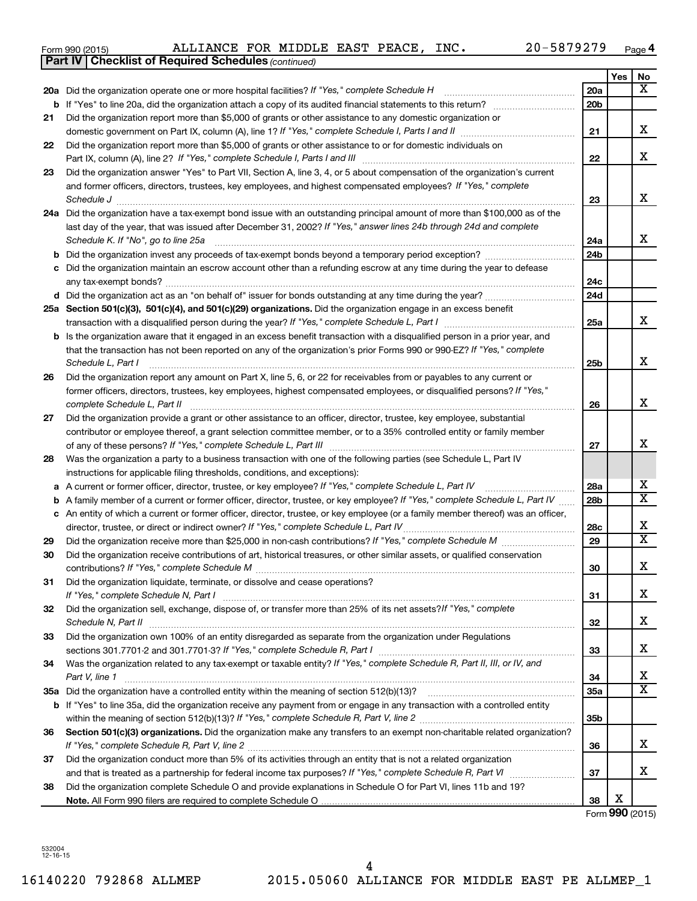| Form 990 (2015) |  | ALLIANCE FOR MIDDLE EAST PEACE, I |  |  |  |  | INC. | 20-5879279 | Page |  |
|-----------------|--|-----------------------------------|--|--|--|--|------|------------|------|--|
|-----------------|--|-----------------------------------|--|--|--|--|------|------------|------|--|

|    | <b>Part IV   Checklist of Required Schedules (continued)</b>                                                                      |                 |     |                         |
|----|-----------------------------------------------------------------------------------------------------------------------------------|-----------------|-----|-------------------------|
|    |                                                                                                                                   |                 | Yes | No                      |
|    | 20a Did the organization operate one or more hospital facilities? If "Yes," complete Schedule H                                   | 20a             |     | x                       |
| b  |                                                                                                                                   | 20 <sub>b</sub> |     |                         |
| 21 | Did the organization report more than \$5,000 of grants or other assistance to any domestic organization or                       |                 |     |                         |
|    |                                                                                                                                   | 21              |     | x                       |
| 22 | Did the organization report more than \$5,000 of grants or other assistance to or for domestic individuals on                     |                 |     |                         |
|    |                                                                                                                                   | 22              |     | х                       |
| 23 | Did the organization answer "Yes" to Part VII, Section A, line 3, 4, or 5 about compensation of the organization's current        |                 |     |                         |
|    | and former officers, directors, trustees, key employees, and highest compensated employees? If "Yes," complete                    |                 |     |                         |
|    | Schedule J                                                                                                                        | 23              |     | x                       |
|    | 24a Did the organization have a tax-exempt bond issue with an outstanding principal amount of more than \$100,000 as of the       |                 |     |                         |
|    | last day of the year, that was issued after December 31, 2002? If "Yes," answer lines 24b through 24d and complete                |                 |     |                         |
|    | Schedule K. If "No", go to line 25a                                                                                               | 24a             |     | x                       |
| b  |                                                                                                                                   | 24 <sub>b</sub> |     |                         |
|    | Did the organization maintain an escrow account other than a refunding escrow at any time during the year to defease              |                 |     |                         |
|    |                                                                                                                                   | 24c             |     |                         |
|    |                                                                                                                                   | 24d             |     |                         |
|    | 25a Section 501(c)(3), 501(c)(4), and 501(c)(29) organizations. Did the organization engage in an excess benefit                  |                 |     |                         |
|    |                                                                                                                                   | 25a             |     | x                       |
| b  | Is the organization aware that it engaged in an excess benefit transaction with a disqualified person in a prior year, and        |                 |     |                         |
|    | that the transaction has not been reported on any of the organization's prior Forms 990 or 990-EZ? If "Yes," complete             |                 |     |                         |
|    | Schedule L, Part I                                                                                                                | 25b             |     | х                       |
| 26 | Did the organization report any amount on Part X, line 5, 6, or 22 for receivables from or payables to any current or             |                 |     |                         |
|    | former officers, directors, trustees, key employees, highest compensated employees, or disqualified persons? If "Yes,"            |                 |     |                         |
|    | complete Schedule L, Part II                                                                                                      | 26              |     | х                       |
| 27 | Did the organization provide a grant or other assistance to an officer, director, trustee, key employee, substantial              |                 |     |                         |
|    | contributor or employee thereof, a grant selection committee member, or to a 35% controlled entity or family member               |                 |     |                         |
|    |                                                                                                                                   | 27              |     | x                       |
| 28 | Was the organization a party to a business transaction with one of the following parties (see Schedule L, Part IV                 |                 |     |                         |
|    | instructions for applicable filing thresholds, conditions, and exceptions):                                                       |                 |     |                         |
| а  | A current or former officer, director, trustee, or key employee? If "Yes," complete Schedule L, Part IV                           | 28a             |     | x                       |
| b  | A family member of a current or former officer, director, trustee, or key employee? If "Yes," complete Schedule L, Part IV        | 28 <sub>b</sub> |     | X                       |
|    | c An entity of which a current or former officer, director, trustee, or key employee (or a family member thereof) was an officer, |                 |     |                         |
|    | director, trustee, or direct or indirect owner? If "Yes," complete Schedule L, Part IV                                            | 28c             |     | X                       |
| 29 |                                                                                                                                   | 29              |     | $\overline{\textbf{X}}$ |
| 30 | Did the organization receive contributions of art, historical treasures, or other similar assets, or qualified conservation       |                 |     |                         |
|    |                                                                                                                                   | 30              |     | Χ                       |
| 31 | Did the organization liquidate, terminate, or dissolve and cease operations?                                                      |                 |     |                         |
|    |                                                                                                                                   | 31              |     | x                       |
| 32 | Did the organization sell, exchange, dispose of, or transfer more than 25% of its net assets?/f "Yes," complete                   |                 |     |                         |
|    |                                                                                                                                   | 32              |     | x                       |
| 33 | Did the organization own 100% of an entity disregarded as separate from the organization under Regulations                        |                 |     |                         |
|    |                                                                                                                                   | 33              |     | x                       |
| 34 | Was the organization related to any tax-exempt or taxable entity? If "Yes," complete Schedule R, Part II, III, or IV, and         |                 |     |                         |
|    | Part V, line 1                                                                                                                    | 34              |     | х                       |
|    |                                                                                                                                   | 35a             |     | X                       |
|    | b If "Yes" to line 35a, did the organization receive any payment from or engage in any transaction with a controlled entity       |                 |     |                         |
|    |                                                                                                                                   | 35 <sub>b</sub> |     |                         |
| 36 | Section 501(c)(3) organizations. Did the organization make any transfers to an exempt non-charitable related organization?        |                 |     |                         |
|    |                                                                                                                                   | 36              |     | x                       |
| 37 | Did the organization conduct more than 5% of its activities through an entity that is not a related organization                  |                 |     |                         |
|    |                                                                                                                                   | 37              |     | x                       |
| 38 | Did the organization complete Schedule O and provide explanations in Schedule O for Part VI, lines 11b and 19?                    |                 |     |                         |
|    |                                                                                                                                   | 38              | X   |                         |

Form **990** (2015)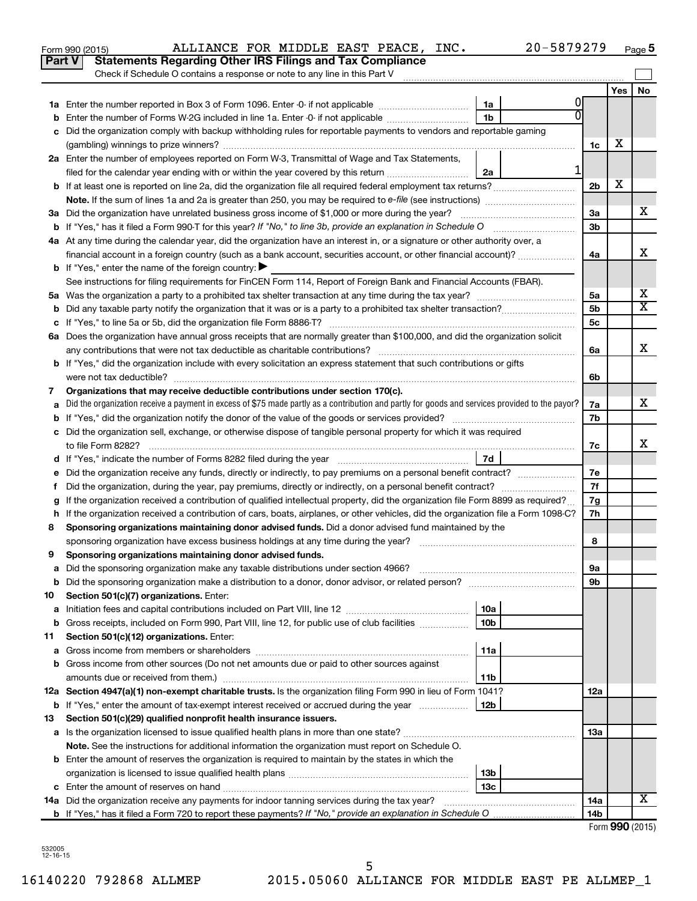|               | 20-5879279<br>ALLIANCE FOR MIDDLE EAST PEACE, INC.<br>Form 990 (2015)                                                                                              |                |     | Page 5                  |  |  |  |
|---------------|--------------------------------------------------------------------------------------------------------------------------------------------------------------------|----------------|-----|-------------------------|--|--|--|
| <b>Part V</b> | <b>Statements Regarding Other IRS Filings and Tax Compliance</b>                                                                                                   |                |     |                         |  |  |  |
|               | Check if Schedule O contains a response or note to any line in this Part V                                                                                         |                |     |                         |  |  |  |
|               |                                                                                                                                                                    |                | Yes | No                      |  |  |  |
|               | 1a                                                                                                                                                                 |                |     |                         |  |  |  |
|               | 1b                                                                                                                                                                 |                |     |                         |  |  |  |
|               | c Did the organization comply with backup withholding rules for reportable payments to vendors and reportable gaming                                               |                |     |                         |  |  |  |
|               |                                                                                                                                                                    | 1c             | x   |                         |  |  |  |
|               | 2a Enter the number of employees reported on Form W-3, Transmittal of Wage and Tax Statements,                                                                     |                |     |                         |  |  |  |
|               | 1<br>filed for the calendar year ending with or within the year covered by this return<br>2a                                                                       |                |     |                         |  |  |  |
|               |                                                                                                                                                                    | 2 <sub>b</sub> | х   |                         |  |  |  |
|               |                                                                                                                                                                    |                |     |                         |  |  |  |
|               | 3a Did the organization have unrelated business gross income of \$1,000 or more during the year?                                                                   | За             |     | х                       |  |  |  |
|               |                                                                                                                                                                    | 3b             |     |                         |  |  |  |
|               | 4a At any time during the calendar year, did the organization have an interest in, or a signature or other authority over, a                                       |                |     |                         |  |  |  |
|               | financial account in a foreign country (such as a bank account, securities account, or other financial account)?                                                   | 4a             |     | х                       |  |  |  |
|               | <b>b</b> If "Yes," enter the name of the foreign country: $\blacktriangleright$                                                                                    |                |     |                         |  |  |  |
|               | See instructions for filing requirements for FinCEN Form 114, Report of Foreign Bank and Financial Accounts (FBAR).                                                |                |     |                         |  |  |  |
|               |                                                                                                                                                                    | 5a             |     | X                       |  |  |  |
|               |                                                                                                                                                                    | 5 <sub>b</sub> |     | $\overline{\mathtt{x}}$ |  |  |  |
|               |                                                                                                                                                                    | 5c             |     |                         |  |  |  |
|               | 6a Does the organization have annual gross receipts that are normally greater than \$100,000, and did the organization solicit                                     |                |     |                         |  |  |  |
|               |                                                                                                                                                                    | 6a             |     | x                       |  |  |  |
|               | <b>b</b> If "Yes," did the organization include with every solicitation an express statement that such contributions or gifts                                      |                |     |                         |  |  |  |
|               | were not tax deductible?                                                                                                                                           | 6b             |     |                         |  |  |  |
| 7             | Organizations that may receive deductible contributions under section 170(c).                                                                                      |                |     | х                       |  |  |  |
|               | Did the organization receive a payment in excess of \$75 made partly as a contribution and partly for goods and services provided to the payor?                    | 7а<br>7b       |     |                         |  |  |  |
|               | c Did the organization sell, exchange, or otherwise dispose of tangible personal property for which it was required                                                |                |     |                         |  |  |  |
|               | to file Form 8282?                                                                                                                                                 | 7c             |     | x.                      |  |  |  |
|               | 7d                                                                                                                                                                 |                |     |                         |  |  |  |
|               |                                                                                                                                                                    | 7е             |     |                         |  |  |  |
| t.            | Did the organization, during the year, pay premiums, directly or indirectly, on a personal benefit contract?                                                       | 7f             |     |                         |  |  |  |
|               | If the organization received a contribution of qualified intellectual property, did the organization file Form 8899 as required?                                   | 7g             |     |                         |  |  |  |
|               | h If the organization received a contribution of cars, boats, airplanes, or other vehicles, did the organization file a Form 1098-C?                               | 7h             |     |                         |  |  |  |
| 8             | Sponsoring organizations maintaining donor advised funds. Did a donor advised fund maintained by the                                                               |                |     |                         |  |  |  |
|               | sponsoring organization have excess business holdings at any time during the year?                                                                                 | 8              |     |                         |  |  |  |
| 9             | Sponsoring organizations maintaining donor advised funds.                                                                                                          |                |     |                         |  |  |  |
| а             | Did the sponsoring organization make any taxable distributions under section 4966?                                                                                 | 9а             |     |                         |  |  |  |
| b             |                                                                                                                                                                    | 9b             |     |                         |  |  |  |
| 10            | Section 501(c)(7) organizations. Enter:                                                                                                                            |                |     |                         |  |  |  |
| а             | 10a                                                                                                                                                                |                |     |                         |  |  |  |
| b             | Gross receipts, included on Form 990, Part VIII, line 12, for public use of club facilities<br>10 <sub>b</sub>                                                     |                |     |                         |  |  |  |
| 11            | Section 501(c)(12) organizations. Enter:                                                                                                                           |                |     |                         |  |  |  |
| а             | 11a                                                                                                                                                                |                |     |                         |  |  |  |
|               | b Gross income from other sources (Do not net amounts due or paid to other sources against                                                                         |                |     |                         |  |  |  |
|               | amounts due or received from them.)<br>11b<br>12a Section 4947(a)(1) non-exempt charitable trusts. Is the organization filing Form 990 in lieu of Form 1041?       |                |     |                         |  |  |  |
|               | 12b                                                                                                                                                                | 12a            |     |                         |  |  |  |
| 13            | <b>b</b> If "Yes," enter the amount of tax-exempt interest received or accrued during the year<br>Section 501(c)(29) qualified nonprofit health insurance issuers. |                |     |                         |  |  |  |
|               | a Is the organization licensed to issue qualified health plans in more than one state?                                                                             | 13a            |     |                         |  |  |  |
|               | Note. See the instructions for additional information the organization must report on Schedule O.                                                                  |                |     |                         |  |  |  |
|               | <b>b</b> Enter the amount of reserves the organization is required to maintain by the states in which the                                                          |                |     |                         |  |  |  |
|               | 13 <sub>b</sub>                                                                                                                                                    |                |     |                         |  |  |  |
|               | 13c                                                                                                                                                                |                |     |                         |  |  |  |
|               |                                                                                                                                                                    | 14a            |     | X                       |  |  |  |
|               |                                                                                                                                                                    | 14b            |     |                         |  |  |  |
|               |                                                                                                                                                                    |                |     | $Form$ QQQ (2015)       |  |  |  |

| Form 990 (2015) |
|-----------------|
|-----------------|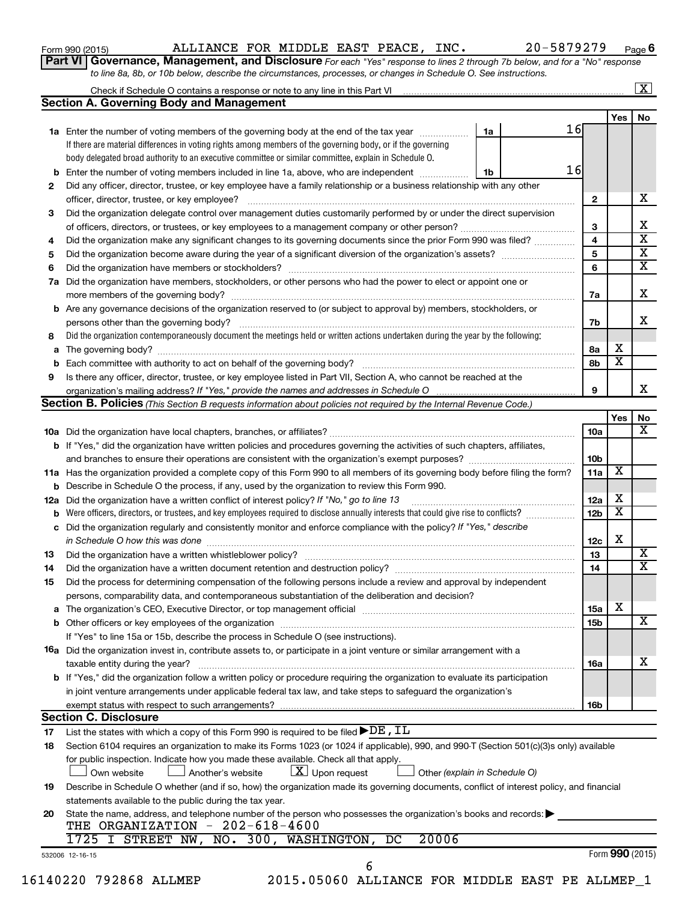| Form 990 (2015) |  |  |
|-----------------|--|--|
|-----------------|--|--|

## Form 990 (2015) Page ALLIANCE FOR MIDDLE EAST PEACE, INC. 20-5879279

**Part VI** Governance, Management, and Disclosure For each "Yes" response to lines 2 through 7b below, and for a "No" response *to line 8a, 8b, or 10b below, describe the circumstances, processes, or changes in Schedule O. See instructions.*

|    | <b>Section A. Governing Body and Management</b>                                                                                              |    |    |                 |                         | No |
|----|----------------------------------------------------------------------------------------------------------------------------------------------|----|----|-----------------|-------------------------|----|
|    |                                                                                                                                              |    | 16 |                 | Yes                     |    |
|    | 1a Enter the number of voting members of the governing body at the end of the tax year                                                       | 1a |    |                 |                         |    |
|    | If there are material differences in voting rights among members of the governing body, or if the governing                                  |    |    |                 |                         |    |
|    | body delegated broad authority to an executive committee or similar committee, explain in Schedule O.                                        |    | 16 |                 |                         |    |
|    | <b>b</b> Enter the number of voting members included in line 1a, above, who are independent <i>manumum</i>                                   | 1b |    |                 |                         |    |
| 2  | Did any officer, director, trustee, or key employee have a family relationship or a business relationship with any other                     |    |    | 2               |                         |    |
|    |                                                                                                                                              |    |    |                 |                         |    |
| 3  | Did the organization delegate control over management duties customarily performed by or under the direct supervision                        |    |    |                 |                         |    |
|    |                                                                                                                                              |    |    | 3               |                         |    |
| 4  | Did the organization make any significant changes to its governing documents since the prior Form 990 was filed?                             |    |    | 4               |                         |    |
| 5  |                                                                                                                                              |    |    | 5               |                         |    |
| 6  |                                                                                                                                              |    |    | 6               |                         |    |
| 7a | Did the organization have members, stockholders, or other persons who had the power to elect or appoint one or                               |    |    |                 |                         |    |
|    |                                                                                                                                              |    |    | 7a              |                         |    |
|    | <b>b</b> Are any governance decisions of the organization reserved to (or subject to approval by) members, stockholders, or                  |    |    |                 |                         |    |
|    |                                                                                                                                              |    |    | 7b              |                         |    |
| 8  | Did the organization contemporaneously document the meetings held or written actions undertaken during the year by the following:            |    |    |                 |                         |    |
|    |                                                                                                                                              |    |    | 8а              | х                       |    |
|    |                                                                                                                                              |    |    | 8b              | $\overline{\mathbf{x}}$ |    |
| 9  | Is there any officer, director, trustee, or key employee listed in Part VII, Section A, who cannot be reached at the                         |    |    |                 |                         |    |
|    |                                                                                                                                              |    |    | 9               |                         |    |
|    | <b>Section B. Policies</b> (This Section B requests information about policies not required by the Internal Revenue Code.)                   |    |    |                 |                         |    |
|    |                                                                                                                                              |    |    |                 | Yes                     |    |
|    |                                                                                                                                              |    |    | 10a             |                         |    |
|    | b If "Yes," did the organization have written policies and procedures governing the activities of such chapters, affiliates,                 |    |    |                 |                         |    |
|    |                                                                                                                                              |    |    | 10b             |                         |    |
|    |                                                                                                                                              |    |    | 11a             | X                       |    |
|    | 11a Has the organization provided a complete copy of this Form 990 to all members of its governing body before filing the form?              |    |    |                 |                         |    |
|    | <b>b</b> Describe in Schedule O the process, if any, used by the organization to review this Form 990.                                       |    |    |                 | х                       |    |
|    | 12a Did the organization have a written conflict of interest policy? If "No," go to line 13                                                  |    |    | 12a             | х                       |    |
|    | <b>b</b> Were officers, directors, or trustees, and key employees required to disclose annually interests that could give rise to conflicts? |    |    | 12 <sub>b</sub> |                         |    |
|    | c Did the organization regularly and consistently monitor and enforce compliance with the policy? If "Yes," describe                         |    |    | 12c             | х                       |    |
|    | in Schedule O how this was done <i>manufacture contract to the set of the set of the set of the set of the set of t</i>                      |    |    | 13              |                         |    |
| 13 |                                                                                                                                              |    |    |                 |                         |    |
| 14 |                                                                                                                                              |    |    | 14              |                         |    |
| 15 | Did the process for determining compensation of the following persons include a review and approval by independent                           |    |    |                 |                         |    |
|    | persons, comparability data, and contemporaneous substantiation of the deliberation and decision?                                            |    |    |                 |                         |    |
|    |                                                                                                                                              |    |    | <b>15a</b>      | х                       |    |
|    |                                                                                                                                              |    |    | 15b             |                         |    |
|    | If "Yes" to line 15a or 15b, describe the process in Schedule O (see instructions).                                                          |    |    |                 |                         |    |
|    | 16a Did the organization invest in, contribute assets to, or participate in a joint venture or similar arrangement with a                    |    |    |                 |                         |    |
|    | taxable entity during the year?                                                                                                              |    |    | 16a             |                         |    |
|    | b If "Yes," did the organization follow a written policy or procedure requiring the organization to evaluate its participation               |    |    |                 |                         |    |
|    | in joint venture arrangements under applicable federal tax law, and take steps to safequard the organization's                               |    |    |                 |                         |    |
|    | exempt status with respect to such arrangements?                                                                                             |    |    | 16b             |                         |    |
|    | <b>Section C. Disclosure</b>                                                                                                                 |    |    |                 |                         |    |
| 17 | List the states with which a copy of this Form 990 is required to be filed $\blacktriangleright$ DE, IL                                      |    |    |                 |                         |    |
| 18 | Section 6104 requires an organization to make its Forms 1023 (or 1024 if applicable), 990, and 990-T (Section 501(c)(3)s only) available     |    |    |                 |                         |    |
|    | for public inspection. Indicate how you made these available. Check all that apply.                                                          |    |    |                 |                         |    |
|    | $\lfloor x \rfloor$ Upon request<br>Own website<br>Another's website<br>Other (explain in Schedule O)                                        |    |    |                 |                         |    |
| 19 | Describe in Schedule O whether (and if so, how) the organization made its governing documents, conflict of interest policy, and financial    |    |    |                 |                         |    |
|    |                                                                                                                                              |    |    |                 |                         |    |
|    | statements available to the public during the tax year.                                                                                      |    |    |                 |                         |    |
| 20 | State the name, address, and telephone number of the person who possesses the organization's books and records:                              |    |    |                 |                         |    |
|    | THE ORGANIZATION - 202-618-4600                                                                                                              |    |    |                 |                         |    |
|    |                                                                                                                                              |    |    |                 |                         |    |
|    | 1725 I STREET NW, NO. 300, WASHINGTON,<br>20006<br>DC                                                                                        |    |    |                 | Form 990 (2015)         |    |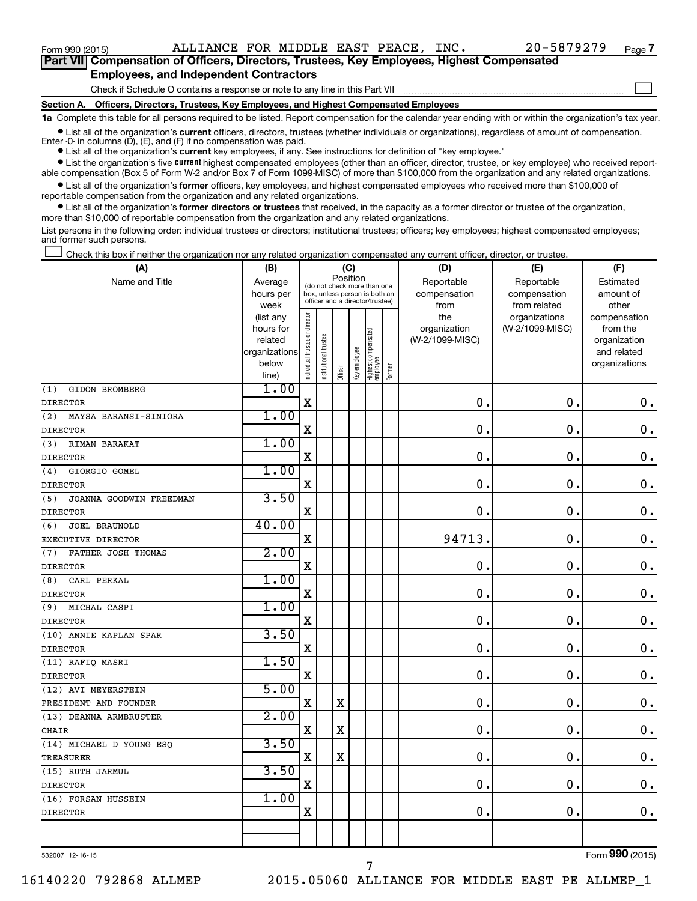$\Box$ 

| Part VII Compensation of Officers, Directors, Trustees, Key Employees, Highest Compensated |
|--------------------------------------------------------------------------------------------|
| <b>Employees, and Independent Contractors</b>                                              |

#### Check if Schedule O contains a response or note to any line in this Part VII

**Section A. Officers, Directors, Trustees, Key Employees, and Highest Compensated Employees**

**1a**  Complete this table for all persons required to be listed. Report compensation for the calendar year ending with or within the organization's tax year.

**•** List all of the organization's current officers, directors, trustees (whether individuals or organizations), regardless of amount of compensation.

**•** List all of the organization's **current** key employees, if any. See instructions for definition of "key employee." Enter -0- in columns  $(D)$ ,  $(E)$ , and  $(F)$  if no compensation was paid.

**•** List the organization's five current highest compensated employees (other than an officer, director, trustee, or key employee) who received report-

**•** List all of the organization's former officers, key employees, and highest compensated employees who received more than \$100,000 of able compensation (Box 5 of Form W-2 and/or Box 7 of Form 1099-MISC) of more than \$100,000 from the organization and any related organizations. reportable compensation from the organization and any related organizations.

**•** List all of the organization's former directors or trustees that received, in the capacity as a former director or trustee of the organization, more than \$10,000 of reportable compensation from the organization and any related organizations.

List persons in the following order: individual trustees or directors; institutional trustees; officers; key employees; highest compensated employees; and former such persons.

Check this box if neither the organization nor any related organization compensated any current officer, director, or trustee.  $\Box$ 

| (A)                            | (B)            |                                         |                                                                  |             | (C)          |                                 |        | (D)             | (E)             | (F)           |
|--------------------------------|----------------|-----------------------------------------|------------------------------------------------------------------|-------------|--------------|---------------------------------|--------|-----------------|-----------------|---------------|
| Name and Title                 | Average        | Position<br>(do not check more than one |                                                                  |             |              |                                 |        | Reportable      | Reportable      | Estimated     |
|                                | hours per      |                                         | box, unless person is both an<br>officer and a director/trustee) |             |              |                                 |        | compensation    | compensation    | amount of     |
|                                | week           |                                         |                                                                  |             |              |                                 |        | from            | from related    | other         |
|                                | (list any      |                                         |                                                                  |             |              |                                 |        | the             | organizations   | compensation  |
|                                | hours for      |                                         |                                                                  |             |              |                                 |        | organization    | (W-2/1099-MISC) | from the      |
|                                | related        |                                         |                                                                  |             |              |                                 |        | (W-2/1099-MISC) |                 | organization  |
|                                | organizations  |                                         |                                                                  |             |              |                                 |        |                 |                 | and related   |
|                                | below<br>line) | Individual trustee or director          | Institutional trustee                                            | Officer     | Key employee | Highest compensated<br>employee | Former |                 |                 | organizations |
| GIDON BROMBERG<br>(1)          | 1.00           |                                         |                                                                  |             |              |                                 |        |                 |                 |               |
| <b>DIRECTOR</b>                |                | $\mathbf X$                             |                                                                  |             |              |                                 |        | $\mathbf 0$ .   | $\mathbf 0$ .   | 0.            |
| (2)<br>MAYSA BARANSI-SINIORA   | 1.00           |                                         |                                                                  |             |              |                                 |        |                 |                 |               |
| <b>DIRECTOR</b>                |                | $\mathbf X$                             |                                                                  |             |              |                                 |        | 0               | $\mathbf 0$ .   | 0.            |
| RIMAN BARAKAT<br>(3)           | 1.00           |                                         |                                                                  |             |              |                                 |        |                 |                 |               |
| <b>DIRECTOR</b>                |                | $\mathbf X$                             |                                                                  |             |              |                                 |        | $\mathbf 0$     | $\mathbf 0$ .   | $\mathbf 0$ . |
| GIORGIO GOMEL<br>(4)           | 1.00           |                                         |                                                                  |             |              |                                 |        |                 |                 |               |
| <b>DIRECTOR</b>                |                | $\mathbf X$                             |                                                                  |             |              |                                 |        | $\mathbf 0$ .   | $\mathbf 0$ .   | $\mathbf 0$ . |
| (5)<br>JOANNA GOODWIN FREEDMAN | 3.50           |                                         |                                                                  |             |              |                                 |        |                 |                 |               |
| <b>DIRECTOR</b>                |                | $\mathbf X$                             |                                                                  |             |              |                                 |        | 0.              | $\mathbf 0$ .   | $\mathbf 0$ . |
| JOEL BRAUNOLD<br>(6)           | 40.00          |                                         |                                                                  |             |              |                                 |        |                 |                 |               |
| EXECUTIVE DIRECTOR             |                | $\mathbf X$                             |                                                                  |             |              |                                 |        | 94713.          | $\mathbf 0$ .   | $\mathbf 0$ . |
| FATHER JOSH THOMAS<br>(7)      | 2.00           |                                         |                                                                  |             |              |                                 |        |                 |                 |               |
| <b>DIRECTOR</b>                |                | $\mathbf X$                             |                                                                  |             |              |                                 |        | $\mathbf 0$ .   | $\mathbf 0$ .   | $\mathbf 0$ . |
| CARL PERKAL<br>(8)             | 1.00           |                                         |                                                                  |             |              |                                 |        |                 |                 |               |
| <b>DIRECTOR</b>                |                | $\mathbf X$                             |                                                                  |             |              |                                 |        | $\mathbf 0$ .   | $\mathbf 0$ .   | $\mathbf 0$ . |
| MICHAL CASPI<br>(9)            | 1.00           |                                         |                                                                  |             |              |                                 |        |                 |                 |               |
| <b>DIRECTOR</b>                |                | $\mathbf X$                             |                                                                  |             |              |                                 |        | 0.              | $\mathbf 0$ .   | $0$ .         |
| (10) ANNIE KAPLAN SPAR         | 3.50           |                                         |                                                                  |             |              |                                 |        |                 |                 |               |
| <b>DIRECTOR</b>                |                | X                                       |                                                                  |             |              |                                 |        | 0               | $\mathbf 0$ .   | $\mathbf 0$ . |
| (11) RAFIQ MASRI               | 1.50           |                                         |                                                                  |             |              |                                 |        |                 |                 |               |
| <b>DIRECTOR</b>                |                | $\mathbf X$                             |                                                                  |             |              |                                 |        | $\mathbf 0$ .   | $\mathbf 0$ .   | $0$ .         |
| (12) AVI MEYERSTEIN            | 5.00           |                                         |                                                                  |             |              |                                 |        |                 |                 |               |
| PRESIDENT AND FOUNDER          |                | $\mathbf X$                             |                                                                  | $\mathbf X$ |              |                                 |        | $\mathbf 0$ .   | $\mathbf 0$ .   | $\mathbf 0$ . |
| (13) DEANNA ARMBRUSTER         | 2.00           |                                         |                                                                  |             |              |                                 |        |                 |                 |               |
| CHAIR                          |                | $\mathbf X$                             |                                                                  | $\mathbf X$ |              |                                 |        | $\mathbf 0$ .   | $\mathbf 0$ .   | $\mathbf 0$ . |
| $(14)$ MICHAEL D YOUNG ESQ     | 3.50           |                                         |                                                                  |             |              |                                 |        |                 |                 |               |
| <b>TREASURER</b>               |                | X                                       |                                                                  | $\mathbf X$ |              |                                 |        | 0               | $\mathbf 0$ .   | $\mathbf 0$ . |
| (15) RUTH JARMUL               | 3.50           |                                         |                                                                  |             |              |                                 |        |                 |                 |               |
| <b>DIRECTOR</b>                |                | $\mathbf X$                             |                                                                  |             |              |                                 |        | 0               | $\mathbf 0$ .   | $\mathbf 0$ . |
| (16) FORSAN HUSSEIN            | 1.00           |                                         |                                                                  |             |              |                                 |        |                 |                 |               |
| <b>DIRECTOR</b>                |                | X                                       |                                                                  |             |              |                                 |        | 0               | 0.              | 0.            |
|                                |                |                                         |                                                                  |             |              |                                 |        |                 |                 |               |
|                                |                |                                         |                                                                  |             |              |                                 |        |                 |                 |               |

532007 12-16-15

7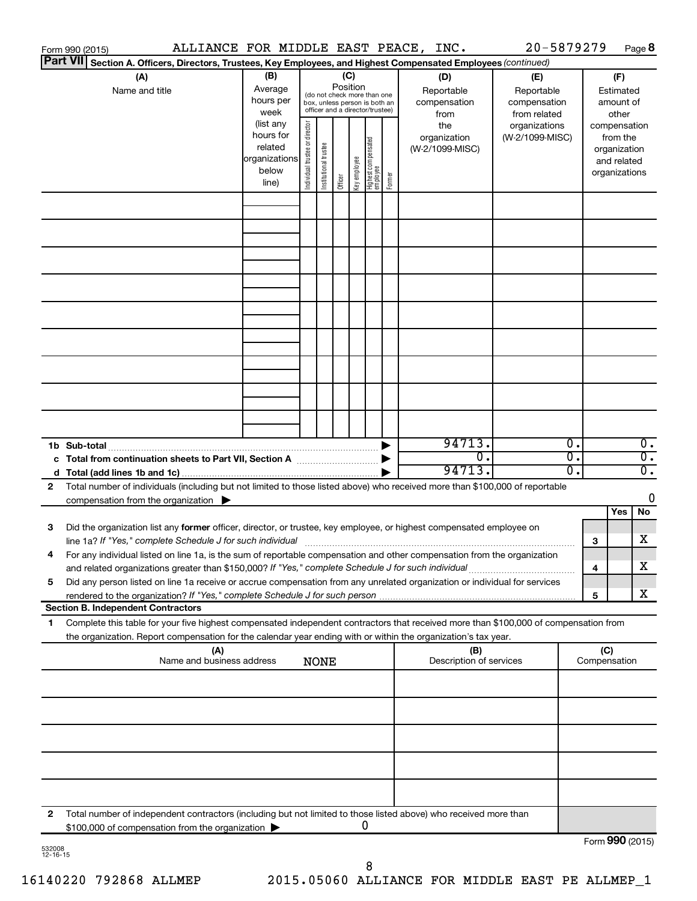|    | Form 990 (2015)                                                                                                                      |                      |                                |                                 |          |              |                                   |        | ALLIANCE FOR MIDDLE EAST PEACE, INC. | 20-5879279      |                             |                             | Page 8           |
|----|--------------------------------------------------------------------------------------------------------------------------------------|----------------------|--------------------------------|---------------------------------|----------|--------------|-----------------------------------|--------|--------------------------------------|-----------------|-----------------------------|-----------------------------|------------------|
|    | <b>Part VII</b><br>Section A. Officers, Directors, Trustees, Key Employees, and Highest Compensated Employees (continued)            |                      |                                |                                 |          |              |                                   |        |                                      |                 |                             |                             |                  |
|    | (A)                                                                                                                                  | (B)                  | (C)                            |                                 |          |              |                                   |        | (D)                                  | (E)             |                             | (F)                         |                  |
|    | Name and title                                                                                                                       | Average              |                                | (do not check more than one     | Position |              |                                   |        | Reportable                           | Reportable      |                             | Estimated                   |                  |
|    |                                                                                                                                      | hours per            |                                | box, unless person is both an   |          |              |                                   |        | compensation                         | compensation    |                             | amount of                   |                  |
|    |                                                                                                                                      | week                 |                                | officer and a director/trustee) |          |              |                                   |        | from                                 | from related    |                             | other                       |                  |
|    |                                                                                                                                      | (list any            |                                |                                 |          |              |                                   |        | the                                  | organizations   |                             | compensation                |                  |
|    |                                                                                                                                      | hours for<br>related |                                |                                 |          |              |                                   |        | organization                         | (W-2/1099-MISC) |                             | from the                    |                  |
|    |                                                                                                                                      | organizations        |                                |                                 |          |              |                                   |        | (W-2/1099-MISC)                      |                 |                             | organization<br>and related |                  |
|    |                                                                                                                                      | below                |                                |                                 |          |              |                                   |        |                                      |                 |                             | organizations               |                  |
|    |                                                                                                                                      | line)                | Individual trustee or director | Institutional trustee           | Officer  | Key employee | Highest compensated<br>  employee | Former |                                      |                 |                             |                             |                  |
|    |                                                                                                                                      |                      |                                |                                 |          |              |                                   |        |                                      |                 |                             |                             |                  |
|    |                                                                                                                                      |                      |                                |                                 |          |              |                                   |        |                                      |                 |                             |                             |                  |
|    |                                                                                                                                      |                      |                                |                                 |          |              |                                   |        |                                      |                 |                             |                             |                  |
|    |                                                                                                                                      |                      |                                |                                 |          |              |                                   |        |                                      |                 |                             |                             |                  |
|    |                                                                                                                                      |                      |                                |                                 |          |              |                                   |        |                                      |                 |                             |                             |                  |
|    |                                                                                                                                      |                      |                                |                                 |          |              |                                   |        |                                      |                 |                             |                             |                  |
|    |                                                                                                                                      |                      |                                |                                 |          |              |                                   |        |                                      |                 |                             |                             |                  |
|    |                                                                                                                                      |                      |                                |                                 |          |              |                                   |        |                                      |                 |                             |                             |                  |
|    |                                                                                                                                      |                      |                                |                                 |          |              |                                   |        |                                      |                 |                             |                             |                  |
|    |                                                                                                                                      |                      |                                |                                 |          |              |                                   |        |                                      |                 |                             |                             |                  |
|    |                                                                                                                                      |                      |                                |                                 |          |              |                                   |        |                                      |                 |                             |                             |                  |
|    |                                                                                                                                      |                      |                                |                                 |          |              |                                   |        |                                      |                 |                             |                             |                  |
|    |                                                                                                                                      |                      |                                |                                 |          |              |                                   |        |                                      |                 |                             |                             |                  |
|    |                                                                                                                                      |                      |                                |                                 |          |              |                                   |        |                                      |                 |                             |                             |                  |
|    |                                                                                                                                      |                      |                                |                                 |          |              |                                   |        |                                      |                 |                             |                             |                  |
|    |                                                                                                                                      |                      |                                |                                 |          |              |                                   |        |                                      |                 |                             |                             |                  |
|    |                                                                                                                                      |                      |                                |                                 |          |              |                                   |        |                                      |                 |                             |                             |                  |
|    |                                                                                                                                      |                      |                                |                                 |          |              |                                   |        |                                      |                 |                             |                             |                  |
|    |                                                                                                                                      |                      |                                |                                 |          |              |                                   |        | 94713.                               |                 | $\overline{\mathfrak{o}}$ . |                             | $\overline{0}$ . |
|    | c Total from continuation sheets to Part VII, Section A manufactured by                                                              |                      |                                |                                 |          |              |                                   |        | σ.                                   |                 | σ.                          |                             | $\overline{0}$ . |
|    |                                                                                                                                      |                      |                                |                                 |          |              |                                   |        | 94713.                               |                 | σ.                          |                             | $\overline{0}$ . |
| 2  | Total number of individuals (including but not limited to those listed above) who received more than \$100,000 of reportable         |                      |                                |                                 |          |              |                                   |        |                                      |                 |                             |                             |                  |
|    | compensation from the organization $\blacktriangleright$                                                                             |                      |                                |                                 |          |              |                                   |        |                                      |                 |                             |                             | 0                |
|    |                                                                                                                                      |                      |                                |                                 |          |              |                                   |        |                                      |                 |                             | Yes                         | No               |
| 3  | Did the organization list any former officer, director, or trustee, key employee, or highest compensated employee on                 |                      |                                |                                 |          |              |                                   |        |                                      |                 |                             |                             |                  |
|    |                                                                                                                                      |                      |                                |                                 |          |              |                                   |        |                                      |                 |                             | 3                           | X                |
|    | For any individual listed on line 1a, is the sum of reportable compensation and other compensation from the organization             |                      |                                |                                 |          |              |                                   |        |                                      |                 |                             |                             |                  |
|    | and related organizations greater than \$150,000? If "Yes," complete Schedule J for such individual                                  |                      |                                |                                 |          |              |                                   |        |                                      |                 |                             | 4                           | х                |
| 5  | Did any person listed on line 1a receive or accrue compensation from any unrelated organization or individual for services           |                      |                                |                                 |          |              |                                   |        |                                      |                 |                             |                             |                  |
|    |                                                                                                                                      |                      |                                |                                 |          |              |                                   |        |                                      |                 |                             | 5                           | X                |
|    | <b>Section B. Independent Contractors</b>                                                                                            |                      |                                |                                 |          |              |                                   |        |                                      |                 |                             |                             |                  |
| 1. | Complete this table for your five highest compensated independent contractors that received more than \$100,000 of compensation from |                      |                                |                                 |          |              |                                   |        |                                      |                 |                             |                             |                  |
|    | the organization. Report compensation for the calendar year ending with or within the organization's tax year.                       |                      |                                |                                 |          |              |                                   |        |                                      |                 |                             |                             |                  |
|    | (A)                                                                                                                                  |                      |                                |                                 |          |              |                                   |        | (B)                                  |                 |                             | (C)                         |                  |
|    | Name and business address                                                                                                            |                      |                                | <b>NONE</b>                     |          |              |                                   |        | Description of services              |                 |                             | Compensation                |                  |
|    |                                                                                                                                      |                      |                                |                                 |          |              |                                   |        |                                      |                 |                             |                             |                  |
|    |                                                                                                                                      |                      |                                |                                 |          |              |                                   |        |                                      |                 |                             |                             |                  |
|    |                                                                                                                                      |                      |                                |                                 |          |              |                                   |        |                                      |                 |                             |                             |                  |
|    |                                                                                                                                      |                      |                                |                                 |          |              |                                   |        |                                      |                 |                             |                             |                  |
|    |                                                                                                                                      |                      |                                |                                 |          |              |                                   |        |                                      |                 |                             |                             |                  |
|    |                                                                                                                                      |                      |                                |                                 |          |              |                                   |        |                                      |                 |                             |                             |                  |
|    |                                                                                                                                      |                      |                                |                                 |          |              |                                   |        |                                      |                 |                             |                             |                  |
|    |                                                                                                                                      |                      |                                |                                 |          |              |                                   |        |                                      |                 |                             |                             |                  |
|    |                                                                                                                                      |                      |                                |                                 |          |              |                                   |        |                                      |                 |                             |                             |                  |
|    |                                                                                                                                      |                      |                                |                                 |          |              |                                   |        |                                      |                 |                             |                             |                  |
| 2  | Total number of independent contractors (including but not limited to those listed above) who received more than                     |                      |                                |                                 |          |              |                                   |        |                                      |                 |                             |                             |                  |
|    | \$100,000 of compensation from the organization                                                                                      |                      |                                |                                 |          |              | 0                                 |        |                                      |                 |                             |                             |                  |
|    |                                                                                                                                      |                      |                                |                                 |          |              |                                   |        |                                      |                 |                             | Form 990 (2015)             |                  |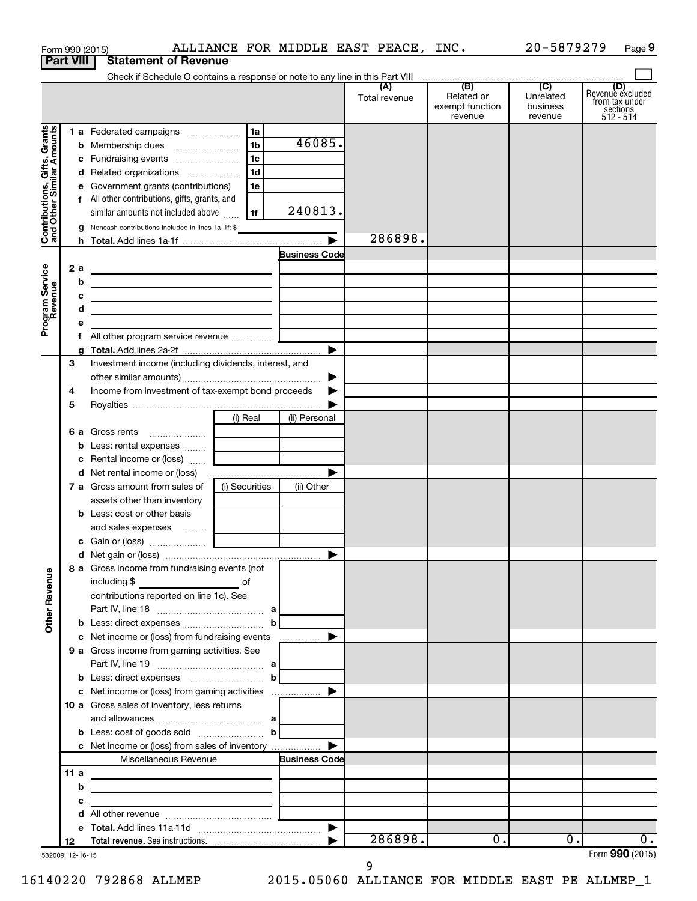|                                                           |      |   | Form 990 (2015)                                                            |                |                      | ALLIANCE FOR MIDDLE EAST PEACE, INC. |                                                 | 20-5879279                              | Page 9                                                      |
|-----------------------------------------------------------|------|---|----------------------------------------------------------------------------|----------------|----------------------|--------------------------------------|-------------------------------------------------|-----------------------------------------|-------------------------------------------------------------|
| <b>Part VIII</b>                                          |      |   | <b>Statement of Revenue</b>                                                |                |                      |                                      |                                                 |                                         |                                                             |
|                                                           |      |   |                                                                            |                |                      |                                      |                                                 |                                         |                                                             |
|                                                           |      |   |                                                                            |                |                      | (A)<br>Total revenue                 | (B)<br>Related or<br>exempt function<br>revenue | (C)<br>Unrelated<br>business<br>revenue | Revenue excluded<br>from tax under<br>sections<br>512 - 514 |
|                                                           |      |   | 1 a Federated campaigns                                                    | 1a             |                      |                                      |                                                 |                                         |                                                             |
| Contributions, Gifts, Grants<br>and Other Similar Amounts |      |   |                                                                            | $\overline{1}$ | 46085.               |                                      |                                                 |                                         |                                                             |
|                                                           |      |   |                                                                            | 1c             |                      |                                      |                                                 |                                         |                                                             |
|                                                           |      |   | d Related organizations                                                    | 1 <sub>d</sub> |                      |                                      |                                                 |                                         |                                                             |
|                                                           |      |   | e Government grants (contributions)                                        | 1e             |                      |                                      |                                                 |                                         |                                                             |
|                                                           |      |   | f All other contributions, gifts, grants, and                              |                |                      |                                      |                                                 |                                         |                                                             |
|                                                           |      |   | similar amounts not included above                                         | 1f             | 240813.              |                                      |                                                 |                                         |                                                             |
|                                                           |      |   | <b>g</b> Noncash contributions included in lines 1a-1f: \$                 |                |                      | 286898.                              |                                                 |                                         |                                                             |
|                                                           |      |   |                                                                            |                | <b>Business Code</b> |                                      |                                                 |                                         |                                                             |
|                                                           | 2a   |   |                                                                            |                |                      |                                      |                                                 |                                         |                                                             |
| Program Service<br>Revenue                                |      | b | the control of the control of the control of the control of the control of |                |                      |                                      |                                                 |                                         |                                                             |
|                                                           |      | c | <u> 1980 - Andrea Andrew Maria (h. 1980).</u>                              |                |                      |                                      |                                                 |                                         |                                                             |
|                                                           |      | d | the control of the control of the control of the control of the control of |                |                      |                                      |                                                 |                                         |                                                             |
|                                                           |      | e |                                                                            |                |                      |                                      |                                                 |                                         |                                                             |
|                                                           |      |   |                                                                            |                |                      |                                      |                                                 |                                         |                                                             |
|                                                           |      | g |                                                                            |                |                      |                                      |                                                 |                                         |                                                             |
|                                                           | З    |   | Investment income (including dividends, interest, and                      |                |                      |                                      |                                                 |                                         |                                                             |
|                                                           |      |   |                                                                            |                | ▶                    |                                      |                                                 |                                         |                                                             |
|                                                           | 4    |   | Income from investment of tax-exempt bond proceeds                         |                |                      |                                      |                                                 |                                         |                                                             |
|                                                           | 5    |   |                                                                            |                |                      |                                      |                                                 |                                         |                                                             |
|                                                           |      |   |                                                                            | (i) Real       | (ii) Personal        |                                      |                                                 |                                         |                                                             |
|                                                           |      |   | 6 a Gross rents<br><b>b</b> Less: rental expenses                          |                |                      |                                      |                                                 |                                         |                                                             |
|                                                           |      |   | c Rental income or (loss)                                                  |                |                      |                                      |                                                 |                                         |                                                             |
|                                                           |      |   |                                                                            |                |                      |                                      |                                                 |                                         |                                                             |
|                                                           |      |   | 7 a Gross amount from sales of                                             | (i) Securities | (ii) Other           |                                      |                                                 |                                         |                                                             |
|                                                           |      |   | assets other than inventory                                                |                |                      |                                      |                                                 |                                         |                                                             |
|                                                           |      |   | <b>b</b> Less: cost or other basis                                         |                |                      |                                      |                                                 |                                         |                                                             |
|                                                           |      |   | and sales expenses                                                         |                |                      |                                      |                                                 |                                         |                                                             |
|                                                           |      |   | c Gain or (loss)                                                           |                |                      |                                      |                                                 |                                         |                                                             |
|                                                           |      |   |                                                                            |                |                      |                                      |                                                 |                                         |                                                             |
|                                                           |      |   | 8 a Gross income from fundraising events (not                              |                |                      |                                      |                                                 |                                         |                                                             |
|                                                           |      |   | including \$<br><u>of</u> of                                               |                |                      |                                      |                                                 |                                         |                                                             |
| <b>Other Revenue</b>                                      |      |   | contributions reported on line 1c). See                                    |                |                      |                                      |                                                 |                                         |                                                             |
|                                                           |      |   |                                                                            | b              |                      |                                      |                                                 |                                         |                                                             |
|                                                           |      |   |                                                                            |                |                      |                                      |                                                 |                                         |                                                             |
|                                                           |      |   | 9 a Gross income from gaming activities. See                               |                |                      |                                      |                                                 |                                         |                                                             |
|                                                           |      |   |                                                                            |                |                      |                                      |                                                 |                                         |                                                             |
|                                                           |      |   |                                                                            | b              |                      |                                      |                                                 |                                         |                                                             |
|                                                           |      |   |                                                                            |                |                      |                                      |                                                 |                                         |                                                             |
|                                                           |      |   | <b>10 a</b> Gross sales of inventory, less returns                         |                |                      |                                      |                                                 |                                         |                                                             |
|                                                           |      |   |                                                                            |                |                      |                                      |                                                 |                                         |                                                             |
|                                                           |      |   |                                                                            | $\mathbf b$    |                      |                                      |                                                 |                                         |                                                             |
|                                                           |      |   | c Net income or (loss) from sales of inventory                             |                |                      |                                      |                                                 |                                         |                                                             |
|                                                           |      |   | Miscellaneous Revenue                                                      |                | <b>Business Code</b> |                                      |                                                 |                                         |                                                             |
|                                                           | 11 a | b | the control of the control of the control of the control of the control of |                |                      |                                      |                                                 |                                         |                                                             |
|                                                           |      | с |                                                                            |                |                      |                                      |                                                 |                                         |                                                             |
|                                                           |      | d |                                                                            |                |                      |                                      |                                                 |                                         |                                                             |
|                                                           |      |   |                                                                            |                |                      |                                      |                                                 |                                         |                                                             |
|                                                           | 12   |   |                                                                            |                |                      | 286898.                              | 0.                                              | $\overline{0}$ .                        | 0.                                                          |
| 532009 12-16-15                                           |      |   |                                                                            |                |                      |                                      |                                                 |                                         | Form 990 (2015)                                             |

9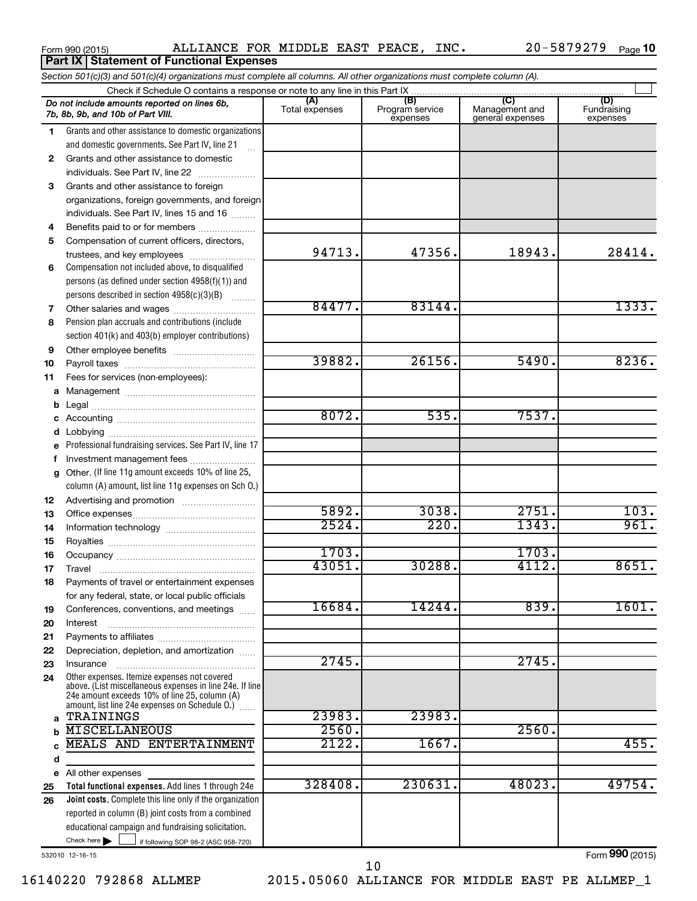**Part IX Statement of Functional Expenses** 

|          | Section 501(c)(3) and 501(c)(4) organizations must complete all columns. All other organizations must complete column (A).                                                                                    |                |                             |                                    |                         |
|----------|---------------------------------------------------------------------------------------------------------------------------------------------------------------------------------------------------------------|----------------|-----------------------------|------------------------------------|-------------------------|
|          |                                                                                                                                                                                                               |                | (B)                         |                                    | (D)                     |
|          | Do not include amounts reported on lines 6b,<br>7b, 8b, 9b, and 10b of Part VIII.                                                                                                                             | Total expenses | Program service<br>expenses | Management and<br>general expenses | Fundraising<br>expenses |
| 1.       | Grants and other assistance to domestic organizations                                                                                                                                                         |                |                             |                                    |                         |
|          | and domestic governments. See Part IV, line 21                                                                                                                                                                |                |                             |                                    |                         |
| 2        | Grants and other assistance to domestic                                                                                                                                                                       |                |                             |                                    |                         |
|          | individuals. See Part IV, line 22                                                                                                                                                                             |                |                             |                                    |                         |
| 3        | Grants and other assistance to foreign                                                                                                                                                                        |                |                             |                                    |                         |
|          | organizations, foreign governments, and foreign                                                                                                                                                               |                |                             |                                    |                         |
|          | individuals. See Part IV, lines 15 and 16                                                                                                                                                                     |                |                             |                                    |                         |
| 4        | Benefits paid to or for members                                                                                                                                                                               |                |                             |                                    |                         |
| 5        | Compensation of current officers, directors,                                                                                                                                                                  |                |                             |                                    |                         |
|          | trustees, and key employees                                                                                                                                                                                   | 94713.         | 47356.                      | 18943.                             | 28414.                  |
| 6        | Compensation not included above, to disqualified                                                                                                                                                              |                |                             |                                    |                         |
|          | persons (as defined under section 4958(f)(1)) and                                                                                                                                                             |                |                             |                                    |                         |
|          | persons described in section 4958(c)(3)(B)                                                                                                                                                                    | 84477.         | 83144.                      |                                    | 1333.                   |
| 7        |                                                                                                                                                                                                               |                |                             |                                    |                         |
| 8        | Pension plan accruals and contributions (include                                                                                                                                                              |                |                             |                                    |                         |
|          | section 401(k) and 403(b) employer contributions)                                                                                                                                                             |                |                             |                                    |                         |
| 9        |                                                                                                                                                                                                               | 39882.         | 26156.                      | 5490.                              | 8236.                   |
| 10       |                                                                                                                                                                                                               |                |                             |                                    |                         |
| 11       | Fees for services (non-employees):                                                                                                                                                                            |                |                             |                                    |                         |
| a        |                                                                                                                                                                                                               |                |                             |                                    |                         |
| b        |                                                                                                                                                                                                               | 8072.          | 535.                        | 7537.                              |                         |
| c        |                                                                                                                                                                                                               |                |                             |                                    |                         |
| d        |                                                                                                                                                                                                               |                |                             |                                    |                         |
| е        | Professional fundraising services. See Part IV, line 17                                                                                                                                                       |                |                             |                                    |                         |
| f        | Investment management fees<br>Other. (If line 11g amount exceeds 10% of line 25,                                                                                                                              |                |                             |                                    |                         |
| g        | column (A) amount, list line 11g expenses on Sch O.)                                                                                                                                                          |                |                             |                                    |                         |
|          |                                                                                                                                                                                                               |                |                             |                                    |                         |
| 12<br>13 |                                                                                                                                                                                                               | 5892.          | 3038.                       | 2751.                              | 103.                    |
| 14       |                                                                                                                                                                                                               | 2524.          | 220.                        | 1343.                              | 961.                    |
| 15       |                                                                                                                                                                                                               |                |                             |                                    |                         |
| 16       |                                                                                                                                                                                                               | 1703.          |                             | 1703.                              |                         |
| 17       |                                                                                                                                                                                                               | 43051.         | 30288.                      | 4112.                              | 8651.                   |
| 18       | Payments of travel or entertainment expenses                                                                                                                                                                  |                |                             |                                    |                         |
|          | for any federal, state, or local public officials                                                                                                                                                             |                |                             |                                    |                         |
| 19       | Conferences, conventions, and meetings                                                                                                                                                                        | 16684.         | 14244.                      | 839.                               | 1601.                   |
| 20       | Interest                                                                                                                                                                                                      |                |                             |                                    |                         |
| 21       |                                                                                                                                                                                                               |                |                             |                                    |                         |
| 22       | Depreciation, depletion, and amortization                                                                                                                                                                     |                |                             |                                    |                         |
| 23       | Insurance                                                                                                                                                                                                     | 2745.          |                             | 2745.                              |                         |
| 24       | Other expenses. Itemize expenses not covered<br>above. (List miscellaneous expenses in line 24e. If line<br>24e amount exceeds 10% of line 25, column (A)<br>amount, list line 24e expenses on Schedule O.) [ |                |                             |                                    |                         |
| a        | TRAININGS                                                                                                                                                                                                     | 23983.         | 23983.                      |                                    |                         |
| b        | <b>MISCELLANEOUS</b>                                                                                                                                                                                          | 2560.          |                             | 2560.                              |                         |
| C        | MEALS AND ENTERTAINMENT                                                                                                                                                                                       | 2122.          | 1667.                       |                                    | 455.                    |
| d        |                                                                                                                                                                                                               |                |                             |                                    |                         |
|          | e All other expenses                                                                                                                                                                                          |                |                             |                                    |                         |
| 25       | Total functional expenses. Add lines 1 through 24e                                                                                                                                                            | 328408.        | 230631.                     | 48023.                             | 49754.                  |
| 26       | Joint costs. Complete this line only if the organization                                                                                                                                                      |                |                             |                                    |                         |
|          | reported in column (B) joint costs from a combined                                                                                                                                                            |                |                             |                                    |                         |
|          | educational campaign and fundraising solicitation.                                                                                                                                                            |                |                             |                                    |                         |
|          | Check here $\blacktriangleright$<br>if following SOP 98-2 (ASC 958-720)                                                                                                                                       |                |                             |                                    |                         |

532010 12-16-15

Form (2015) **990**

16140220 792868 ALLMEP 2015.05060 ALLIANCE FOR MIDDLE EAST PE ALLMEP\_1

10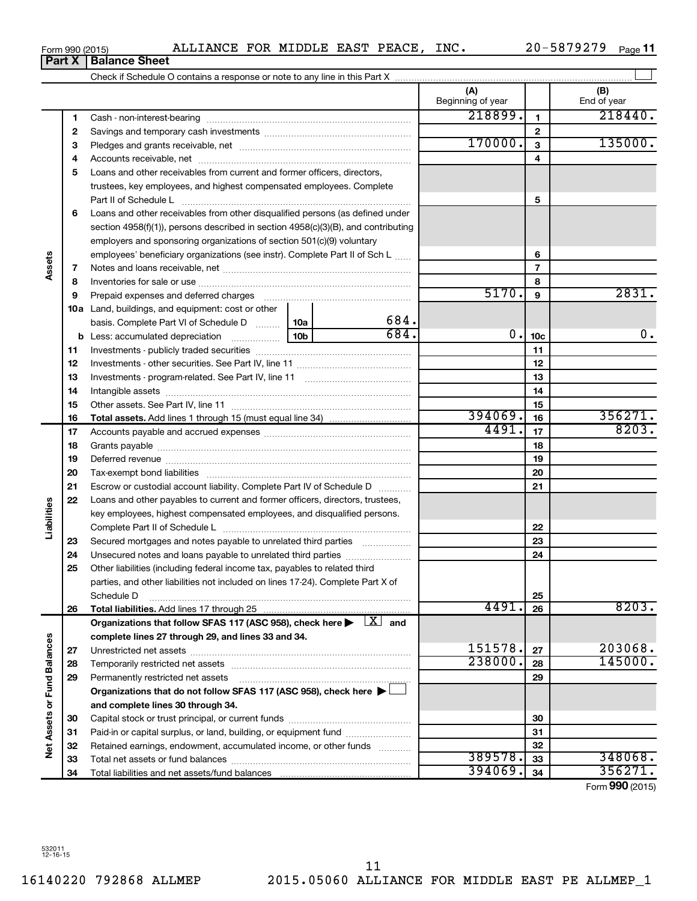**34**

Total liabilities and net assets/fund balances

**Net Assets or Fund Balances**

**Vet Assets or Fund Balances** 

**34**

394069. 34 356271.

Form (2015) **990**

**6** Loans and other receivables from other disqualified persons (as defined under **7 8 9 10 a** Land, buildings, and equipment: cost or other **11** Investments - publicly traded securities ~~~~~~~~~~~~~~~~~~~ **12** Investments - other securities. See Part IV, line 11 ~~~~~~~~~~~~~~ **13 14 15 16 17 18 19 20 21 22 23 24 25 26 27 28 29 30 31 32 33 5 6 7 8 9 10c 11 12 13 14 15 16 17 18 19 20 21 22 23 24 25 26 b** Less: accumulated depreciation  $\ldots$  [10b basis. Complete Part VI of Schedule D  $\frac{1}{10}$  10a **Total assets.**  Add lines 1 through 15 (must equal line 34) **Total liabilities.**  Add lines 17 through 25 Organizations that follow SFAS 117 (ASC 958), check here  $\blacktriangleright$   $\boxed{X}$  and **complete lines 27 through 29, and lines 33 and 34. 27 28 29 Organizations that do not follow SFAS 117 (ASC 958), check here** | † **and complete lines 30 through 34. 30 31 32 33** Part II of Schedule L ~~~~~~~~~~~~~~~~~~~~~~~~~~~~ section 4958(f)(1)), persons described in section 4958(c)(3)(B), and contributing employers and sponsoring organizations of section 501(c)(9) voluntary employees' beneficiary organizations (see instr). Complete Part II of Sch L ...... Notes and loans receivable, net ~~~~~~~~~~~~~~~~~~~~~~~ Inventories for sale or use ~~~~~~~~~~~~~~~~~~~~~~~~~~ Prepaid expenses and deferred charges ~~~~~~~~~~~~~~~~~~ Investments - program-related. See Part IV, line 11 ~~~~~~~~~~~~~ Intangible assets ~~~~~~~~~~~~~~~~~~~~~~~~~~~~~~ Other assets. See Part IV, line 11 ~~~~~~~~~~~~~~~~~~~~~~ Accounts payable and accrued expenses ~~~~~~~~~~~~~~~~~~ Grants payable ~~~~~~~~~~~~~~~~~~~~~~~~~~~~~~~ Deferred revenue ~~~~~~~~~~~~~~~~~~~~~~~~~~~~~~ Tax-exempt bond liabilities ~~~~~~~~~~~~~~~~~~~~~~~~~ Escrow or custodial account liability. Complete Part IV of Schedule D ........... Loans and other payables to current and former officers, directors, trustees, key employees, highest compensated employees, and disqualified persons. Complete Part II of Schedule L ~~~~~~~~~~~~~~~~~~~~~~~ Secured mortgages and notes payable to unrelated third parties  $\ldots$  ................. Unsecured notes and loans payable to unrelated third parties ~~~~~~~~ Other liabilities (including federal income tax, payables to related third parties, and other liabilities not included on lines 17-24). Complete Part X of Schedule D ~~~~~~~~~~~~~~~~~~~~~~~~~~~~~~~~ Unrestricted net assets ~~~~~~~~~~~~~~~~~~~~~~~~~~~ Temporarily restricted net assets ~~~~~~~~~~~~~~~~~~~~~~ Permanently restricted net assets ~~~~~~~~~~~~~~~~~~~~~ Capital stock or trust principal, or current funds ~~~~~~~~~~~~~~~ Paid-in or capital surplus, or land, building, or equipment fund ....................... Retained earnings, endowment, accumulated income, or other funds ............ Total net assets or fund balances ~~~~~~~~~~~~~~~~~~~~~~  $5170.$  9 2831. 684.  $684.$  0.  $10c$  0. 0. 394069. 356271. 4491. 8203. 4491. 8203.  $151578$ .  $203068$ . 238000. 145000. 389578. 348068.

Form 990 (2015) Page ALLIANCE FOR MIDDLE EAST PEACE, INC. 20-5879279

**3** Pledges and grants receivable, net ~~~~~~~~~~~~~~~~~~~~~ **4** Accounts receivable, net ~~~~~~~~~~~~~~~~~~~~~~~~~~ **5** Loans and other receivables from current and former officers, directors,

trustees, key employees, and highest compensated employees. Complete

Cash - non-interest-bearing ~~~~~~~~~~~~~~~~~~~~~~~~~ Savings and temporary cash investments ~~~~~~~~~~~~~~~~~~

Check if Schedule O contains a response or note to any line in this Part X

20-5879279 <sub>Page</sub> 11

 $\perp$ 

**(A) (B)**

Beginning of year | | End of year

218899. 218440.

 $170000.$  3 135000.

**Part X** | **Balance Sheet** 

**1 2**

**Assets**

**Liabilities**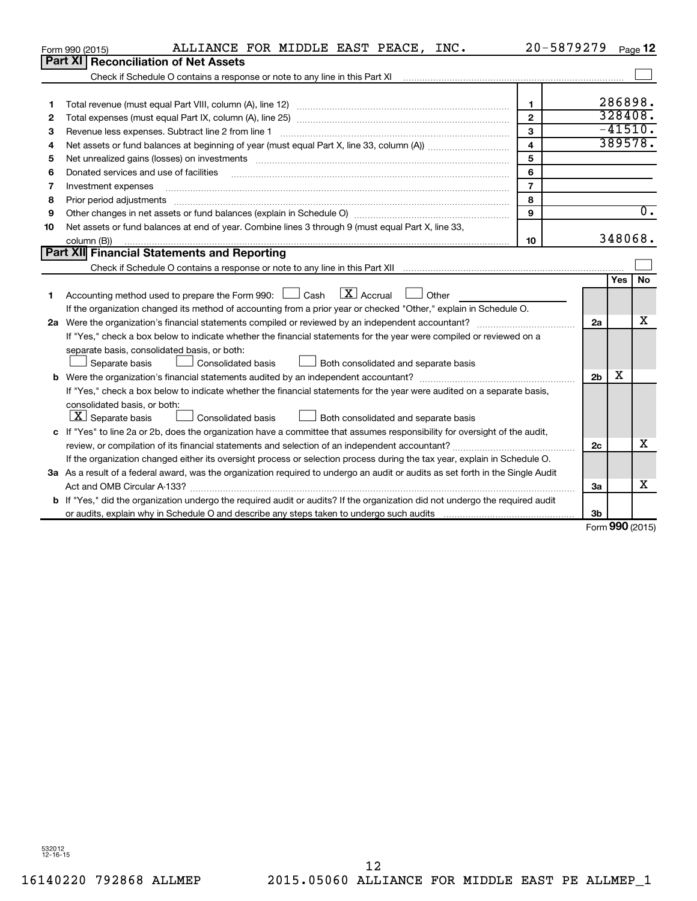|         | ALLIANCE FOR MIDDLE EAST PEACE, INC.<br>Form 990 (2015)                                                                                                                                                                        |                         | 20-5879279     |        | Page 12   |
|---------|--------------------------------------------------------------------------------------------------------------------------------------------------------------------------------------------------------------------------------|-------------------------|----------------|--------|-----------|
| Part XI | <b>Reconciliation of Net Assets</b>                                                                                                                                                                                            |                         |                |        |           |
|         |                                                                                                                                                                                                                                |                         |                |        |           |
|         |                                                                                                                                                                                                                                |                         |                |        |           |
| 1       |                                                                                                                                                                                                                                | $\mathbf{1}$            |                |        | 286898.   |
| 2       |                                                                                                                                                                                                                                | $\mathbf{2}$            |                |        | 328408.   |
| 3       | Revenue less expenses. Subtract line 2 from line 1                                                                                                                                                                             | 3                       |                |        | $-41510.$ |
| 4       |                                                                                                                                                                                                                                | $\overline{\mathbf{4}}$ |                |        | 389578.   |
| 5       | Net unrealized gains (losses) on investments [11] matter contracts and the state of the state of the state of the state of the state of the state of the state of the state of the state of the state of the state of the stat | 5                       |                |        |           |
| 6       | Donated services and use of facilities                                                                                                                                                                                         | 6                       |                |        |           |
| 7       | Investment expenses                                                                                                                                                                                                            | $\overline{7}$          |                |        |           |
| 8       | Prior period adjustments www.communication.communication.com/news/communication.com/news/communication.com/new                                                                                                                 | 8                       |                |        |           |
| 9       |                                                                                                                                                                                                                                | $\mathbf{Q}$            |                |        | 0.        |
| 10      | Net assets or fund balances at end of year. Combine lines 3 through 9 (must equal Part X, line 33,                                                                                                                             |                         |                |        |           |
|         | column (B))                                                                                                                                                                                                                    | 10                      |                |        | 348068.   |
|         | Part XII Financial Statements and Reporting                                                                                                                                                                                    |                         |                |        |           |
|         |                                                                                                                                                                                                                                |                         |                |        |           |
|         |                                                                                                                                                                                                                                |                         |                | Yes    | <b>No</b> |
| 1       | Accounting method used to prepare the Form 990: $\Box$ Cash $\Box$ Accrual $\Box$ Other                                                                                                                                        |                         |                |        |           |
|         | If the organization changed its method of accounting from a prior year or checked "Other," explain in Schedule O.                                                                                                              |                         |                |        |           |
|         |                                                                                                                                                                                                                                |                         | 2a             |        | x         |
|         | If "Yes," check a box below to indicate whether the financial statements for the year were compiled or reviewed on a                                                                                                           |                         |                |        |           |
|         | separate basis, consolidated basis, or both:                                                                                                                                                                                   |                         |                |        |           |
|         | Both consolidated and separate basis<br>Separate basis<br>Consolidated basis                                                                                                                                                   |                         |                |        |           |
|         |                                                                                                                                                                                                                                |                         | 2 <sub>b</sub> | х      |           |
|         | If "Yes," check a box below to indicate whether the financial statements for the year were audited on a separate basis,                                                                                                        |                         |                |        |           |
|         | consolidated basis, or both:                                                                                                                                                                                                   |                         |                |        |           |
|         | $ \mathbf{X} $ Separate basis<br>Consolidated basis<br>Both consolidated and separate basis                                                                                                                                    |                         |                |        |           |
|         | c If "Yes" to line 2a or 2b, does the organization have a committee that assumes responsibility for oversight of the audit,                                                                                                    |                         |                |        |           |
|         | review, or compilation of its financial statements and selection of an independent accountant?                                                                                                                                 |                         | 2c             |        | x         |
|         | If the organization changed either its oversight process or selection process during the tax year, explain in Schedule O.                                                                                                      |                         |                |        |           |
|         | 3a As a result of a federal award, was the organization required to undergo an audit or audits as set forth in the Single Audit                                                                                                |                         |                |        |           |
|         |                                                                                                                                                                                                                                |                         | За             |        | X         |
|         | b If "Yes," did the organization undergo the required audit or audits? If the organization did not undergo the required audit                                                                                                  |                         |                |        |           |
|         |                                                                                                                                                                                                                                |                         | 3b             | $\sim$ |           |

Form (2015) **990**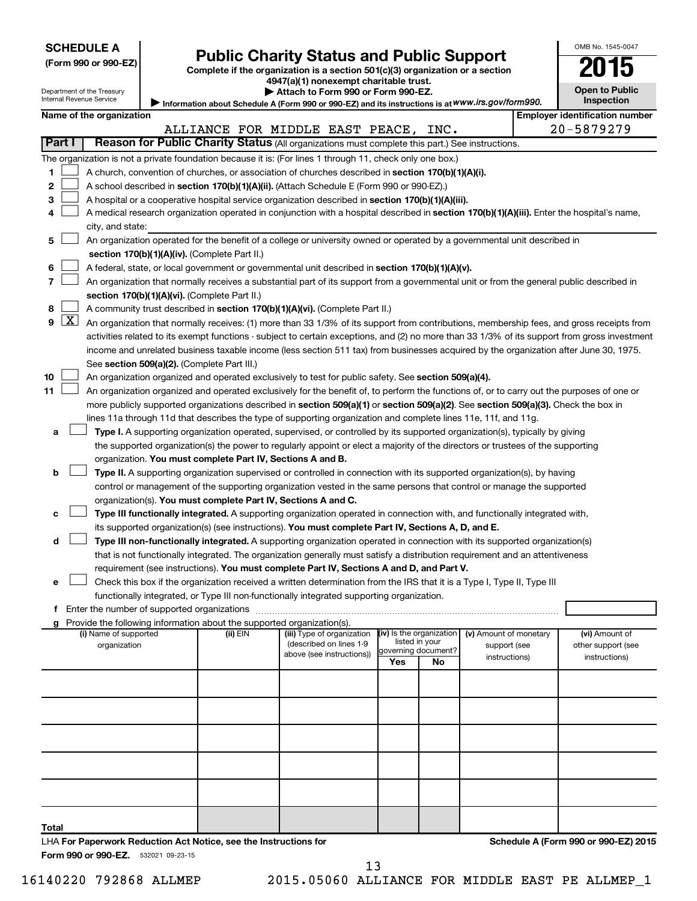| <b>SCHEDULE A</b> |  |
|-------------------|--|
|-------------------|--|

Department of the Treasury

| (Form 990 or 990-EZ |  |  |  |  |
|---------------------|--|--|--|--|
|---------------------|--|--|--|--|

# **Public Charity Status and Public Support**<br> **2015**

**(Form 990 or 990-EZ) Complete if the organization is a section 501(c)(3) organization or a section**

**4947(a)(1) nonexempt charitable trust.**

| Attach to Form 990 or Form 990-EZ. |  |  |  |  |
|------------------------------------|--|--|--|--|
|                                    |  |  |  |  |

|                | Internal Revenue Service<br>Inspection<br>Information about Schedule A (Form 990 or 990-EZ) and its instructions is at WWW.irs.gov/form990. |                                                                                                    |                                             |                                                                                    |                                                                                                                                                                                                                                                 |     |                          |                        |  |                                      |
|----------------|---------------------------------------------------------------------------------------------------------------------------------------------|----------------------------------------------------------------------------------------------------|---------------------------------------------|------------------------------------------------------------------------------------|-------------------------------------------------------------------------------------------------------------------------------------------------------------------------------------------------------------------------------------------------|-----|--------------------------|------------------------|--|--------------------------------------|
|                | Name of the organization<br><b>Employer identification number</b>                                                                           |                                                                                                    |                                             |                                                                                    |                                                                                                                                                                                                                                                 |     |                          |                        |  |                                      |
|                |                                                                                                                                             |                                                                                                    |                                             |                                                                                    | ALLIANCE FOR MIDDLE EAST PEACE, INC.                                                                                                                                                                                                            |     |                          |                        |  | 20-5879279                           |
|                | Part I                                                                                                                                      | Reason for Public Charity Status (All organizations must complete this part.) See instructions.    |                                             |                                                                                    |                                                                                                                                                                                                                                                 |     |                          |                        |  |                                      |
|                |                                                                                                                                             |                                                                                                    |                                             |                                                                                    | The organization is not a private foundation because it is: (For lines 1 through 11, check only one box.)                                                                                                                                       |     |                          |                        |  |                                      |
| 1              |                                                                                                                                             |                                                                                                    |                                             |                                                                                    | A church, convention of churches, or association of churches described in section 170(b)(1)(A)(i).                                                                                                                                              |     |                          |                        |  |                                      |
| 2              |                                                                                                                                             |                                                                                                    |                                             |                                                                                    | A school described in section 170(b)(1)(A)(ii). (Attach Schedule E (Form 990 or 990-EZ).)                                                                                                                                                       |     |                          |                        |  |                                      |
| З              |                                                                                                                                             |                                                                                                    |                                             |                                                                                    |                                                                                                                                                                                                                                                 |     |                          |                        |  |                                      |
| 4              |                                                                                                                                             |                                                                                                    |                                             |                                                                                    | A hospital or a cooperative hospital service organization described in section 170(b)(1)(A)(iii).<br>A medical research organization operated in conjunction with a hospital described in section 170(b)(1)(A)(iii). Enter the hospital's name, |     |                          |                        |  |                                      |
|                |                                                                                                                                             |                                                                                                    |                                             |                                                                                    |                                                                                                                                                                                                                                                 |     |                          |                        |  |                                      |
|                |                                                                                                                                             | city, and state:                                                                                   |                                             |                                                                                    |                                                                                                                                                                                                                                                 |     |                          |                        |  |                                      |
| 5              |                                                                                                                                             |                                                                                                    |                                             |                                                                                    | An organization operated for the benefit of a college or university owned or operated by a governmental unit described in                                                                                                                       |     |                          |                        |  |                                      |
|                |                                                                                                                                             |                                                                                                    |                                             | section 170(b)(1)(A)(iv). (Complete Part II.)                                      |                                                                                                                                                                                                                                                 |     |                          |                        |  |                                      |
| 6              |                                                                                                                                             |                                                                                                    |                                             |                                                                                    | A federal, state, or local government or governmental unit described in section 170(b)(1)(A)(v).                                                                                                                                                |     |                          |                        |  |                                      |
| $\overline{7}$ |                                                                                                                                             |                                                                                                    |                                             |                                                                                    | An organization that normally receives a substantial part of its support from a governmental unit or from the general public described in                                                                                                       |     |                          |                        |  |                                      |
|                |                                                                                                                                             |                                                                                                    |                                             | section 170(b)(1)(A)(vi). (Complete Part II.)                                      |                                                                                                                                                                                                                                                 |     |                          |                        |  |                                      |
| 8              |                                                                                                                                             |                                                                                                    |                                             |                                                                                    | A community trust described in section 170(b)(1)(A)(vi). (Complete Part II.)                                                                                                                                                                    |     |                          |                        |  |                                      |
| 9              | $\lfloor x \rfloor$                                                                                                                         |                                                                                                    |                                             |                                                                                    | An organization that normally receives: (1) more than 33 1/3% of its support from contributions, membership fees, and gross receipts from                                                                                                       |     |                          |                        |  |                                      |
|                |                                                                                                                                             |                                                                                                    |                                             |                                                                                    | activities related to its exempt functions - subject to certain exceptions, and (2) no more than 33 1/3% of its support from gross investment                                                                                                   |     |                          |                        |  |                                      |
|                |                                                                                                                                             |                                                                                                    |                                             |                                                                                    | income and unrelated business taxable income (less section 511 tax) from businesses acquired by the organization after June 30, 1975.                                                                                                           |     |                          |                        |  |                                      |
|                |                                                                                                                                             |                                                                                                    |                                             | See section 509(a)(2). (Complete Part III.)                                        |                                                                                                                                                                                                                                                 |     |                          |                        |  |                                      |
| 10             |                                                                                                                                             |                                                                                                    |                                             |                                                                                    | An organization organized and operated exclusively to test for public safety. See section 509(a)(4).                                                                                                                                            |     |                          |                        |  |                                      |
| 11             |                                                                                                                                             |                                                                                                    |                                             |                                                                                    | An organization organized and operated exclusively for the benefit of, to perform the functions of, or to carry out the purposes of one or                                                                                                      |     |                          |                        |  |                                      |
|                |                                                                                                                                             |                                                                                                    |                                             |                                                                                    | more publicly supported organizations described in section 509(a)(1) or section 509(a)(2). See section 509(a)(3). Check the box in                                                                                                              |     |                          |                        |  |                                      |
|                |                                                                                                                                             |                                                                                                    |                                             |                                                                                    | lines 11a through 11d that describes the type of supporting organization and complete lines 11e, 11f, and 11g.                                                                                                                                  |     |                          |                        |  |                                      |
| а              |                                                                                                                                             |                                                                                                    |                                             |                                                                                    | Type I. A supporting organization operated, supervised, or controlled by its supported organization(s), typically by giving                                                                                                                     |     |                          |                        |  |                                      |
|                |                                                                                                                                             |                                                                                                    |                                             |                                                                                    | the supported organization(s) the power to regularly appoint or elect a majority of the directors or trustees of the supporting                                                                                                                 |     |                          |                        |  |                                      |
|                |                                                                                                                                             |                                                                                                    |                                             | organization. You must complete Part IV, Sections A and B.                         |                                                                                                                                                                                                                                                 |     |                          |                        |  |                                      |
| b              |                                                                                                                                             |                                                                                                    |                                             |                                                                                    | Type II. A supporting organization supervised or controlled in connection with its supported organization(s), by having                                                                                                                         |     |                          |                        |  |                                      |
|                |                                                                                                                                             |                                                                                                    |                                             |                                                                                    | control or management of the supporting organization vested in the same persons that control or manage the supported                                                                                                                            |     |                          |                        |  |                                      |
|                |                                                                                                                                             |                                                                                                    |                                             |                                                                                    | organization(s). You must complete Part IV, Sections A and C.                                                                                                                                                                                   |     |                          |                        |  |                                      |
| с              |                                                                                                                                             |                                                                                                    |                                             |                                                                                    | Type III functionally integrated. A supporting organization operated in connection with, and functionally integrated with,                                                                                                                      |     |                          |                        |  |                                      |
|                |                                                                                                                                             |                                                                                                    |                                             |                                                                                    | its supported organization(s) (see instructions). You must complete Part IV, Sections A, D, and E.                                                                                                                                              |     |                          |                        |  |                                      |
| d              |                                                                                                                                             |                                                                                                    |                                             |                                                                                    | Type III non-functionally integrated. A supporting organization operated in connection with its supported organization(s)                                                                                                                       |     |                          |                        |  |                                      |
|                |                                                                                                                                             |                                                                                                    |                                             |                                                                                    | that is not functionally integrated. The organization generally must satisfy a distribution requirement and an attentiveness                                                                                                                    |     |                          |                        |  |                                      |
|                |                                                                                                                                             |                                                                                                    |                                             |                                                                                    | requirement (see instructions). You must complete Part IV, Sections A and D, and Part V.                                                                                                                                                        |     |                          |                        |  |                                      |
| е              |                                                                                                                                             |                                                                                                    |                                             |                                                                                    | Check this box if the organization received a written determination from the IRS that it is a Type I, Type II, Type III                                                                                                                         |     |                          |                        |  |                                      |
|                |                                                                                                                                             |                                                                                                    |                                             |                                                                                    | functionally integrated, or Type III non-functionally integrated supporting organization.                                                                                                                                                       |     |                          |                        |  |                                      |
| f.             |                                                                                                                                             |                                                                                                    | Enter the number of supported organizations |                                                                                    |                                                                                                                                                                                                                                                 |     |                          |                        |  |                                      |
|                |                                                                                                                                             | (i) Name of supported                                                                              |                                             | Provide the following information about the supported organization(s).<br>(ii) EIN | (iii) Type of organization                                                                                                                                                                                                                      |     | (iv) Is the organization | (v) Amount of monetary |  |                                      |
|                |                                                                                                                                             | organization                                                                                       |                                             |                                                                                    | (described on lines 1-9                                                                                                                                                                                                                         |     | listed in your           |                        |  | (vi) Amount of<br>other support (see |
|                |                                                                                                                                             | support (see<br>governing document?<br>above (see instructions))<br>instructions)<br>instructions) |                                             |                                                                                    |                                                                                                                                                                                                                                                 |     |                          |                        |  |                                      |
|                |                                                                                                                                             |                                                                                                    |                                             |                                                                                    |                                                                                                                                                                                                                                                 | Yes | No                       |                        |  |                                      |
|                |                                                                                                                                             |                                                                                                    |                                             |                                                                                    |                                                                                                                                                                                                                                                 |     |                          |                        |  |                                      |
|                |                                                                                                                                             |                                                                                                    |                                             |                                                                                    |                                                                                                                                                                                                                                                 |     |                          |                        |  |                                      |
|                |                                                                                                                                             |                                                                                                    |                                             |                                                                                    |                                                                                                                                                                                                                                                 |     |                          |                        |  |                                      |
|                |                                                                                                                                             |                                                                                                    |                                             |                                                                                    |                                                                                                                                                                                                                                                 |     |                          |                        |  |                                      |
|                |                                                                                                                                             |                                                                                                    |                                             |                                                                                    |                                                                                                                                                                                                                                                 |     |                          |                        |  |                                      |
|                |                                                                                                                                             |                                                                                                    |                                             |                                                                                    |                                                                                                                                                                                                                                                 |     |                          |                        |  |                                      |
|                |                                                                                                                                             |                                                                                                    |                                             |                                                                                    |                                                                                                                                                                                                                                                 |     |                          |                        |  |                                      |
|                |                                                                                                                                             |                                                                                                    |                                             |                                                                                    |                                                                                                                                                                                                                                                 |     |                          |                        |  |                                      |
|                |                                                                                                                                             |                                                                                                    |                                             |                                                                                    |                                                                                                                                                                                                                                                 |     |                          |                        |  |                                      |

Form 990 or 990-EZ. 532021 09-23-15 **Total** LHA **For Paperwork Reduction Act Notice, see the Instructions for** 

**Schedule A (Form 990 or 990-EZ) 2015**

OMB No. 1545-0047

**Open to Public Inspection**

16140220 792868 ALLMEP 2015.05060 ALLIANCE FOR MIDDLE EAST PE ALLMEP\_1 13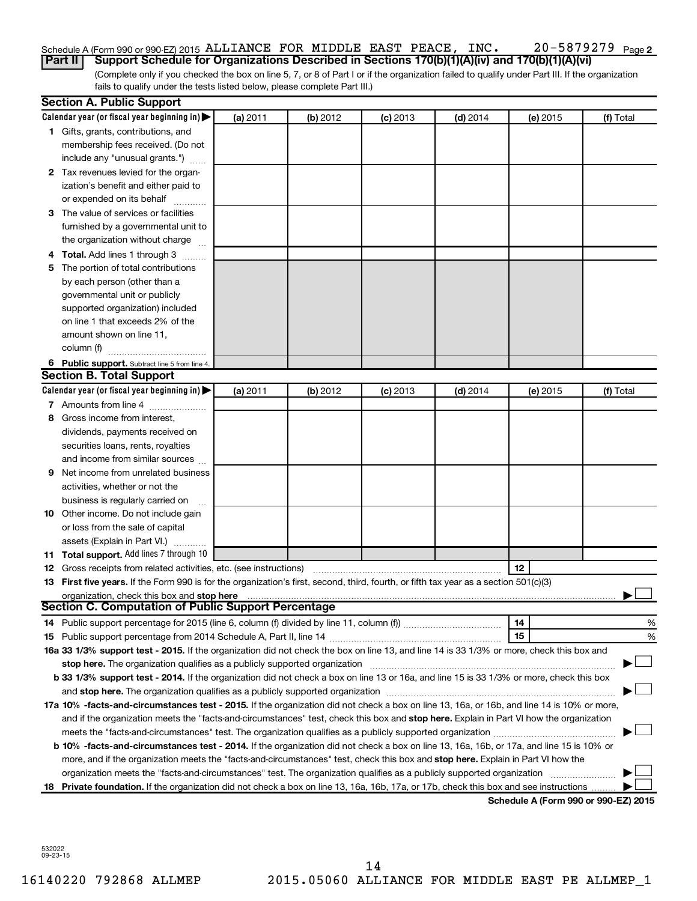#### 20-5879279 Page 2 Schedule A (Form 990 or 990-EZ) 2015 ALLIANCE FOR MIDDLE EAST PEACE, INC.  $20-5879279$   $_{\rm Page}$ **Part II Support Schedule for Organizations Described in Sections 170(b)(1)(A)(iv) and 170(b)(1)(A)(vi)**

(Complete only if you checked the box on line 5, 7, or 8 of Part I or if the organization failed to qualify under Part III. If the organization fails to qualify under the tests listed below, please complete Part III.)

|    | <b>Section A. Public Support</b>                                                                                                                                                                                               |          |          |            |            |          |                                             |
|----|--------------------------------------------------------------------------------------------------------------------------------------------------------------------------------------------------------------------------------|----------|----------|------------|------------|----------|---------------------------------------------|
|    | Calendar year (or fiscal year beginning in) $\blacktriangleright$                                                                                                                                                              | (a) 2011 | (b) 2012 | $(c)$ 2013 | $(d)$ 2014 | (e) 2015 | (f) Total                                   |
|    | 1 Gifts, grants, contributions, and                                                                                                                                                                                            |          |          |            |            |          |                                             |
|    | membership fees received. (Do not                                                                                                                                                                                              |          |          |            |            |          |                                             |
|    | include any "unusual grants.")                                                                                                                                                                                                 |          |          |            |            |          |                                             |
|    | 2 Tax revenues levied for the organ-                                                                                                                                                                                           |          |          |            |            |          |                                             |
|    | ization's benefit and either paid to                                                                                                                                                                                           |          |          |            |            |          |                                             |
|    | or expended on its behalf                                                                                                                                                                                                      |          |          |            |            |          |                                             |
|    | 3 The value of services or facilities                                                                                                                                                                                          |          |          |            |            |          |                                             |
|    | furnished by a governmental unit to                                                                                                                                                                                            |          |          |            |            |          |                                             |
|    | the organization without charge                                                                                                                                                                                                |          |          |            |            |          |                                             |
|    | 4 Total. Add lines 1 through 3                                                                                                                                                                                                 |          |          |            |            |          |                                             |
| 5. | The portion of total contributions                                                                                                                                                                                             |          |          |            |            |          |                                             |
|    | by each person (other than a                                                                                                                                                                                                   |          |          |            |            |          |                                             |
|    | governmental unit or publicly                                                                                                                                                                                                  |          |          |            |            |          |                                             |
|    | supported organization) included                                                                                                                                                                                               |          |          |            |            |          |                                             |
|    | on line 1 that exceeds 2% of the                                                                                                                                                                                               |          |          |            |            |          |                                             |
|    | amount shown on line 11,                                                                                                                                                                                                       |          |          |            |            |          |                                             |
|    | column (f)                                                                                                                                                                                                                     |          |          |            |            |          |                                             |
|    | 6 Public support. Subtract line 5 from line 4.                                                                                                                                                                                 |          |          |            |            |          |                                             |
|    | <b>Section B. Total Support</b>                                                                                                                                                                                                |          |          |            |            |          |                                             |
|    | Calendar year (or fiscal year beginning in)                                                                                                                                                                                    | (a) 2011 | (b) 2012 | $(c)$ 2013 | $(d)$ 2014 | (e) 2015 | (f) Total                                   |
|    | 7 Amounts from line 4                                                                                                                                                                                                          |          |          |            |            |          |                                             |
| 8  | Gross income from interest,                                                                                                                                                                                                    |          |          |            |            |          |                                             |
|    | dividends, payments received on                                                                                                                                                                                                |          |          |            |            |          |                                             |
|    | securities loans, rents, royalties                                                                                                                                                                                             |          |          |            |            |          |                                             |
|    | and income from similar sources                                                                                                                                                                                                |          |          |            |            |          |                                             |
| 9  | Net income from unrelated business                                                                                                                                                                                             |          |          |            |            |          |                                             |
|    | activities, whether or not the                                                                                                                                                                                                 |          |          |            |            |          |                                             |
|    | business is regularly carried on                                                                                                                                                                                               |          |          |            |            |          |                                             |
|    | <b>10</b> Other income. Do not include gain                                                                                                                                                                                    |          |          |            |            |          |                                             |
|    | or loss from the sale of capital                                                                                                                                                                                               |          |          |            |            |          |                                             |
|    | assets (Explain in Part VI.)                                                                                                                                                                                                   |          |          |            |            |          |                                             |
|    | 11 Total support. Add lines 7 through 10                                                                                                                                                                                       |          |          |            |            |          |                                             |
|    | <b>12</b> Gross receipts from related activities, etc. (see instructions)                                                                                                                                                      |          |          |            |            | 12       |                                             |
|    | 13 First five years. If the Form 990 is for the organization's first, second, third, fourth, or fifth tax year as a section 501(c)(3)                                                                                          |          |          |            |            |          |                                             |
|    | organization, check this box and stop here                                                                                                                                                                                     |          |          |            |            |          |                                             |
|    | <b>Section C. Computation of Public Support Percentage</b>                                                                                                                                                                     |          |          |            |            |          |                                             |
|    |                                                                                                                                                                                                                                |          |          |            |            | 14       | %                                           |
|    |                                                                                                                                                                                                                                |          |          |            |            | 15       | %                                           |
|    | 16a 33 1/3% support test - 2015. If the organization did not check the box on line 13, and line 14 is 33 1/3% or more, check this box and                                                                                      |          |          |            |            |          |                                             |
|    | stop here. The organization qualifies as a publicly supported organization manufactured content and the content of the state of the state of the state of the state of the state of the state of the state of the state of the |          |          |            |            |          |                                             |
|    | b 33 1/3% support test - 2014. If the organization did not check a box on line 13 or 16a, and line 15 is 33 1/3% or more, check this box                                                                                       |          |          |            |            |          |                                             |
|    |                                                                                                                                                                                                                                |          |          |            |            |          |                                             |
|    | 17a 10% -facts-and-circumstances test - 2015. If the organization did not check a box on line 13, 16a, or 16b, and line 14 is 10% or more,                                                                                     |          |          |            |            |          |                                             |
|    | and if the organization meets the "facts-and-circumstances" test, check this box and stop here. Explain in Part VI how the organization                                                                                        |          |          |            |            |          |                                             |
|    | meets the "facts-and-circumstances" test. The organization qualifies as a publicly supported organization <i>manumumumum</i>                                                                                                   |          |          |            |            |          |                                             |
|    | b 10% -facts-and-circumstances test - 2014. If the organization did not check a box on line 13, 16a, 16b, or 17a, and line 15 is 10% or                                                                                        |          |          |            |            |          |                                             |
|    | more, and if the organization meets the "facts-and-circumstances" test, check this box and stop here. Explain in Part VI how the                                                                                               |          |          |            |            |          |                                             |
|    | organization meets the "facts-and-circumstances" test. The organization qualifies as a publicly supported organization                                                                                                         |          |          |            |            |          |                                             |
| 18 | Private foundation. If the organization did not check a box on line 13, 16a, 16b, 17a, or 17b, check this box and see instructions                                                                                             |          |          |            |            |          | <b>Cohodulo A (Form 000 or 000 EZ) 2015</b> |

**Schedule A (Form 990 or 990-EZ) 2015**

532022 09-23-15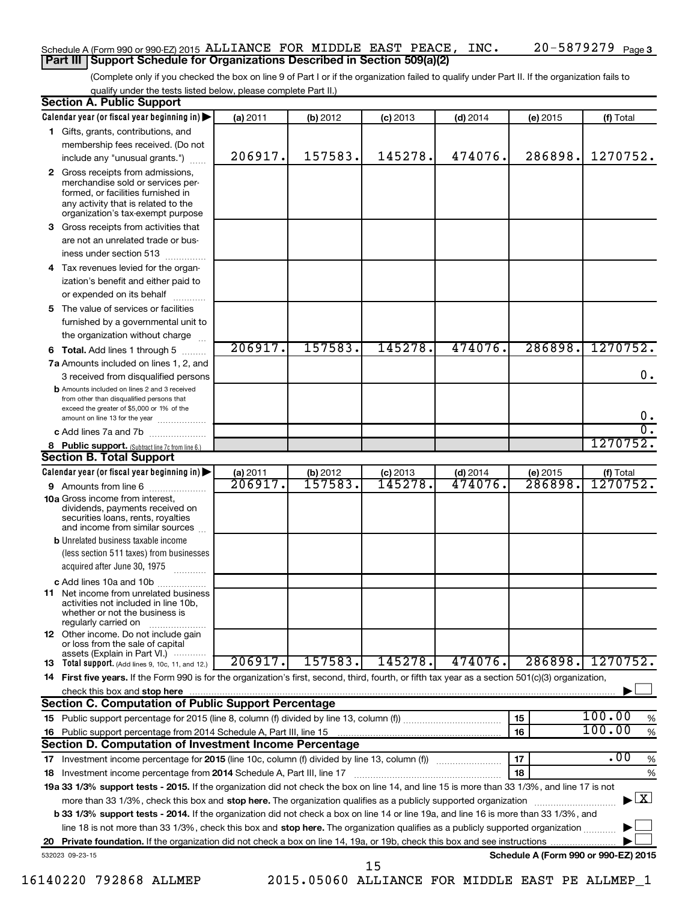### Schedule A (Form 990 or 990-EZ) 2015 ALLIANCE FOR MIDDLE EAST PEACE, INC.  $20-5879279$   $_{\rm Page}$ **Part III Support Schedule for Organizations Described in Section 509(a)(2)**

(Complete only if you checked the box on line 9 of Part I or if the organization failed to qualify under Part II. If the organization fails to qualify under the tests listed below, please complete Part II.)

|    | Calendar year (or fiscal year beginning in)                                                                                                                                                                                                                                     | (a) 2011                      | (b) 2012                       | $(c)$ 2013         | $(d)$ 2014            | (e) 2015            | (f) Total                                       |
|----|---------------------------------------------------------------------------------------------------------------------------------------------------------------------------------------------------------------------------------------------------------------------------------|-------------------------------|--------------------------------|--------------------|-----------------------|---------------------|-------------------------------------------------|
|    | 1 Gifts, grants, contributions, and                                                                                                                                                                                                                                             |                               |                                |                    |                       |                     |                                                 |
|    | membership fees received. (Do not                                                                                                                                                                                                                                               |                               |                                |                    |                       |                     |                                                 |
|    | include any "unusual grants.")                                                                                                                                                                                                                                                  | 206917.                       | 157583.                        | 145278.            | 474076.               | 286898.             | 1270752.                                        |
|    | 2 Gross receipts from admissions,<br>merchandise sold or services per-<br>formed, or facilities furnished in<br>any activity that is related to the<br>organization's tax-exempt purpose                                                                                        |                               |                                |                    |                       |                     |                                                 |
| 3  | Gross receipts from activities that                                                                                                                                                                                                                                             |                               |                                |                    |                       |                     |                                                 |
|    | are not an unrelated trade or bus-<br>iness under section 513                                                                                                                                                                                                                   |                               |                                |                    |                       |                     |                                                 |
| 4  | Tax revenues levied for the organ-                                                                                                                                                                                                                                              |                               |                                |                    |                       |                     |                                                 |
|    | ization's benefit and either paid to                                                                                                                                                                                                                                            |                               |                                |                    |                       |                     |                                                 |
|    | or expended on its behalf                                                                                                                                                                                                                                                       |                               |                                |                    |                       |                     |                                                 |
| 5  | The value of services or facilities<br>furnished by a governmental unit to                                                                                                                                                                                                      |                               |                                |                    |                       |                     |                                                 |
|    | the organization without charge                                                                                                                                                                                                                                                 |                               |                                |                    |                       |                     |                                                 |
| 6  | <b>Total.</b> Add lines 1 through 5                                                                                                                                                                                                                                             | 206917.                       | 157583.                        | 145278             | 474076.               | 286898.             | 1270752.                                        |
|    | 7a Amounts included on lines 1, 2, and<br>3 received from disqualified persons                                                                                                                                                                                                  |                               |                                |                    |                       |                     | 0.                                              |
|    | <b>b</b> Amounts included on lines 2 and 3 received<br>from other than disqualified persons that<br>exceed the greater of \$5,000 or 1% of the                                                                                                                                  |                               |                                |                    |                       |                     |                                                 |
|    | amount on line 13 for the year                                                                                                                                                                                                                                                  |                               |                                |                    |                       |                     | $0 \cdot$<br>σ.                                 |
|    | c Add lines 7a and 7b                                                                                                                                                                                                                                                           |                               |                                |                    |                       |                     | 1270752.                                        |
|    | 8 Public support. (Subtract line 7c from line 6.)<br><b>Section B. Total Support</b>                                                                                                                                                                                            |                               |                                |                    |                       |                     |                                                 |
|    | Calendar year (or fiscal year beginning in)                                                                                                                                                                                                                                     |                               |                                |                    |                       |                     |                                                 |
|    | 9 Amounts from line 6                                                                                                                                                                                                                                                           | (a) 2011<br>$\frac{206917.}{$ | (b) 2012<br><del>157583.</del> | (c) 2013<br>145278 | $(d)$ 2014<br>474076. | (e) 2015<br>286898. | (f) Total<br>1270752.                           |
|    | <b>10a</b> Gross income from interest,<br>dividends, payments received on<br>securities loans, rents, royalties<br>and income from similar sources                                                                                                                              |                               |                                |                    |                       |                     |                                                 |
|    | <b>b</b> Unrelated business taxable income                                                                                                                                                                                                                                      |                               |                                |                    |                       |                     |                                                 |
|    | (less section 511 taxes) from businesses<br>acquired after June 30, 1975                                                                                                                                                                                                        |                               |                                |                    |                       |                     |                                                 |
|    | c Add lines 10a and 10b                                                                                                                                                                                                                                                         |                               |                                |                    |                       |                     |                                                 |
| 11 | Net income from unrelated business<br>activities not included in line 10b,<br>whether or not the business is<br>regularly carried on                                                                                                                                            |                               |                                |                    |                       |                     |                                                 |
|    | <b>12</b> Other income. Do not include gain<br>or loss from the sale of capital<br>assets (Explain in Part VI.)                                                                                                                                                                 |                               |                                |                    |                       |                     |                                                 |
|    | 13 Total support. (Add lines 9, 10c, 11, and 12.)                                                                                                                                                                                                                               | 206917.                       | 157583.                        | 145278.            | 474076.               | 286898.             | 1270752.                                        |
|    | 14 First five years. If the Form 990 is for the organization's first, second, third, fourth, or fifth tax year as a section 501(c)(3) organization,                                                                                                                             |                               |                                |                    |                       |                     |                                                 |
|    | check this box and stop here www.communication.communication.communication.com/                                                                                                                                                                                                 |                               |                                |                    |                       |                     |                                                 |
|    | Section C. Computation of Public Support Percentage                                                                                                                                                                                                                             |                               |                                |                    |                       |                     |                                                 |
|    |                                                                                                                                                                                                                                                                                 |                               |                                |                    |                       | 15                  | 100.00<br>%                                     |
|    |                                                                                                                                                                                                                                                                                 |                               |                                |                    |                       | 16                  | 100.00<br>$\%$                                  |
|    | Section D. Computation of Investment Income Percentage                                                                                                                                                                                                                          |                               |                                |                    |                       |                     |                                                 |
|    |                                                                                                                                                                                                                                                                                 |                               |                                |                    |                       | 17                  | .00<br>$\%$                                     |
| 18 | Investment income percentage from 2014 Schedule A, Part III, line 17                                                                                                                                                                                                            |                               |                                |                    |                       | 18                  | %                                               |
|    | 19a 33 1/3% support tests - 2015. If the organization did not check the box on line 14, and line 15 is more than 33 1/3%, and line 17 is not                                                                                                                                    |                               |                                |                    |                       |                     |                                                 |
|    | more than 33 1/3%, check this box and stop here. The organization qualifies as a publicly supported organization                                                                                                                                                                |                               |                                |                    |                       |                     | $\blacktriangleright$ $\mathbf{X}$              |
|    | <b>b 33 1/3% support tests - 2014.</b> If the organization did not check a box on line 14 or line 19a, and line 16 is more than 33 1/3%, and<br>line 18 is not more than 33 1/3%, check this box and stop here. The organization qualifies as a publicly supported organization |                               |                                |                    |                       |                     |                                                 |
|    |                                                                                                                                                                                                                                                                                 |                               |                                |                    |                       |                     |                                                 |
|    | 532023 09-23-15                                                                                                                                                                                                                                                                 |                               |                                |                    |                       |                     | Schedule A (Form 990 or 990-EZ) 2015            |
|    |                                                                                                                                                                                                                                                                                 |                               |                                | 15                 |                       |                     |                                                 |
|    | 16140220 792868 ALLMEP                                                                                                                                                                                                                                                          |                               |                                |                    |                       |                     | 2015.05060 ALLIANCE FOR MIDDLE EAST PE ALLMEP_1 |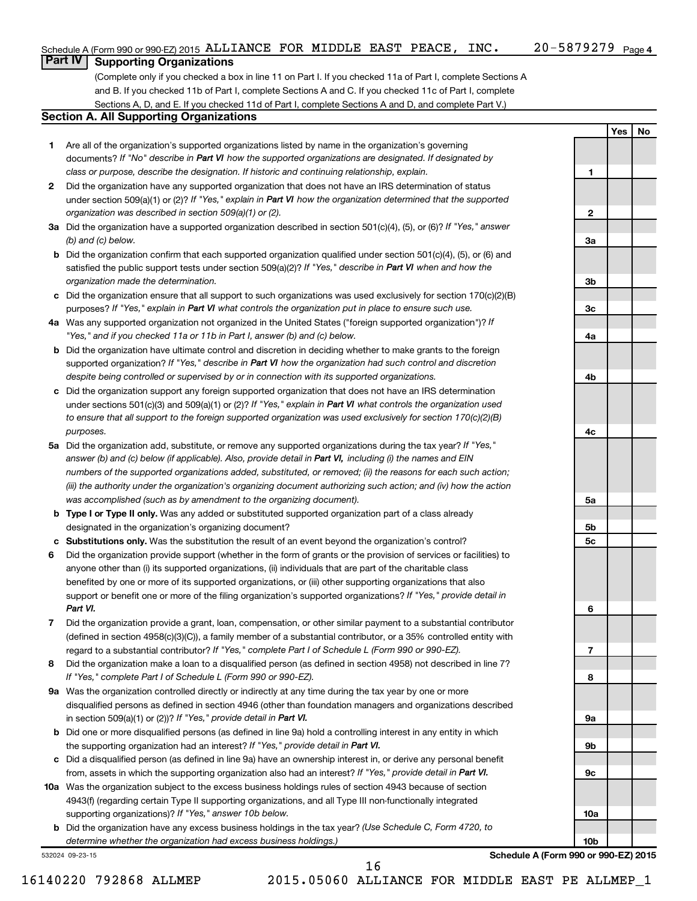**1**

**2**

**3a**

**3b**

**3c**

**4a**

**4b**

**4c**

**5a**

**5b 5c**

**6**

**7**

**8**

**9a**

**9b**

**9c**

**10a**

**10b**

**Yes No**

# **Part IV Supporting Organizations**

(Complete only if you checked a box in line 11 on Part I. If you checked 11a of Part I, complete Sections A and B. If you checked 11b of Part I, complete Sections A and C. If you checked 11c of Part I, complete Sections A, D, and E. If you checked 11d of Part I, complete Sections A and D, and complete Part V.)

### **Section A. All Supporting Organizations**

- **1** Are all of the organization's supported organizations listed by name in the organization's governing documents? If "No" describe in Part VI how the supported organizations are designated. If designated by *class or purpose, describe the designation. If historic and continuing relationship, explain.*
- **2** Did the organization have any supported organization that does not have an IRS determination of status under section 509(a)(1) or (2)? If "Yes," explain in Part VI how the organization determined that the supported *organization was described in section 509(a)(1) or (2).*
- **3a** Did the organization have a supported organization described in section 501(c)(4), (5), or (6)? If "Yes," answer *(b) and (c) below.*
- **b** Did the organization confirm that each supported organization qualified under section 501(c)(4), (5), or (6) and satisfied the public support tests under section 509(a)(2)? If "Yes," describe in Part VI when and how the *organization made the determination.*
- **c** Did the organization ensure that all support to such organizations was used exclusively for section 170(c)(2)(B) purposes? If "Yes," explain in Part VI what controls the organization put in place to ensure such use.
- **4 a** *If* Was any supported organization not organized in the United States ("foreign supported organization")? *"Yes," and if you checked 11a or 11b in Part I, answer (b) and (c) below.*
- **b** Did the organization have ultimate control and discretion in deciding whether to make grants to the foreign supported organization? If "Yes," describe in Part VI how the organization had such control and discretion *despite being controlled or supervised by or in connection with its supported organizations.*
- **c** Did the organization support any foreign supported organization that does not have an IRS determination under sections 501(c)(3) and 509(a)(1) or (2)? If "Yes," explain in Part VI what controls the organization used *to ensure that all support to the foreign supported organization was used exclusively for section 170(c)(2)(B) purposes.*
- **5a** Did the organization add, substitute, or remove any supported organizations during the tax year? If "Yes," answer (b) and (c) below (if applicable). Also, provide detail in Part VI, including (i) the names and EIN *numbers of the supported organizations added, substituted, or removed; (ii) the reasons for each such action; (iii) the authority under the organization's organizing document authorizing such action; and (iv) how the action was accomplished (such as by amendment to the organizing document).*
- **b** Type I or Type II only. Was any added or substituted supported organization part of a class already designated in the organization's organizing document?
- **c Substitutions only.**  Was the substitution the result of an event beyond the organization's control?
- **6** Did the organization provide support (whether in the form of grants or the provision of services or facilities) to support or benefit one or more of the filing organization's supported organizations? If "Yes," provide detail in anyone other than (i) its supported organizations, (ii) individuals that are part of the charitable class benefited by one or more of its supported organizations, or (iii) other supporting organizations that also *Part VI.*
- **7** Did the organization provide a grant, loan, compensation, or other similar payment to a substantial contributor regard to a substantial contributor? If "Yes," complete Part I of Schedule L (Form 990 or 990-EZ). (defined in section 4958(c)(3)(C)), a family member of a substantial contributor, or a 35% controlled entity with
- **8** Did the organization make a loan to a disqualified person (as defined in section 4958) not described in line 7? *If "Yes," complete Part I of Schedule L (Form 990 or 990-EZ).*
- **9 a** Was the organization controlled directly or indirectly at any time during the tax year by one or more in section 509(a)(1) or (2))? If "Yes," provide detail in Part VI. disqualified persons as defined in section 4946 (other than foundation managers and organizations described
- **b** Did one or more disqualified persons (as defined in line 9a) hold a controlling interest in any entity in which the supporting organization had an interest? If "Yes," provide detail in Part VI.
- **c** Did a disqualified person (as defined in line 9a) have an ownership interest in, or derive any personal benefit from, assets in which the supporting organization also had an interest? If "Yes," provide detail in Part VI.
- **10 a** Was the organization subject to the excess business holdings rules of section 4943 because of section supporting organizations)? If "Yes," answer 10b below. 4943(f) (regarding certain Type II supporting organizations, and all Type III non-functionally integrated
	- **b** Did the organization have any excess business holdings in the tax year? (Use Schedule C, Form 4720, to *determine whether the organization had excess business holdings.)*

532024 09-23-15

**Schedule A (Form 990 or 990-EZ) 2015**

16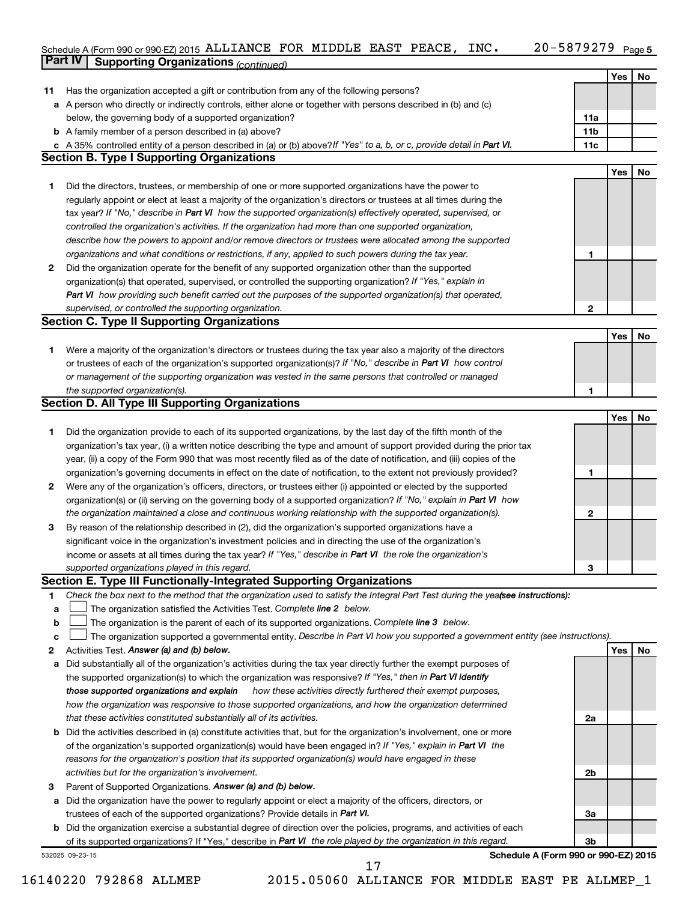#### 20-5879279 Page 5 Schedule A (Form 990 or 990-EZ) 2015 ALLIANCE FOR MIDDLE EAST PEACE, INC.  $20-5879279$  Page **Part IV Supporting Organizations** *(continued)* ALLIANCE FOR MIDDLE EAST PEACE, INC. 20-5879279

|        | <b>uit iv</b><br>Supporting Organizations (continued)                                                                                                                   |                 |            |    |
|--------|-------------------------------------------------------------------------------------------------------------------------------------------------------------------------|-----------------|------------|----|
|        |                                                                                                                                                                         |                 | Yes        | No |
| 11     | Has the organization accepted a gift or contribution from any of the following persons?                                                                                 |                 |            |    |
|        | a A person who directly or indirectly controls, either alone or together with persons described in (b) and (c)                                                          |                 |            |    |
|        | below, the governing body of a supported organization?                                                                                                                  | 11a             |            |    |
|        | <b>b</b> A family member of a person described in (a) above?                                                                                                            | 11 <sub>b</sub> |            |    |
|        | c A 35% controlled entity of a person described in (a) or (b) above? If "Yes" to a, b, or c, provide detail in Part VI.                                                 | 11c             |            |    |
|        | <b>Section B. Type I Supporting Organizations</b>                                                                                                                       |                 | <b>Yes</b> | No |
| 1.     | Did the directors, trustees, or membership of one or more supported organizations have the power to                                                                     |                 |            |    |
|        | regularly appoint or elect at least a majority of the organization's directors or trustees at all times during the                                                      |                 |            |    |
|        | tax year? If "No," describe in Part VI how the supported organization(s) effectively operated, supervised, or                                                           |                 |            |    |
|        | controlled the organization's activities. If the organization had more than one supported organization,                                                                 |                 |            |    |
|        | describe how the powers to appoint and/or remove directors or trustees were allocated among the supported                                                               |                 |            |    |
|        | organizations and what conditions or restrictions, if any, applied to such powers during the tax year.                                                                  | 1               |            |    |
| 2      | Did the organization operate for the benefit of any supported organization other than the supported                                                                     |                 |            |    |
|        | organization(s) that operated, supervised, or controlled the supporting organization? If "Yes," explain in                                                              |                 |            |    |
|        | Part VI how providing such benefit carried out the purposes of the supported organization(s) that operated,                                                             |                 |            |    |
|        | supervised, or controlled the supporting organization.                                                                                                                  | 2               |            |    |
|        | <b>Section C. Type II Supporting Organizations</b>                                                                                                                      |                 |            |    |
|        |                                                                                                                                                                         |                 | <b>Yes</b> | No |
| 1.     | Were a majority of the organization's directors or trustees during the tax year also a majority of the directors                                                        |                 |            |    |
|        | or trustees of each of the organization's supported organization(s)? If "No," describe in Part VI how control                                                           |                 |            |    |
|        | or management of the supporting organization was vested in the same persons that controlled or managed                                                                  |                 |            |    |
|        | the supported organization(s).                                                                                                                                          | 1               |            |    |
|        | <b>Section D. All Type III Supporting Organizations</b>                                                                                                                 |                 |            |    |
|        |                                                                                                                                                                         |                 | <b>Yes</b> | No |
| 1      | Did the organization provide to each of its supported organizations, by the last day of the fifth month of the                                                          |                 |            |    |
|        | organization's tax year, (i) a written notice describing the type and amount of support provided during the prior tax                                                   |                 |            |    |
|        | year, (ii) a copy of the Form 990 that was most recently filed as of the date of notification, and (iii) copies of the                                                  |                 |            |    |
|        | organization's governing documents in effect on the date of notification, to the extent not previously provided?                                                        | 1               |            |    |
| 2      | Were any of the organization's officers, directors, or trustees either (i) appointed or elected by the supported                                                        |                 |            |    |
|        | organization(s) or (ii) serving on the governing body of a supported organization? If "No," explain in Part VI how                                                      |                 |            |    |
|        | the organization maintained a close and continuous working relationship with the supported organization(s).                                                             | 2               |            |    |
| 3      | By reason of the relationship described in (2), did the organization's supported organizations have a                                                                   |                 |            |    |
|        | significant voice in the organization's investment policies and in directing the use of the organization's                                                              |                 |            |    |
|        | income or assets at all times during the tax year? If "Yes," describe in Part VI the role the organization's                                                            |                 |            |    |
|        | supported organizations played in this regard.                                                                                                                          | З               |            |    |
|        | Section E. Type III Functionally-Integrated Supporting Organizations                                                                                                    |                 |            |    |
| 1      | Check the box next to the method that the organization used to satisfy the Integral Part Test during the yeafsee instructions):                                         |                 |            |    |
| а      | The organization satisfied the Activities Test. Complete line 2 below.<br>The organization is the parent of each of its supported organizations. Complete line 3 below. |                 |            |    |
| b<br>с | The organization supported a governmental entity. Describe in Part VI how you supported a government entity (see instructions).                                         |                 |            |    |
| 2      | Activities Test. Answer (a) and (b) below.                                                                                                                              |                 | Yes        | No |
| а      | Did substantially all of the organization's activities during the tax year directly further the exempt purposes of                                                      |                 |            |    |
|        | the supported organization(s) to which the organization was responsive? If "Yes," then in Part VI identify                                                              |                 |            |    |
|        | how these activities directly furthered their exempt purposes,<br>those supported organizations and explain                                                             |                 |            |    |
|        | how the organization was responsive to those supported organizations, and how the organization determined                                                               |                 |            |    |
|        | that these activities constituted substantially all of its activities.                                                                                                  | 2a              |            |    |
| b      | Did the activities described in (a) constitute activities that, but for the organization's involvement, one or more                                                     |                 |            |    |
|        | of the organization's supported organization(s) would have been engaged in? If "Yes," explain in Part VI the                                                            |                 |            |    |
|        | reasons for the organization's position that its supported organization(s) would have engaged in these                                                                  |                 |            |    |
|        | activities but for the organization's involvement.                                                                                                                      | 2b              |            |    |
| З      | Parent of Supported Organizations. Answer (a) and (b) below.                                                                                                            |                 |            |    |
| а      | Did the organization have the power to regularly appoint or elect a majority of the officers, directors, or                                                             |                 |            |    |
|        | trustees of each of the supported organizations? Provide details in Part VI.                                                                                            | За              |            |    |
| b      | Did the organization exercise a substantial degree of direction over the policies, programs, and activities of each                                                     |                 |            |    |
|        | of its supported organizations? If "Yes," describe in Part VI the role played by the organization in this regard.                                                       | 3b              |            |    |
|        | Schedule A (Form 990 or 990-EZ) 2015<br>532025 09-23-15                                                                                                                 |                 |            |    |
|        | 17                                                                                                                                                                      |                 |            |    |

<sup>16140220 792868</sup> ALLMEP 2015.05060 ALLIANCE FOR MIDDLE EAST PE ALLMEP\_1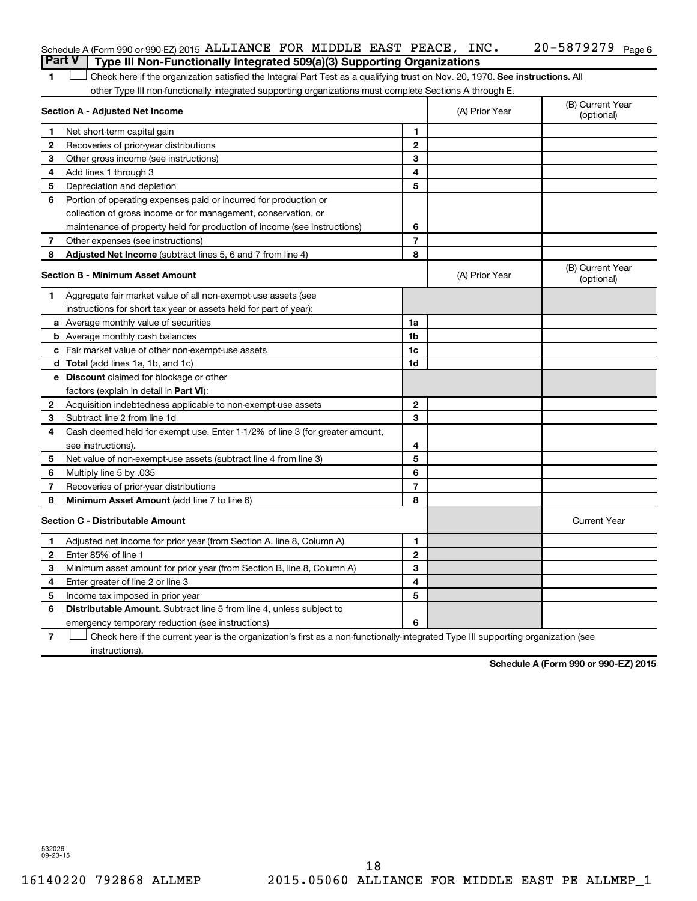| Schedule A (Form 990 or 990-EZ) 2015 ALLIANCE FOR MIDDLE EAST PEACE, |  |  | INC. | -5879279 <sub>Page 6</sub><br>$20 - 5$ |
|----------------------------------------------------------------------|--|--|------|----------------------------------------|
| $-$                                                                  |  |  |      |                                        |

1 **Letter on Reck here if the organization satisfied the Integral Part Test as a qualifying trust on Nov. 20, 1970. See instructions. All** other Type III non-functionally integrated supporting organizations must complete Sections A through E. **Part V Type III Non-Functionally Integrated 509(a)(3) Supporting Organizations** 

|              | Section A - Adjusted Net Income                                                                                                   | (A) Prior Year           | (B) Current Year<br>(optional) |                                |
|--------------|-----------------------------------------------------------------------------------------------------------------------------------|--------------------------|--------------------------------|--------------------------------|
| 1            | Net short-term capital gain                                                                                                       | 1                        |                                |                                |
| 2            | Recoveries of prior-year distributions                                                                                            | $\mathbf{2}$             |                                |                                |
| 3            | Other gross income (see instructions)                                                                                             | 3                        |                                |                                |
| 4            | Add lines 1 through 3                                                                                                             | 4                        |                                |                                |
| 5            | Depreciation and depletion                                                                                                        | 5                        |                                |                                |
| 6            | Portion of operating expenses paid or incurred for production or                                                                  |                          |                                |                                |
|              | collection of gross income or for management, conservation, or                                                                    |                          |                                |                                |
|              | maintenance of property held for production of income (see instructions)                                                          | 6                        |                                |                                |
| 7            | Other expenses (see instructions)                                                                                                 | $\overline{7}$           |                                |                                |
| 8            | Adjusted Net Income (subtract lines 5, 6 and 7 from line 4)                                                                       | 8                        |                                |                                |
|              | <b>Section B - Minimum Asset Amount</b>                                                                                           |                          | (A) Prior Year                 | (B) Current Year<br>(optional) |
| 1            | Aggregate fair market value of all non-exempt-use assets (see                                                                     |                          |                                |                                |
|              | instructions for short tax year or assets held for part of year):                                                                 |                          |                                |                                |
|              | <b>a</b> Average monthly value of securities                                                                                      | 1a                       |                                |                                |
|              | <b>b</b> Average monthly cash balances                                                                                            | 1b                       |                                |                                |
|              | <b>c</b> Fair market value of other non-exempt-use assets                                                                         | 1c                       |                                |                                |
|              | d Total (add lines 1a, 1b, and 1c)                                                                                                | 1d                       |                                |                                |
|              | e Discount claimed for blockage or other                                                                                          |                          |                                |                                |
|              | factors (explain in detail in <b>Part VI</b> ):                                                                                   |                          |                                |                                |
| 2            | Acquisition indebtedness applicable to non-exempt-use assets                                                                      | $\mathbf{2}$             |                                |                                |
| 3            | Subtract line 2 from line 1d                                                                                                      | 3                        |                                |                                |
| 4            | Cash deemed held for exempt use. Enter 1-1/2% of line 3 (for greater amount,                                                      |                          |                                |                                |
|              | see instructions).                                                                                                                | 4                        |                                |                                |
| 5            | Net value of non-exempt-use assets (subtract line 4 from line 3)                                                                  | 5                        |                                |                                |
| 6            | Multiply line 5 by .035                                                                                                           | 6                        |                                |                                |
| 7            | Recoveries of prior-year distributions                                                                                            | $\overline{\phantom{a}}$ |                                |                                |
| 8            | Minimum Asset Amount (add line 7 to line 6)                                                                                       | 8                        |                                |                                |
|              | <b>Section C - Distributable Amount</b>                                                                                           |                          |                                | <b>Current Year</b>            |
| 1            | Adjusted net income for prior year (from Section A, line 8, Column A)                                                             | 1                        |                                |                                |
| $\mathbf{2}$ | Enter 85% of line 1                                                                                                               | $\mathbf{2}$             |                                |                                |
| З            | Minimum asset amount for prior year (from Section B, line 8, Column A)                                                            | 3                        |                                |                                |
| 4            | Enter greater of line 2 or line 3                                                                                                 | 4                        |                                |                                |
| 5            | Income tax imposed in prior year                                                                                                  | 5                        |                                |                                |
| 6            | <b>Distributable Amount.</b> Subtract line 5 from line 4, unless subject to                                                       |                          |                                |                                |
|              | emergency temporary reduction (see instructions)                                                                                  | 6                        |                                |                                |
| 7            | Check here if the current year is the organization's first as a non-functionally-integrated Type III supporting organization (see |                          |                                |                                |

instructions).

**Schedule A (Form 990 or 990-EZ) 2015**

532026 09-23-15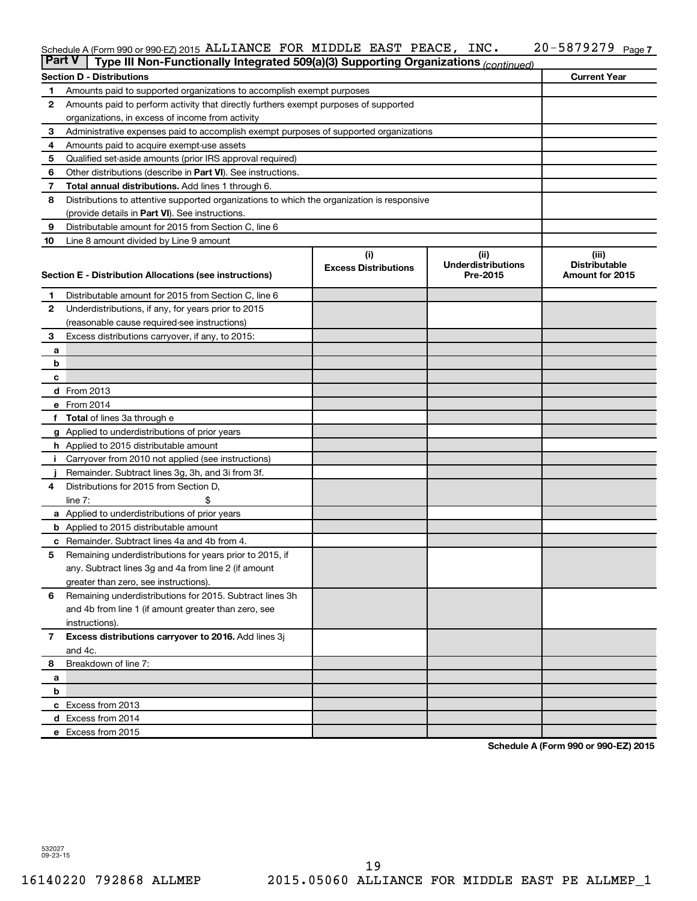#### Schedule A (Form 990 or 990-EZ) 2015 ALLIANCE FOR MIDDLE EAST PEACE, INC.  $20-5879279$  Page ALLIANCE FOR MIDDLE EAST PEACE, INC. 20-5879279

| <b>Part V</b>  | Type III Non-Functionally Integrated 509(a)(3) Supporting Organizations (continued)         |                             |                                       |                                         |  |  |  |  |  |
|----------------|---------------------------------------------------------------------------------------------|-----------------------------|---------------------------------------|-----------------------------------------|--|--|--|--|--|
|                | <b>Section D - Distributions</b>                                                            |                             |                                       | <b>Current Year</b>                     |  |  |  |  |  |
| 1              | Amounts paid to supported organizations to accomplish exempt purposes                       |                             |                                       |                                         |  |  |  |  |  |
| $\mathbf{2}$   | Amounts paid to perform activity that directly furthers exempt purposes of supported        |                             |                                       |                                         |  |  |  |  |  |
|                | organizations, in excess of income from activity                                            |                             |                                       |                                         |  |  |  |  |  |
| 3              | Administrative expenses paid to accomplish exempt purposes of supported organizations       |                             |                                       |                                         |  |  |  |  |  |
| 4              | Amounts paid to acquire exempt-use assets                                                   |                             |                                       |                                         |  |  |  |  |  |
| 5              | Qualified set-aside amounts (prior IRS approval required)                                   |                             |                                       |                                         |  |  |  |  |  |
| 6              | Other distributions (describe in <b>Part VI</b> ). See instructions.                        |                             |                                       |                                         |  |  |  |  |  |
| 7              | Total annual distributions. Add lines 1 through 6.                                          |                             |                                       |                                         |  |  |  |  |  |
| 8              | Distributions to attentive supported organizations to which the organization is responsive  |                             |                                       |                                         |  |  |  |  |  |
|                | (provide details in Part VI). See instructions.                                             |                             |                                       |                                         |  |  |  |  |  |
| 9              | Distributable amount for 2015 from Section C, line 6                                        |                             |                                       |                                         |  |  |  |  |  |
| 10             | Line 8 amount divided by Line 9 amount                                                      |                             |                                       |                                         |  |  |  |  |  |
|                |                                                                                             | (i)                         | (ii)                                  | (iii)                                   |  |  |  |  |  |
|                | Section E - Distribution Allocations (see instructions)                                     | <b>Excess Distributions</b> | <b>Underdistributions</b><br>Pre-2015 | <b>Distributable</b><br>Amount for 2015 |  |  |  |  |  |
|                |                                                                                             |                             |                                       |                                         |  |  |  |  |  |
| 1              | Distributable amount for 2015 from Section C, line 6                                        |                             |                                       |                                         |  |  |  |  |  |
| $\mathbf{2}$   | Underdistributions, if any, for years prior to 2015                                         |                             |                                       |                                         |  |  |  |  |  |
|                | (reasonable cause required-see instructions)                                                |                             |                                       |                                         |  |  |  |  |  |
| 3              | Excess distributions carryover, if any, to 2015:                                            |                             |                                       |                                         |  |  |  |  |  |
| a              |                                                                                             |                             |                                       |                                         |  |  |  |  |  |
| b              |                                                                                             |                             |                                       |                                         |  |  |  |  |  |
| с              |                                                                                             |                             |                                       |                                         |  |  |  |  |  |
|                | <b>d</b> From 2013                                                                          |                             |                                       |                                         |  |  |  |  |  |
|                | e From 2014                                                                                 |                             |                                       |                                         |  |  |  |  |  |
|                | f Total of lines 3a through e                                                               |                             |                                       |                                         |  |  |  |  |  |
|                | g Applied to underdistributions of prior years                                              |                             |                                       |                                         |  |  |  |  |  |
|                | h Applied to 2015 distributable amount                                                      |                             |                                       |                                         |  |  |  |  |  |
| Ť.             | Carryover from 2010 not applied (see instructions)                                          |                             |                                       |                                         |  |  |  |  |  |
| 4              | Remainder. Subtract lines 3g, 3h, and 3i from 3f.<br>Distributions for 2015 from Section D, |                             |                                       |                                         |  |  |  |  |  |
|                | line $7:$                                                                                   |                             |                                       |                                         |  |  |  |  |  |
|                | a Applied to underdistributions of prior years                                              |                             |                                       |                                         |  |  |  |  |  |
|                | <b>b</b> Applied to 2015 distributable amount                                               |                             |                                       |                                         |  |  |  |  |  |
| c              | Remainder. Subtract lines 4a and 4b from 4.                                                 |                             |                                       |                                         |  |  |  |  |  |
| 5              | Remaining underdistributions for years prior to 2015, if                                    |                             |                                       |                                         |  |  |  |  |  |
|                | any. Subtract lines 3g and 4a from line 2 (if amount                                        |                             |                                       |                                         |  |  |  |  |  |
|                | greater than zero, see instructions).                                                       |                             |                                       |                                         |  |  |  |  |  |
| 6              | Remaining underdistributions for 2015. Subtract lines 3h                                    |                             |                                       |                                         |  |  |  |  |  |
|                | and 4b from line 1 (if amount greater than zero, see                                        |                             |                                       |                                         |  |  |  |  |  |
|                | instructions).                                                                              |                             |                                       |                                         |  |  |  |  |  |
| $\overline{7}$ | Excess distributions carryover to 2016. Add lines 3j                                        |                             |                                       |                                         |  |  |  |  |  |
|                | and 4c.                                                                                     |                             |                                       |                                         |  |  |  |  |  |
| 8              | Breakdown of line 7:                                                                        |                             |                                       |                                         |  |  |  |  |  |
| а              |                                                                                             |                             |                                       |                                         |  |  |  |  |  |
| b              |                                                                                             |                             |                                       |                                         |  |  |  |  |  |
|                | c Excess from 2013                                                                          |                             |                                       |                                         |  |  |  |  |  |
|                | d Excess from 2014                                                                          |                             |                                       |                                         |  |  |  |  |  |
|                | e Excess from 2015                                                                          |                             |                                       |                                         |  |  |  |  |  |

**Schedule A (Form 990 or 990-EZ) 2015**

532027 09-23-15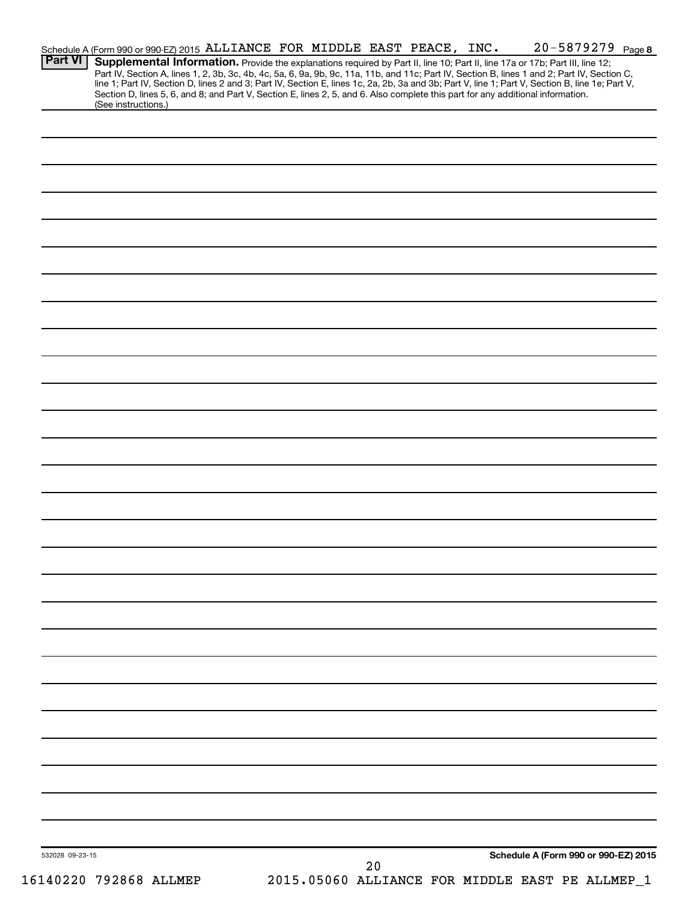|                 |                        | Schedule A (Form 990 or 990-EZ) 2015 ALLIANCE FOR MIDDLE EAST PEACE, INC.                                                       |  |    |  | 20-5879279 Page 8                                                                                                                                                                                                                                                             |  |
|-----------------|------------------------|---------------------------------------------------------------------------------------------------------------------------------|--|----|--|-------------------------------------------------------------------------------------------------------------------------------------------------------------------------------------------------------------------------------------------------------------------------------|--|
| <b>Part VI</b>  |                        |                                                                                                                                 |  |    |  | Supplemental Information. Provide the explanations required by Part II, line 10; Part II, line 17a or 17b; Part III, line 12;<br>Part IV, Section A, lines 1, 2, 3b, 3c, 4b, 4c, 5a, 6, 9a, 9b, 9c, 11a, 11b, and 11c; Part IV, Section B, lines 1 and 2; Part IV, Section C, |  |
|                 | (See instructions.)    | Section D, lines 5, 6, and 8; and Part V, Section E, lines 2, 5, and 6. Also complete this part for any additional information. |  |    |  | line 1; Part IV, Section D, lines 2 and 3; Part IV, Section E, lines 1c, 2a, 2b, 3a and 3b; Part V, line 1; Part V, Section B, line 1e; Part V,                                                                                                                               |  |
|                 |                        |                                                                                                                                 |  |    |  |                                                                                                                                                                                                                                                                               |  |
|                 |                        |                                                                                                                                 |  |    |  |                                                                                                                                                                                                                                                                               |  |
|                 |                        |                                                                                                                                 |  |    |  |                                                                                                                                                                                                                                                                               |  |
|                 |                        |                                                                                                                                 |  |    |  |                                                                                                                                                                                                                                                                               |  |
|                 |                        |                                                                                                                                 |  |    |  |                                                                                                                                                                                                                                                                               |  |
|                 |                        |                                                                                                                                 |  |    |  |                                                                                                                                                                                                                                                                               |  |
|                 |                        |                                                                                                                                 |  |    |  |                                                                                                                                                                                                                                                                               |  |
|                 |                        |                                                                                                                                 |  |    |  |                                                                                                                                                                                                                                                                               |  |
|                 |                        |                                                                                                                                 |  |    |  |                                                                                                                                                                                                                                                                               |  |
|                 |                        |                                                                                                                                 |  |    |  |                                                                                                                                                                                                                                                                               |  |
|                 |                        |                                                                                                                                 |  |    |  |                                                                                                                                                                                                                                                                               |  |
|                 |                        |                                                                                                                                 |  |    |  |                                                                                                                                                                                                                                                                               |  |
|                 |                        |                                                                                                                                 |  |    |  |                                                                                                                                                                                                                                                                               |  |
|                 |                        |                                                                                                                                 |  |    |  |                                                                                                                                                                                                                                                                               |  |
|                 |                        |                                                                                                                                 |  |    |  |                                                                                                                                                                                                                                                                               |  |
|                 |                        |                                                                                                                                 |  |    |  |                                                                                                                                                                                                                                                                               |  |
|                 |                        |                                                                                                                                 |  |    |  |                                                                                                                                                                                                                                                                               |  |
|                 |                        |                                                                                                                                 |  |    |  |                                                                                                                                                                                                                                                                               |  |
|                 |                        |                                                                                                                                 |  |    |  |                                                                                                                                                                                                                                                                               |  |
|                 |                        |                                                                                                                                 |  |    |  |                                                                                                                                                                                                                                                                               |  |
|                 |                        |                                                                                                                                 |  |    |  |                                                                                                                                                                                                                                                                               |  |
|                 |                        |                                                                                                                                 |  |    |  |                                                                                                                                                                                                                                                                               |  |
|                 |                        |                                                                                                                                 |  |    |  |                                                                                                                                                                                                                                                                               |  |
|                 |                        |                                                                                                                                 |  |    |  |                                                                                                                                                                                                                                                                               |  |
|                 |                        |                                                                                                                                 |  |    |  |                                                                                                                                                                                                                                                                               |  |
|                 |                        |                                                                                                                                 |  |    |  |                                                                                                                                                                                                                                                                               |  |
|                 |                        |                                                                                                                                 |  |    |  |                                                                                                                                                                                                                                                                               |  |
|                 |                        |                                                                                                                                 |  |    |  |                                                                                                                                                                                                                                                                               |  |
|                 |                        |                                                                                                                                 |  |    |  |                                                                                                                                                                                                                                                                               |  |
|                 |                        |                                                                                                                                 |  |    |  |                                                                                                                                                                                                                                                                               |  |
|                 |                        |                                                                                                                                 |  |    |  |                                                                                                                                                                                                                                                                               |  |
|                 |                        |                                                                                                                                 |  |    |  |                                                                                                                                                                                                                                                                               |  |
|                 |                        |                                                                                                                                 |  |    |  |                                                                                                                                                                                                                                                                               |  |
|                 |                        |                                                                                                                                 |  |    |  |                                                                                                                                                                                                                                                                               |  |
|                 |                        |                                                                                                                                 |  |    |  |                                                                                                                                                                                                                                                                               |  |
|                 |                        |                                                                                                                                 |  |    |  |                                                                                                                                                                                                                                                                               |  |
|                 |                        |                                                                                                                                 |  |    |  |                                                                                                                                                                                                                                                                               |  |
| 532028 09-23-15 |                        |                                                                                                                                 |  |    |  | Schedule A (Form 990 or 990-EZ) 2015                                                                                                                                                                                                                                          |  |
|                 | 16140220 792868 ALLMEP |                                                                                                                                 |  | 20 |  | 2015.05060 ALLIANCE FOR MIDDLE EAST PE ALLMEP_1                                                                                                                                                                                                                               |  |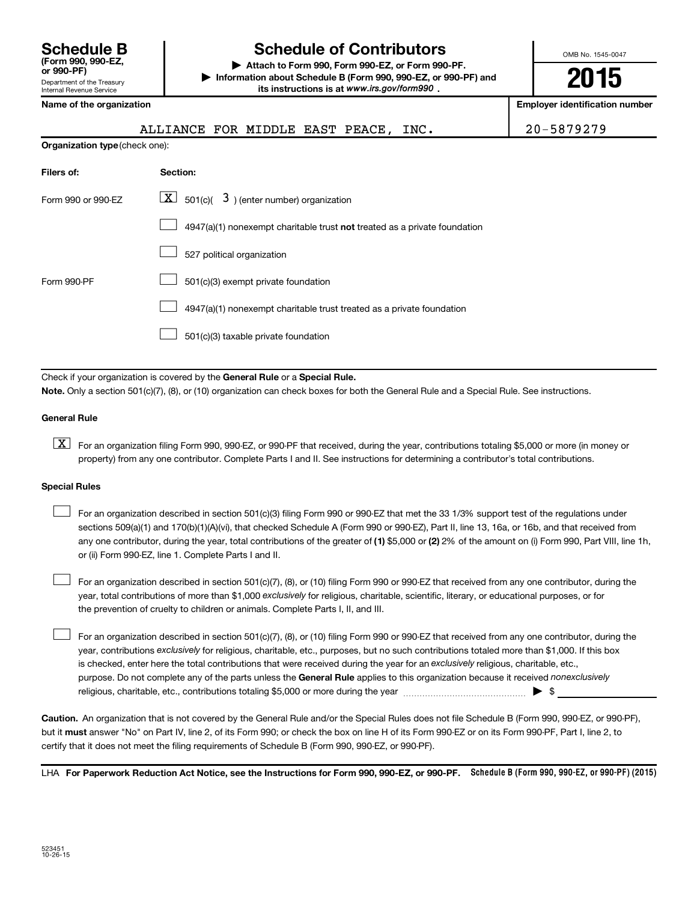| <b>Schedule B</b><br>(Form 990, 990-EZ,<br>or 990-PF)  |
|--------------------------------------------------------|
| Department of the Treasury<br>Internal Revenue Service |

# **Schedule of Contributors**

**or 990-PF) | Attach to Form 990, Form 990-EZ, or Form 990-PF. | Information about Schedule B (Form 990, 990-EZ, or 990-PF) and** its instructions is at www.irs.gov/form990.

OMB No. 1545-0047

**2015**

**Name of the organization Employer identification number**

| attrance eon wrnnie er |  |  |
|------------------------|--|--|

ALLIANCE FOR MIDDLE EAST PEACE, INC. | 20-5879279

| <b>Organization type (check one):</b> |                                                                           |  |  |  |  |  |  |  |
|---------------------------------------|---------------------------------------------------------------------------|--|--|--|--|--|--|--|
| Filers of:                            | Section:                                                                  |  |  |  |  |  |  |  |
| Form 990 or 990-EZ                    | $\lfloor \underline{X} \rfloor$ 501(c)( 3) (enter number) organization    |  |  |  |  |  |  |  |
|                                       | 4947(a)(1) nonexempt charitable trust not treated as a private foundation |  |  |  |  |  |  |  |
|                                       | 527 political organization                                                |  |  |  |  |  |  |  |
| Form 990-PF                           | 501(c)(3) exempt private foundation                                       |  |  |  |  |  |  |  |
|                                       | 4947(a)(1) nonexempt charitable trust treated as a private foundation     |  |  |  |  |  |  |  |
|                                       | 501(c)(3) taxable private foundation                                      |  |  |  |  |  |  |  |

Check if your organization is covered by the General Rule or a Special Rule.

**Note.**  Only a section 501(c)(7), (8), or (10) organization can check boxes for both the General Rule and a Special Rule. See instructions.

#### **General Rule**

**K** For an organization filing Form 990, 990-EZ, or 990-PF that received, during the year, contributions totaling \$5,000 or more (in money or property) from any one contributor. Complete Parts I and II. See instructions for determining a contributor's total contributions.

#### **Special Rules**

 $\Box$ 

any one contributor, during the year, total contributions of the greater of **(1)** \$5,000 or **(2)** 2% of the amount on (i) Form 990, Part VIII, line 1h, For an organization described in section 501(c)(3) filing Form 990 or 990-EZ that met the 33 1/3% support test of the regulations under sections 509(a)(1) and 170(b)(1)(A)(vi), that checked Schedule A (Form 990 or 990-EZ), Part II, line 13, 16a, or 16b, and that received from or (ii) Form 990-EZ, line 1. Complete Parts I and II.  $\Box$ 

year, total contributions of more than \$1,000 *exclusively* for religious, charitable, scientific, literary, or educational purposes, or for For an organization described in section 501(c)(7), (8), or (10) filing Form 990 or 990-EZ that received from any one contributor, during the the prevention of cruelty to children or animals. Complete Parts I, II, and III.  $\Box$ 

purpose. Do not complete any of the parts unless the General Rule applies to this organization because it received nonexclusively year, contributions exclusively for religious, charitable, etc., purposes, but no such contributions totaled more than \$1,000. If this box is checked, enter here the total contributions that were received during the year for an exclusively religious, charitable, etc., For an organization described in section 501(c)(7), (8), or (10) filing Form 990 or 990-EZ that received from any one contributor, during the religious, charitable, etc., contributions totaling \$5,000 or more during the year  $\ldots$  $\ldots$  $\ldots$  $\ldots$  $\ldots$  $\ldots$ 

**Caution.** An organization that is not covered by the General Rule and/or the Special Rules does not file Schedule B (Form 990, 990-EZ, or 990-PF),  **must** but it answer "No" on Part IV, line 2, of its Form 990; or check the box on line H of its Form 990-EZ or on its Form 990-PF, Part I, line 2, to certify that it does not meet the filing requirements of Schedule B (Form 990, 990-EZ, or 990-PF).

LHA For Paperwork Reduction Act Notice, see the Instructions for Form 990, 990-EZ, or 990-PF. Schedule B (Form 990, 990-EZ, or 990-PF) (2015)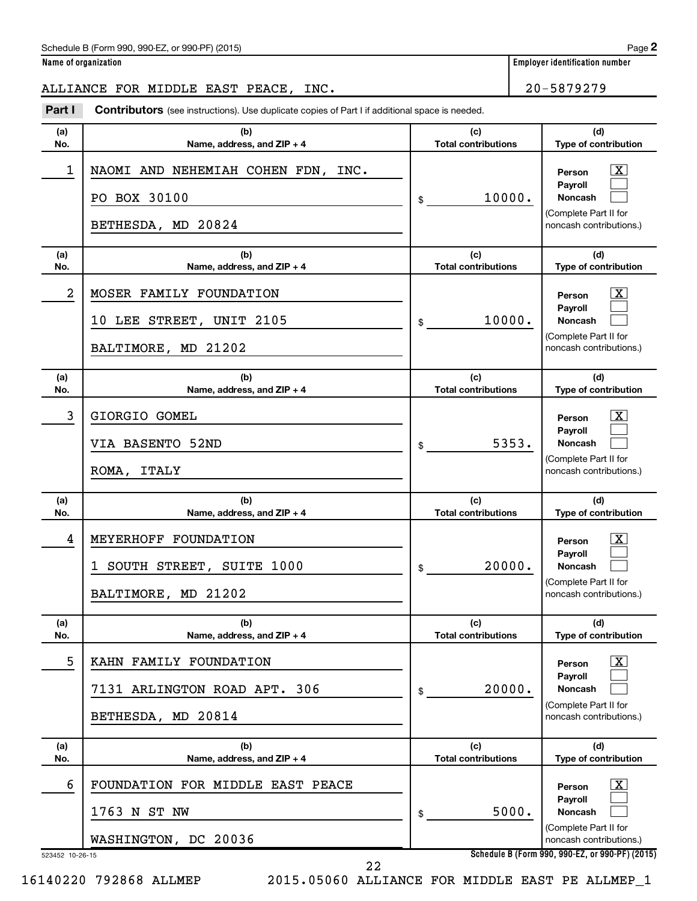#### Schedule B (Form 990, 990-EZ, or 990-PF) (2015)

# ALLIANCE FOR MIDDLE EAST PEACE, INC. 20-5879279

**Part I** Contributors (see instructions). Use duplicate copies of Part I if additional space is needed.

| (a)<br>No.           | (b)<br>Name, address, and ZIP + 4                                            | (c)<br><b>Total contributions</b> | (d)<br>Type of contribution                                                                                                                                       |
|----------------------|------------------------------------------------------------------------------|-----------------------------------|-------------------------------------------------------------------------------------------------------------------------------------------------------------------|
| 1                    | NAOMI AND NEHEMIAH COHEN FDN, INC.<br>PO BOX 30100<br>BETHESDA, MD 20824     | 10000.<br>\$                      | X<br>Person<br>Payroll<br>Noncash<br>(Complete Part II for<br>noncash contributions.)                                                                             |
| (a)<br>No.           | (b)<br>Name, address, and ZIP + 4                                            | (c)<br><b>Total contributions</b> | (d)<br>Type of contribution                                                                                                                                       |
| 2                    | MOSER FAMILY FOUNDATION<br>10 LEE STREET, UNIT 2105<br>BALTIMORE, MD 21202   | 10000.<br>\$                      | X<br>Person<br>Payroll<br>Noncash<br>(Complete Part II for<br>noncash contributions.)                                                                             |
| (a)<br>No.           | (b)<br>Name, address, and ZIP + 4                                            | (c)<br><b>Total contributions</b> | (d)<br>Type of contribution                                                                                                                                       |
| 3                    | GIORGIO GOMEL<br>VIA BASENTO 52ND<br>ROMA, ITALY                             | 5353.<br>\$                       | X.<br>Person<br>Payroll<br>Noncash<br>(Complete Part II for<br>noncash contributions.)                                                                            |
| (a)<br>No.           | (b)<br>Name, address, and ZIP + 4                                            | (c)<br><b>Total contributions</b> | (d)<br>Type of contribution                                                                                                                                       |
| 4                    | MEYERHOFF FOUNDATION<br>1 SOUTH STREET, SUITE 1000<br>BALTIMORE, MD 21202    | 20000.<br>\$                      | X.<br>Person<br>Payroll<br>Noncash<br>(Complete Part II for<br>noncash contributions.)                                                                            |
| (a)<br>No.           | (b)<br>Name, address, and ZIP + 4                                            | (c)<br><b>Total contributions</b> | (d)<br>Type of contribution                                                                                                                                       |
| 5                    | KAHN FAMILY FOUNDATION<br>7131 ARLINGTON ROAD APT. 306<br>BETHESDA, MD 20814 | 20000.<br>\$                      | $\lfloor x \rfloor$<br>Person<br>Pavroll<br>Noncash<br>(Complete Part II for<br>noncash contributions.)                                                           |
| (a)<br>No.           | (b)<br>Name, address, and ZIP + 4                                            | (c)<br><b>Total contributions</b> | (d)<br>Type of contribution                                                                                                                                       |
| 6<br>523452 10-26-15 | FOUNDATION FOR MIDDLE EAST PEACE<br>1763 N ST NW<br>WASHINGTON, DC 20036     | 5000.<br>\$                       | $\lfloor x \rfloor$<br>Person<br>Payroll<br><b>Noncash</b><br>(Complete Part II for<br>noncash contributions.)<br>Schedule B (Form 990, 990-EZ, or 990-PF) (2015) |
|                      | 22                                                                           |                                   |                                                                                                                                                                   |

16140220 792868 ALLMEP 2015.05060 ALLIANCE FOR MIDDLE EAST PE ALLMEP\_1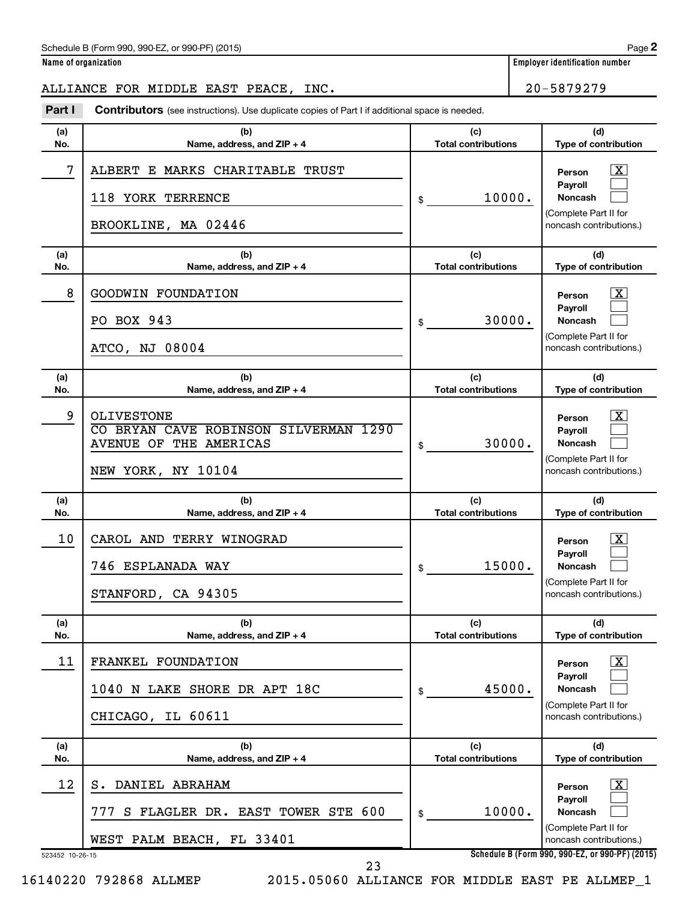#### Schedule B (Form 990, 990-EZ, or 990-PF) (2015)

# ALLIANCE FOR MIDDLE EAST PEACE, INC. 20-5879279

**Part I** Contributors (see instructions). Use duplicate copies of Part I if additional space is needed.

| (a)<br>No.            | (b)<br>Name, address, and ZIP + 4                                                                   | (c)<br><b>Total contributions</b> | (d)<br>Type of contribution                                                                                                                                |
|-----------------------|-----------------------------------------------------------------------------------------------------|-----------------------------------|------------------------------------------------------------------------------------------------------------------------------------------------------------|
| 7                     | ALBERT E MARKS CHARITABLE TRUST<br>118 YORK TERRENCE<br>BROOKLINE, MA 02446                         | 10000.<br>\$                      | х<br>Person<br>Payroll<br>Noncash<br>(Complete Part II for<br>noncash contributions.)                                                                      |
| (a)<br>No.            | (b)<br>Name, address, and ZIP + 4                                                                   | (c)<br><b>Total contributions</b> | (d)<br>Type of contribution                                                                                                                                |
| 8                     | GOODWIN FOUNDATION<br>PO BOX 943<br>ATCO, NJ 08004                                                  | 30000.<br>\$                      | x<br>Person<br>Payroll<br>Noncash<br>(Complete Part II for<br>noncash contributions.)                                                                      |
| (a)<br>No.            | (b)<br>Name, address, and ZIP + 4                                                                   | (c)<br><b>Total contributions</b> | (d)<br>Type of contribution                                                                                                                                |
| 9                     | OLIVESTONE<br>CO BRYAN CAVE ROBINSON SILVERMAN 1290<br>AVENUE OF THE AMERICAS<br>NEW YORK, NY 10104 | 30000.<br>\$                      | x<br>Person<br>Payroll<br>Noncash<br>(Complete Part II for<br>noncash contributions.)                                                                      |
| (a)<br>No.            | (b)<br>Name, address, and ZIP + 4                                                                   | (c)<br><b>Total contributions</b> | (d)<br>Type of contribution                                                                                                                                |
| 10                    | CAROL AND TERRY WINOGRAD<br>746 ESPLANADA WAY<br>STANFORD, CA 94305                                 | 15000.<br>\$                      | x<br>Person<br>Payroll<br>Noncash<br>(Complete Part II for<br>noncash contributions.)                                                                      |
| (a)<br>No.            | (b)<br>Name, address, and ZIP + 4                                                                   | (c)<br><b>Total contributions</b> | (d)<br>Type of contribution                                                                                                                                |
| 11                    | FRANKEL FOUNDATION<br>1040 N LAKE SHORE DR APT 18C<br>CHICAGO, IL 60611                             | 45000.<br>\$                      | $\boxed{\textbf{X}}$<br>Person<br>Payroll<br><b>Noncash</b><br>(Complete Part II for<br>noncash contributions.)                                            |
| (a)<br>No.            | (b)<br>Name, address, and ZIP + 4                                                                   | (c)<br><b>Total contributions</b> | (d)<br>Type of contribution                                                                                                                                |
| 12<br>523452 10-26-15 | S. DANIEL ABRAHAM<br>S FLAGLER DR. EAST TOWER STE 600<br>777<br>WEST PALM BEACH, FL 33401           | 10000.<br>\$                      | $\lfloor x \rfloor$<br>Person<br>Payroll<br>Noncash<br>(Complete Part II for<br>noncash contributions.)<br>Schedule B (Form 990, 990-EZ, or 990-PF) (2015) |
|                       | 23                                                                                                  |                                   |                                                                                                                                                            |

16140220 792868 ALLMEP 2015.05060 ALLIANCE FOR MIDDLE EAST PE ALLMEP\_1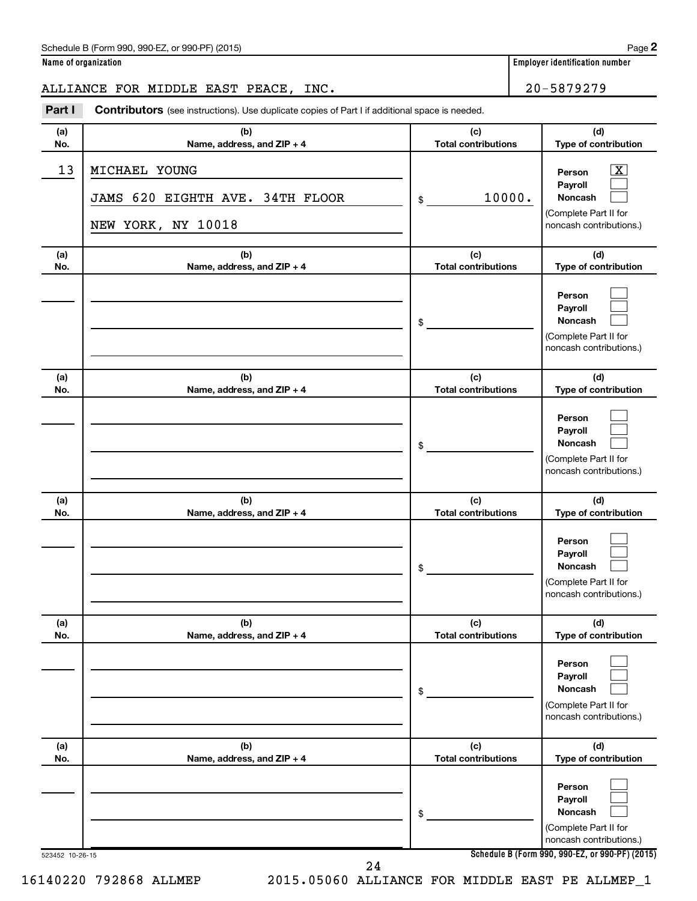#### Schedule B (Form 990, 990-EZ, or 990-PF) (2015)

# ALLIANCE FOR MIDDLE EAST PEACE, INC. 20-5879279

**Part I** Contributors (see instructions). Use duplicate copies of Part I if additional space is needed.

| (a)<br>No. | (b)<br>Name, address, and ZIP + 4                                      | (c)<br><b>Total contributions</b> | (d)<br>Type of contribution                                                                  |
|------------|------------------------------------------------------------------------|-----------------------------------|----------------------------------------------------------------------------------------------|
| 13         | MICHAEL YOUNG<br>JAMS 620 EIGHTH AVE. 34TH FLOOR<br>NEW YORK, NY 10018 | 10000.<br>\$                      | x<br>Person<br>Payroll<br><b>Noncash</b><br>(Complete Part II for<br>noncash contributions.) |
| (a)<br>No. | (b)<br>Name, address, and ZIP + 4                                      | (c)<br><b>Total contributions</b> | (d)<br>Type of contribution                                                                  |
|            |                                                                        | \$                                | Person<br>Payroll<br>Noncash<br>(Complete Part II for<br>noncash contributions.)             |
| (a)<br>No. | (b)<br>Name, address, and ZIP + 4                                      | (c)<br><b>Total contributions</b> | (d)<br>Type of contribution                                                                  |
|            |                                                                        | \$                                | Person<br>Pavroll<br>Noncash<br>(Complete Part II for<br>noncash contributions.)             |
| (a)<br>No. | (b)<br>Name, address, and ZIP + 4                                      | (c)<br><b>Total contributions</b> | (d)<br>Type of contribution                                                                  |
|            |                                                                        | \$                                | Person<br>Payroll<br><b>Noncash</b><br>(Complete Part II for<br>noncash contributions.)      |
| (a)<br>No. | (b)<br>Name, address, and ZIP + 4                                      | (c)<br><b>Total contributions</b> | (d)<br>Type of contribution                                                                  |
|            |                                                                        | \$                                | Person<br>Payroll<br><b>Noncash</b><br>(Complete Part II for<br>noncash contributions.)      |
| (a)<br>No. | (b)<br>Name, address, and ZIP + 4                                      | (c)<br><b>Total contributions</b> | (d)<br>Type of contribution                                                                  |
|            |                                                                        | \$                                | Person<br>Payroll<br>Noncash<br>(Complete Part II for<br>noncash contributions.)             |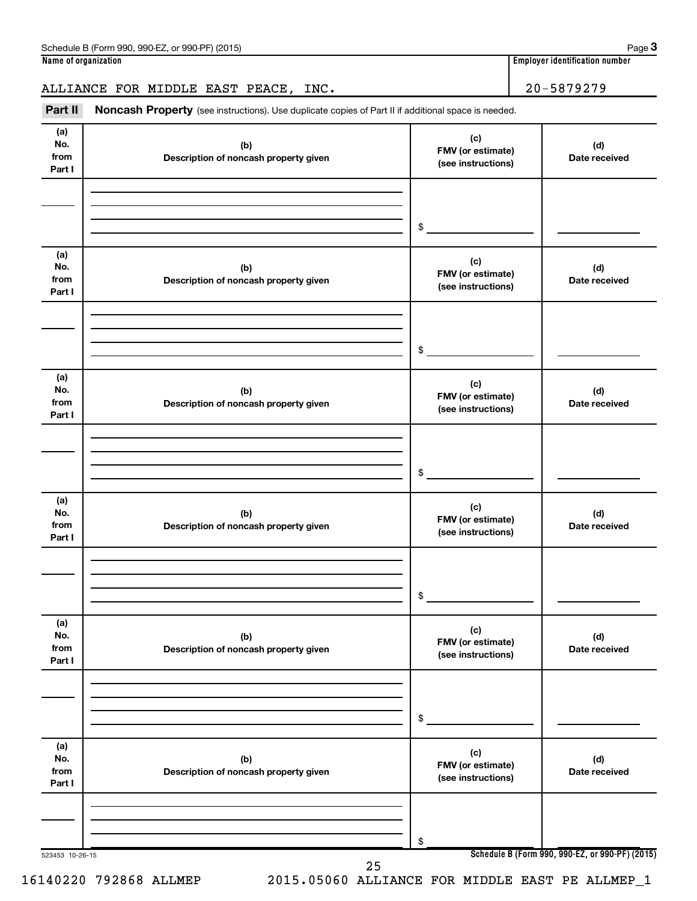# ALLIANCE FOR MIDDLE EAST PEACE, INC. 20-5879279

Part II Noncash Property (see instructions). Use duplicate copies of Part II if additional space is needed.

| (a)<br>No.      | (b)                                   | (c)                                     | (d)                                             |
|-----------------|---------------------------------------|-----------------------------------------|-------------------------------------------------|
| from            | Description of noncash property given | FMV (or estimate)                       | Date received                                   |
| Part I          |                                       | (see instructions)                      |                                                 |
|                 |                                       |                                         |                                                 |
|                 |                                       |                                         |                                                 |
|                 |                                       |                                         |                                                 |
|                 |                                       | \$                                      |                                                 |
| (a)             |                                       |                                         |                                                 |
| No.             | (b)                                   | (c)                                     | (d)                                             |
| from            | Description of noncash property given | FMV (or estimate)<br>(see instructions) | Date received                                   |
| Part I          |                                       |                                         |                                                 |
|                 |                                       |                                         |                                                 |
|                 |                                       |                                         |                                                 |
|                 |                                       |                                         |                                                 |
|                 |                                       | \$                                      |                                                 |
| (a)             |                                       |                                         |                                                 |
| No.             | (b)                                   | (c)<br>FMV (or estimate)                | (d)                                             |
| from            | Description of noncash property given | (see instructions)                      | Date received                                   |
| Part I          |                                       |                                         |                                                 |
|                 |                                       |                                         |                                                 |
|                 |                                       |                                         |                                                 |
|                 |                                       | \$                                      |                                                 |
|                 |                                       |                                         |                                                 |
| (a)             |                                       | (c)                                     |                                                 |
| No.             | (b)                                   | FMV (or estimate)                       | (d)                                             |
| from<br>Part I  | Description of noncash property given | (see instructions)                      | Date received                                   |
|                 |                                       |                                         |                                                 |
|                 |                                       |                                         |                                                 |
|                 |                                       |                                         |                                                 |
|                 |                                       | \$                                      |                                                 |
|                 |                                       |                                         |                                                 |
| (a)<br>No.      | (b)                                   | (c)                                     | (d)                                             |
| from            | Description of noncash property given | FMV (or estimate)                       | Date received                                   |
| Part I          |                                       | (see instructions)                      |                                                 |
|                 |                                       |                                         |                                                 |
|                 |                                       |                                         |                                                 |
|                 |                                       |                                         |                                                 |
|                 |                                       | \$                                      |                                                 |
| (a)             |                                       |                                         |                                                 |
| No.             | (b)                                   | (c)                                     | (d)                                             |
| from            | Description of noncash property given | FMV (or estimate)<br>(see instructions) | Date received                                   |
| Part I          |                                       |                                         |                                                 |
|                 |                                       |                                         |                                                 |
|                 |                                       |                                         |                                                 |
|                 |                                       | \$                                      |                                                 |
| 523453 10-26-15 |                                       |                                         | Schedule B (Form 990, 990-EZ, or 990-PF) (2015) |
|                 | 25                                    |                                         |                                                 |

16140220 792868 ALLMEP 2015.05060 ALLIANCE FOR MIDDLE EAST PE ALLMEP\_1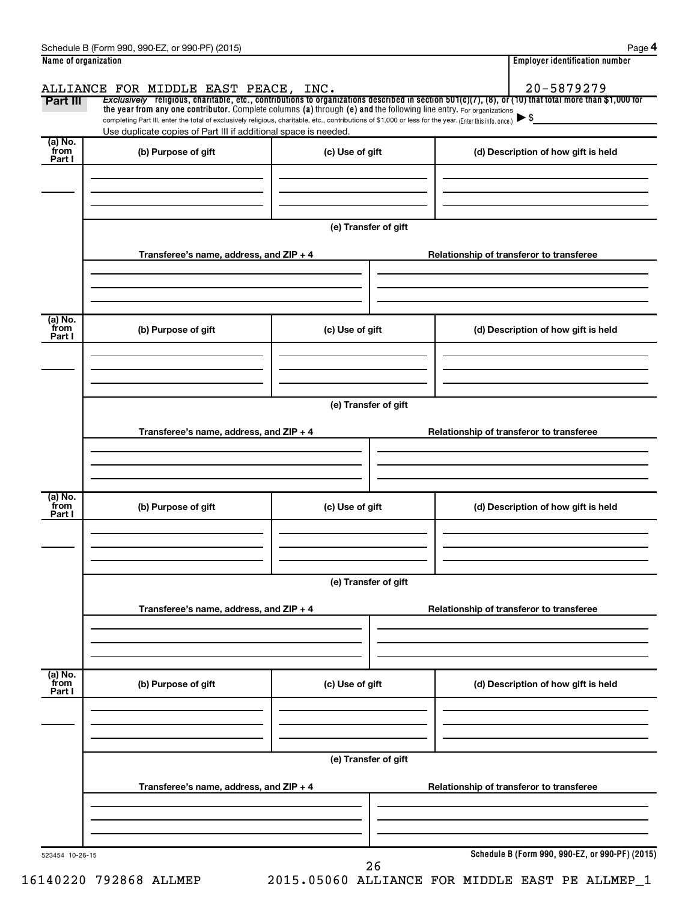| Name of organization      |                                                                                                                                                                                                                             |                      |  | <b>Employer identification number</b>    |  |
|---------------------------|-----------------------------------------------------------------------------------------------------------------------------------------------------------------------------------------------------------------------------|----------------------|--|------------------------------------------|--|
| Part III                  | ALLIANCE FOR MIDDLE EAST PEACE, INC.<br>Exclusively religious, charitable, etc., contributions to organizations described in section $501(c)(7)$ , (8), or (10) that total more than \$1,000 for                            |                      |  | 20-5879279                               |  |
|                           | the year from any one contributor. Complete columns (a) through (e) and the following line entry. For organizations                                                                                                         |                      |  |                                          |  |
|                           | completing Part III, enter the total of exclusively religious, charitable, etc., contributions of \$1,000 or less for the year. (Enter this info. once.)<br>Use duplicate copies of Part III if additional space is needed. |                      |  |                                          |  |
| (a) No.                   |                                                                                                                                                                                                                             |                      |  |                                          |  |
| from<br>Part I            | (b) Purpose of gift                                                                                                                                                                                                         | (c) Use of gift      |  | (d) Description of how gift is held      |  |
|                           |                                                                                                                                                                                                                             |                      |  |                                          |  |
|                           |                                                                                                                                                                                                                             |                      |  |                                          |  |
|                           |                                                                                                                                                                                                                             |                      |  |                                          |  |
|                           |                                                                                                                                                                                                                             | (e) Transfer of gift |  |                                          |  |
|                           | Transferee's name, address, and ZIP + 4                                                                                                                                                                                     |                      |  | Relationship of transferor to transferee |  |
|                           |                                                                                                                                                                                                                             |                      |  |                                          |  |
|                           |                                                                                                                                                                                                                             |                      |  |                                          |  |
|                           |                                                                                                                                                                                                                             |                      |  |                                          |  |
| (a) No.<br>from           | (b) Purpose of gift                                                                                                                                                                                                         |                      |  |                                          |  |
| Part I                    |                                                                                                                                                                                                                             | (c) Use of gift      |  | (d) Description of how gift is held      |  |
|                           |                                                                                                                                                                                                                             |                      |  |                                          |  |
|                           |                                                                                                                                                                                                                             |                      |  |                                          |  |
|                           |                                                                                                                                                                                                                             |                      |  |                                          |  |
|                           | (e) Transfer of gift                                                                                                                                                                                                        |                      |  |                                          |  |
|                           | Transferee's name, address, and ZIP + 4                                                                                                                                                                                     |                      |  | Relationship of transferor to transferee |  |
|                           |                                                                                                                                                                                                                             |                      |  |                                          |  |
|                           |                                                                                                                                                                                                                             |                      |  |                                          |  |
|                           |                                                                                                                                                                                                                             |                      |  |                                          |  |
| (a) No.<br>from<br>Part I | (b) Purpose of gift                                                                                                                                                                                                         | (c) Use of gift      |  | (d) Description of how gift is held      |  |
|                           |                                                                                                                                                                                                                             |                      |  |                                          |  |
|                           |                                                                                                                                                                                                                             |                      |  |                                          |  |
|                           |                                                                                                                                                                                                                             |                      |  |                                          |  |
|                           | (e) Transfer of gift                                                                                                                                                                                                        |                      |  |                                          |  |
|                           |                                                                                                                                                                                                                             |                      |  |                                          |  |
|                           | Transferee's name, address, and ZIP + 4                                                                                                                                                                                     |                      |  | Relationship of transferor to transferee |  |
|                           |                                                                                                                                                                                                                             |                      |  |                                          |  |
|                           |                                                                                                                                                                                                                             |                      |  |                                          |  |
| (a) No.<br>from           |                                                                                                                                                                                                                             |                      |  |                                          |  |
| Part I                    | (b) Purpose of gift                                                                                                                                                                                                         | (c) Use of gift      |  | (d) Description of how gift is held      |  |
|                           |                                                                                                                                                                                                                             |                      |  |                                          |  |
|                           |                                                                                                                                                                                                                             |                      |  |                                          |  |
|                           |                                                                                                                                                                                                                             |                      |  |                                          |  |
|                           | (e) Transfer of gift                                                                                                                                                                                                        |                      |  |                                          |  |
|                           | Transferee's name, address, and ZIP + 4                                                                                                                                                                                     |                      |  | Relationship of transferor to transferee |  |
|                           |                                                                                                                                                                                                                             |                      |  |                                          |  |
|                           |                                                                                                                                                                                                                             |                      |  |                                          |  |
|                           |                                                                                                                                                                                                                             |                      |  |                                          |  |
|                           |                                                                                                                                                                                                                             |                      |  |                                          |  |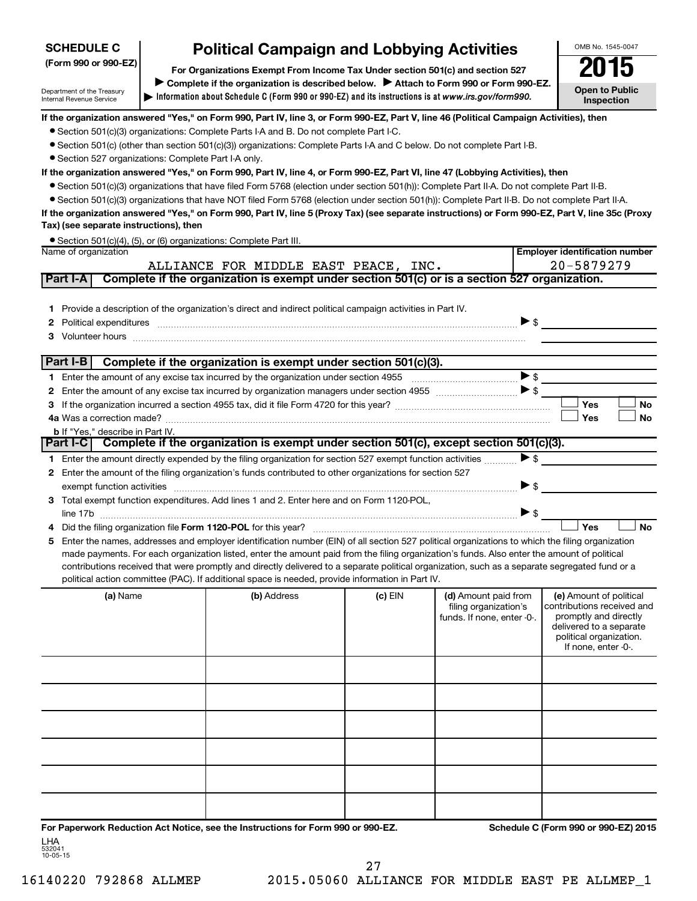# **SCHEDULE C**

Department of the Treasury Internal Revenue Service

# **Political Campaign and Lobbying Activities**

**Information about Schedule C (Form 990 or 990-EZ) and its instructions is at |**  *www.irs.gov/form990.* **(Form 990 or 990-EZ) For Organizations Exempt From Income Tax Under section 501(c) and section 527** Complete if the organization is described below. > Attach to Form 990 or Form 990-EZ. OMB No. 1545-0047 **Open to Public**

**Inspection**

**Employer identification number**

**If the organization answered "Yes," on Form 990, Part IV, line 3, or Form 990-EZ, Part V, line 46 (Political Campaign Activities), then**

- Section 501(c)(3) organizations: Complete Parts I-A and B. Do not complete Part I-C.
- Section 501(c) (other than section 501(c)(3)) organizations: Complete Parts I-A and C below. Do not complete Part I-B.
- Section 527 organizations: Complete Part I-A only.

# **If the organization answered "Yes," on Form 990, Part IV, line 4, or Form 990-EZ, Part VI, line 47 (Lobbying Activities), then**

- Section 501(c)(3) organizations that have filed Form 5768 (election under section 501(h)): Complete Part II-A. Do not complete Part II-B.
- Section 501(c)(3) organizations that have NOT filed Form 5768 (election under section 501(h)): Complete Part II-B. Do not complete Part II-A.

**If the organization answered "Yes," on Form 990, Part IV, line 5 (Proxy Tax) (see separate instructions) or Form 990-EZ, Part V, line 35c (Proxy Tax) (see separate instructions), then**

|                      | • Section 501(c)(4), (5), or (6) organizations: Complete Part III. |
|----------------------|--------------------------------------------------------------------|
| Name of organization |                                                                    |

|    |                                                                                                                                                                                                                                                                                                                                                                                                                                        | ALLIANCE FOR MIDDLE EAST PEACE, INC. |           |                          | 20-5879279              |
|----|----------------------------------------------------------------------------------------------------------------------------------------------------------------------------------------------------------------------------------------------------------------------------------------------------------------------------------------------------------------------------------------------------------------------------------------|--------------------------------------|-----------|--------------------------|-------------------------|
|    | Complete if the organization is exempt under section 501(c) or is a section 527 organization.<br>Part I-A                                                                                                                                                                                                                                                                                                                              |                                      |           |                          |                         |
| 3  | Provide a description of the organization's direct and indirect political campaign activities in Part IV.<br>Political expenditures <i>machine machine content and all experimental expenditures</i><br>Volunteer hours with an account of the contract of the contract of the contract of the contract of the contract of the contract of the contract of the contract of the contract of the contract of the contract of the contrac |                                      |           | $\triangleright$ \$      |                         |
|    | Part I-B<br>Complete if the organization is exempt under section 501(c)(3).                                                                                                                                                                                                                                                                                                                                                            |                                      |           |                          |                         |
|    | Enter the amount of any excise tax incurred by the organization under section 4955                                                                                                                                                                                                                                                                                                                                                     |                                      |           | >                        |                         |
| 2  | Enter the amount of any excise tax incurred by organization managers under section 4955 [11] [12] S                                                                                                                                                                                                                                                                                                                                    |                                      |           |                          |                         |
|    |                                                                                                                                                                                                                                                                                                                                                                                                                                        |                                      |           |                          | Yes<br><b>No</b>        |
|    |                                                                                                                                                                                                                                                                                                                                                                                                                                        |                                      |           |                          | Yes<br>No               |
|    | <b>b</b> If "Yes." describe in Part IV.                                                                                                                                                                                                                                                                                                                                                                                                |                                      |           |                          |                         |
|    | Complete if the organization is exempt under section 501(c), except section 501(c)(3).<br>  Part I-C I                                                                                                                                                                                                                                                                                                                                 |                                      |           |                          |                         |
|    | Enter the amount directly expended by the filing organization for section 527 exempt function activities                                                                                                                                                                                                                                                                                                                               |                                      |           | $\triangleright$ \$      |                         |
| 2  | Enter the amount of the filing organization's funds contributed to other organizations for section 527                                                                                                                                                                                                                                                                                                                                 |                                      |           |                          |                         |
|    | exempt function activities                                                                                                                                                                                                                                                                                                                                                                                                             |                                      |           | $\blacktriangleright$ \$ |                         |
| 3  | Total exempt function expenditures. Add lines 1 and 2. Enter here and on Form 1120-POL,                                                                                                                                                                                                                                                                                                                                                |                                      |           |                          |                         |
|    | line 17b                                                                                                                                                                                                                                                                                                                                                                                                                               |                                      |           |                          | >                       |
| 4  |                                                                                                                                                                                                                                                                                                                                                                                                                                        |                                      |           |                          | Yes<br><b>No</b>        |
| 5. | Enter the names, addresses and employer identification number (EIN) of all section 527 political organizations to which the filing organization                                                                                                                                                                                                                                                                                        |                                      |           |                          |                         |
|    | made payments. For each organization listed, enter the amount paid from the filing organization's funds. Also enter the amount of political                                                                                                                                                                                                                                                                                            |                                      |           |                          |                         |
|    | contributions received that were promptly and directly delivered to a separate political organization, such as a separate segregated fund or a<br>political action committee (PAC). If additional space is needed, provide information in Part IV.                                                                                                                                                                                     |                                      |           |                          |                         |
|    | (a) Name                                                                                                                                                                                                                                                                                                                                                                                                                               | (b) Address                          | $(c)$ EIN | (d) Amount paid from     | (e) Amount of political |

| (a) Name | (b) Address | $(c)$ EIN | (d) Amount paid from<br>filing organization's<br>funds. If none, enter -0-. | (e) Amount of political<br>contributions received and<br>promptly and directly<br>delivered to a separate<br>political organization.<br>If none, enter -0-. |
|----------|-------------|-----------|-----------------------------------------------------------------------------|-------------------------------------------------------------------------------------------------------------------------------------------------------------|
|          |             |           |                                                                             |                                                                                                                                                             |
|          |             |           |                                                                             |                                                                                                                                                             |
|          |             |           |                                                                             |                                                                                                                                                             |
|          |             |           |                                                                             |                                                                                                                                                             |
|          |             |           |                                                                             |                                                                                                                                                             |
|          |             |           |                                                                             |                                                                                                                                                             |

**For Paperwork Reduction Act Notice, see the Instructions for Form 990 or 990-EZ. Schedule C (Form 990 or 990-EZ) 2015** LHA

532041 10-05-15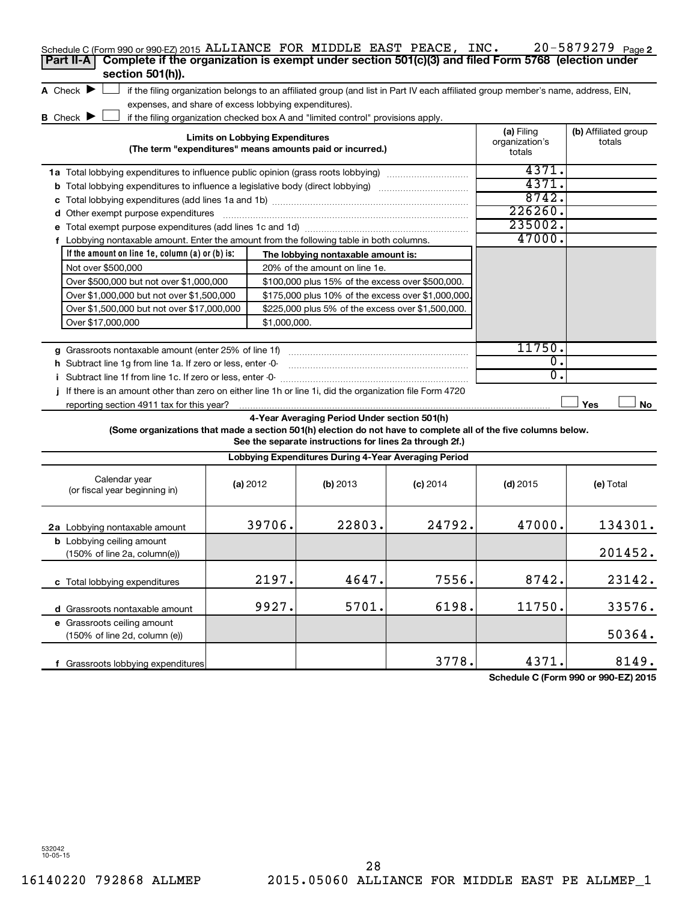| Schedule C (Form 990 or 990-EZ) 2015 ALLIANCE FOR MIDDLE EAST PEACE, $INC.$                                     |                                                       |                                                                                                                                   |            |                                        | 20-5879279 Page 2              |
|-----------------------------------------------------------------------------------------------------------------|-------------------------------------------------------|-----------------------------------------------------------------------------------------------------------------------------------|------------|----------------------------------------|--------------------------------|
| Complete if the organization is exempt under section 501(c)(3) and filed Form 5768 (election under<br>Part II-A |                                                       |                                                                                                                                   |            |                                        |                                |
| section 501(h)).                                                                                                |                                                       |                                                                                                                                   |            |                                        |                                |
| A Check $\blacktriangleright$                                                                                   |                                                       | if the filing organization belongs to an affiliated group (and list in Part IV each affiliated group member's name, address, EIN, |            |                                        |                                |
|                                                                                                                 | expenses, and share of excess lobbying expenditures). |                                                                                                                                   |            |                                        |                                |
| <b>B</b> Check <b>P</b>                                                                                         |                                                       | if the filing organization checked box A and "limited control" provisions apply.                                                  |            |                                        |                                |
|                                                                                                                 | <b>Limits on Lobbying Expenditures</b>                | (The term "expenditures" means amounts paid or incurred.)                                                                         |            | (a) Filing<br>organization's<br>totals | (b) Affiliated group<br>totals |
| <b>1a</b> Total lobbying expenditures to influence public opinion (grass roots lobbying)                        |                                                       |                                                                                                                                   |            | 4371.                                  |                                |
|                                                                                                                 |                                                       |                                                                                                                                   |            | 4371.                                  |                                |
|                                                                                                                 |                                                       |                                                                                                                                   |            | 8742.                                  |                                |
| <b>d</b> Other exempt purpose expenditures                                                                      |                                                       |                                                                                                                                   |            | 226260.                                |                                |
|                                                                                                                 |                                                       |                                                                                                                                   |            | 235002.                                |                                |
| f Lobbying nontaxable amount. Enter the amount from the following table in both columns.                        |                                                       |                                                                                                                                   |            | 47000.                                 |                                |
| If the amount on line 1e, column $(a)$ or $(b)$ is:                                                             |                                                       | The lobbying nontaxable amount is:                                                                                                |            |                                        |                                |
| Not over \$500,000                                                                                              |                                                       | 20% of the amount on line 1e.                                                                                                     |            |                                        |                                |
| Over \$500,000 but not over \$1,000,000                                                                         |                                                       | \$100,000 plus 15% of the excess over \$500,000.                                                                                  |            |                                        |                                |
| Over \$1,000,000 but not over \$1,500,000                                                                       |                                                       | \$175,000 plus 10% of the excess over \$1,000,000                                                                                 |            |                                        |                                |
| Over \$1,500,000 but not over \$17,000,000                                                                      |                                                       | \$225,000 plus 5% of the excess over \$1,500,000.                                                                                 |            |                                        |                                |
| Over \$17,000,000                                                                                               | \$1,000,000.                                          |                                                                                                                                   |            |                                        |                                |
|                                                                                                                 |                                                       |                                                                                                                                   |            |                                        |                                |
| g Grassroots nontaxable amount (enter 25% of line 1f)                                                           |                                                       |                                                                                                                                   |            | 11750.                                 |                                |
| <b>h</b> Subtract line 1g from line 1a. If zero or less, enter -0-                                              |                                                       |                                                                                                                                   |            | $\mathbf{0}$ .                         |                                |
| i Subtract line 1f from line 1c. If zero or less, enter 0-                                                      |                                                       |                                                                                                                                   |            | σ.                                     |                                |
| If there is an amount other than zero on either line 1h or line 1i, did the organization file Form 4720         |                                                       |                                                                                                                                   |            |                                        |                                |
| reporting section 4911 tax for this year?                                                                       |                                                       |                                                                                                                                   |            |                                        | Yes<br>No                      |
| (Some organizations that made a section 501(h) election do not have to complete all of the five columns below.  |                                                       | 4-Year Averaging Period Under section 501(h)<br>See the separate instructions for lines 2a through 2f.)                           |            |                                        |                                |
|                                                                                                                 |                                                       | Lobbying Expenditures During 4-Year Averaging Period                                                                              |            |                                        |                                |
| Calendar year<br>(or fiscal year beginning in)                                                                  | (a) 2012                                              | (b) 2013                                                                                                                          | $(c)$ 2014 | $(d)$ 2015                             | (e) Total                      |
| 2a Lobbying nontaxable amount                                                                                   | 39706.                                                | 22803.                                                                                                                            | 24792.     | 47000.                                 | 134301.                        |
| <b>b</b> Lobbying ceiling amount<br>$(150\% \text{ of line } 2a, \text{column}(e))$                             |                                                       |                                                                                                                                   |            |                                        | 201452.                        |
| c Total lobbying expenditures                                                                                   | 2197.                                                 | 4647.                                                                                                                             | 7556.      | 8742.                                  | 23142.                         |

**d** Grassroots nontaxable amount **e** Grassroots ceiling amount **f** Grassroots lobbying expenditures (150% of line 2d, column (e)) 9927. 5701. 6198. 11750. 33576. 3778. 4371. 8149.

**Schedule C (Form 990 or 990-EZ) 2015**

50364.

532042 10-05-15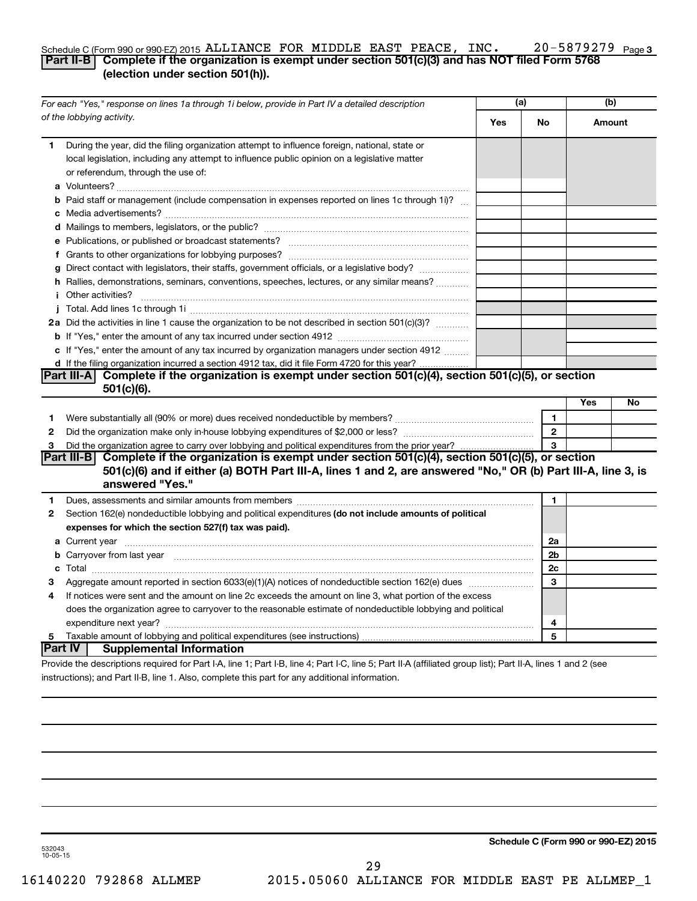#### 20-5879279 Page 3 Schedule C (Form 990 or 990-EZ) 2015 ALLIANCE FOR MIDDLE EAST PEACE, INC.  $20-5879279$   $_{\sf Page}$ **Part II-B Complete if the organization is exempt under section 501(c)(3) and has NOT filed Form 5768 (election under section 501(h)).**

|    | For each "Yes," response on lines 1a through 1i below, provide in Part IV a detailed description                                                                                                                                            |     | (a)            |     | (b)    |  |
|----|---------------------------------------------------------------------------------------------------------------------------------------------------------------------------------------------------------------------------------------------|-----|----------------|-----|--------|--|
|    | of the lobbying activity.                                                                                                                                                                                                                   | Yes | No             |     | Amount |  |
| 1. | During the year, did the filing organization attempt to influence foreign, national, state or<br>local legislation, including any attempt to influence public opinion on a legislative matter<br>or referendum, through the use of:         |     |                |     |        |  |
|    | <b>b</b> Paid staff or management (include compensation in expenses reported on lines 1c through 1i)?                                                                                                                                       |     |                |     |        |  |
|    |                                                                                                                                                                                                                                             |     |                |     |        |  |
|    |                                                                                                                                                                                                                                             |     |                |     |        |  |
|    |                                                                                                                                                                                                                                             |     |                |     |        |  |
|    | g Direct contact with legislators, their staffs, government officials, or a legislative body?                                                                                                                                               |     |                |     |        |  |
|    | h Rallies, demonstrations, seminars, conventions, speeches, lectures, or any similar means?                                                                                                                                                 |     |                |     |        |  |
|    | <i>i</i> Other activities?                                                                                                                                                                                                                  |     |                |     |        |  |
|    |                                                                                                                                                                                                                                             |     |                |     |        |  |
|    | 2a Did the activities in line 1 cause the organization to be not described in section 501(c)(3)?                                                                                                                                            |     |                |     |        |  |
|    |                                                                                                                                                                                                                                             |     |                |     |        |  |
|    | c If "Yes," enter the amount of any tax incurred by organization managers under section 4912                                                                                                                                                |     |                |     |        |  |
|    | d If the filing organization incurred a section 4912 tax, did it file Form 4720 for this year?                                                                                                                                              |     |                |     |        |  |
|    | Part III-A Complete if the organization is exempt under section $501(c)(4)$ , section $501(c)(5)$ , or section                                                                                                                              |     |                |     |        |  |
|    | $501(c)(6)$ .                                                                                                                                                                                                                               |     |                |     |        |  |
|    |                                                                                                                                                                                                                                             |     |                | Yes | No     |  |
| 1  |                                                                                                                                                                                                                                             |     | $\mathbf{1}$   |     |        |  |
| 2  |                                                                                                                                                                                                                                             |     | $\overline{2}$ |     |        |  |
| 3  |                                                                                                                                                                                                                                             |     |                |     |        |  |
|    | Part III-B Complete if the organization is exempt under section 501(c)(4), section 501(c)(5), or section<br>501(c)(6) and if either (a) BOTH Part III-A, lines 1 and 2, are answered "No," OR (b) Part III-A, line 3, is<br>answered "Yes." |     |                |     |        |  |
| 1. |                                                                                                                                                                                                                                             |     | 1              |     |        |  |
| 2  | Section 162(e) nondeductible lobbying and political expenditures (do not include amounts of political                                                                                                                                       |     |                |     |        |  |
|    | expenses for which the section 527(f) tax was paid).                                                                                                                                                                                        |     |                |     |        |  |
|    |                                                                                                                                                                                                                                             |     | 2a             |     |        |  |
|    | b Carryover from last year manufactured and content to content the content of the content of the content of the content of the content of the content of the content of the content of the content of the content of the conte              |     | 2b             |     |        |  |
|    |                                                                                                                                                                                                                                             |     | 2c             |     |        |  |
| З  |                                                                                                                                                                                                                                             |     | 3              |     |        |  |
| 4  | If notices were sent and the amount on line 2c exceeds the amount on line 3, what portion of the excess                                                                                                                                     |     |                |     |        |  |
|    | does the organization agree to carryover to the reasonable estimate of nondeductible lobbying and political                                                                                                                                 |     |                |     |        |  |
|    |                                                                                                                                                                                                                                             |     | 4              |     |        |  |
| 5  |                                                                                                                                                                                                                                             |     | 5              |     |        |  |
|    | Part IV  <br><b>Supplemental Information</b>                                                                                                                                                                                                |     |                |     |        |  |
|    | Provide the descriptions required for Part I-A, line 1; Part I-B, line 4; Part I-C, line 5; Part II-A (affiliated group list); Part II-A, lines 1 and 2 (see                                                                                |     |                |     |        |  |

instructions); and Part II-B, line 1. Also, complete this part for any additional information.

**Schedule C (Form 990 or 990-EZ) 2015**

532043 10-05-15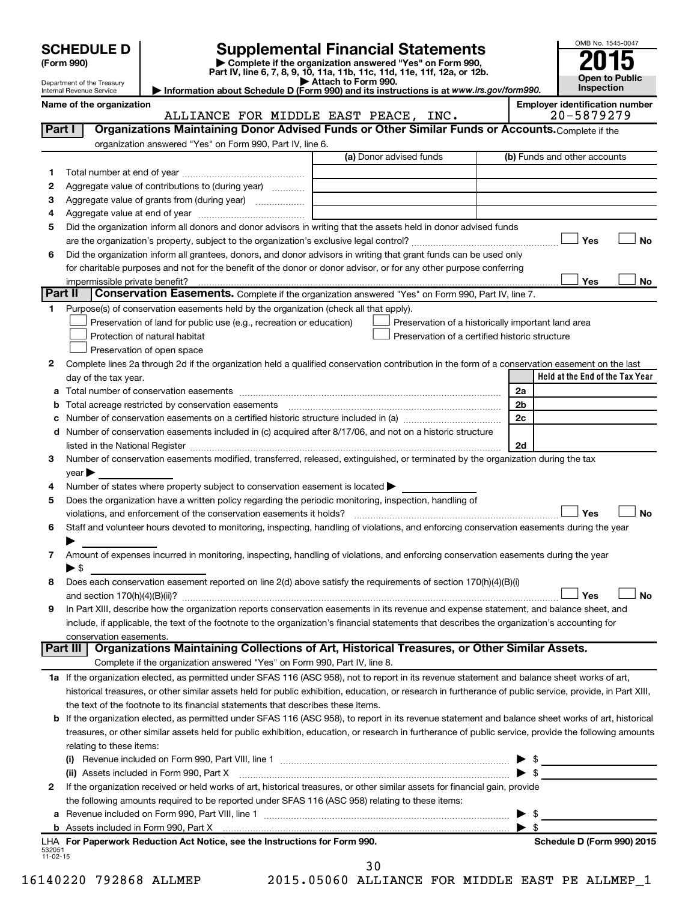| <b>SCHEDULE D</b> |  |
|-------------------|--|
|-------------------|--|

Department of the Treasury Internal Revenue Service

| (Form 990) |  |
|------------|--|
|------------|--|

# **SCHEDULE D Supplemental Financial Statements**<br> **Form 990 2015**<br> **Part IV** line 6.7.8.9.10, 11a, 11b, 11d, 11d, 11d, 11d, 11d, 12a, 0r, 12b

**(Form 990) | Complete if the organization answered "Yes" on Form 990, Part IV, line 6, 7, 8, 9, 10, 11a, 11b, 11c, 11d, 11e, 11f, 12a, or 12b.**

**| Attach to Form 990. | Information about Schedule D (Form 990) and its instructions is at**  *www.irs.gov/form990.*



Name of the organization<br>**ALLIANCE FOR MIDDLE EAST PEACE, INC.** 20-5879279

|                | ALLIANCE FOR MIDDLE EAST PEACE, INC.                                                                                                                      |                         |                                                |                                                    | 20-5879279                      |
|----------------|-----------------------------------------------------------------------------------------------------------------------------------------------------------|-------------------------|------------------------------------------------|----------------------------------------------------|---------------------------------|
| Part I         | Organizations Maintaining Donor Advised Funds or Other Similar Funds or Accounts. Complete if the                                                         |                         |                                                |                                                    |                                 |
|                | organization answered "Yes" on Form 990, Part IV, line 6.                                                                                                 |                         |                                                |                                                    |                                 |
|                |                                                                                                                                                           | (a) Donor advised funds |                                                | (b) Funds and other accounts                       |                                 |
| 1              |                                                                                                                                                           |                         |                                                |                                                    |                                 |
| 2              | Aggregate value of contributions to (during year)                                                                                                         |                         |                                                |                                                    |                                 |
| з              | Aggregate value of grants from (during year)                                                                                                              |                         |                                                |                                                    |                                 |
| 4              |                                                                                                                                                           |                         |                                                |                                                    |                                 |
| 5              | Did the organization inform all donors and donor advisors in writing that the assets held in donor advised funds                                          |                         |                                                |                                                    |                                 |
|                |                                                                                                                                                           |                         |                                                |                                                    | Yes<br>No                       |
| 6              | Did the organization inform all grantees, donors, and donor advisors in writing that grant funds can be used only                                         |                         |                                                |                                                    |                                 |
|                | for charitable purposes and not for the benefit of the donor or donor advisor, or for any other purpose conferring                                        |                         |                                                |                                                    |                                 |
|                | impermissible private benefit?                                                                                                                            |                         |                                                |                                                    | Yes<br>No                       |
| <b>Part II</b> | Conservation Easements. Complete if the organization answered "Yes" on Form 990, Part IV, line 7.                                                         |                         |                                                |                                                    |                                 |
| 1              | Purpose(s) of conservation easements held by the organization (check all that apply).                                                                     |                         |                                                |                                                    |                                 |
|                | Preservation of land for public use (e.g., recreation or education)                                                                                       |                         |                                                | Preservation of a historically important land area |                                 |
|                | Protection of natural habitat                                                                                                                             |                         | Preservation of a certified historic structure |                                                    |                                 |
|                | Preservation of open space                                                                                                                                |                         |                                                |                                                    |                                 |
| 2              | Complete lines 2a through 2d if the organization held a qualified conservation contribution in the form of a conservation easement on the last            |                         |                                                |                                                    |                                 |
|                | day of the tax year.                                                                                                                                      |                         |                                                |                                                    | Held at the End of the Tax Year |
|                |                                                                                                                                                           |                         |                                                | 2a                                                 |                                 |
|                |                                                                                                                                                           |                         |                                                | 2 <sub>b</sub>                                     |                                 |
|                |                                                                                                                                                           |                         |                                                | 2c                                                 |                                 |
|                | Number of conservation easements included in (c) acquired after 8/17/06, and not on a historic structure                                                  |                         |                                                |                                                    |                                 |
|                |                                                                                                                                                           |                         |                                                | 2d                                                 |                                 |
| З              | Number of conservation easements modified, transferred, released, extinguished, or terminated by the organization during the tax                          |                         |                                                |                                                    |                                 |
|                | vear                                                                                                                                                      |                         |                                                |                                                    |                                 |
| 4              | Number of states where property subject to conservation easement is located >                                                                             |                         |                                                |                                                    |                                 |
| 5              | Does the organization have a written policy regarding the periodic monitoring, inspection, handling of                                                    |                         |                                                |                                                    |                                 |
|                | violations, and enforcement of the conservation easements it holds?                                                                                       |                         |                                                |                                                    | Yes<br><b>No</b>                |
|                | Staff and volunteer hours devoted to monitoring, inspecting, handling of violations, and enforcing conservation easements during the year                 |                         |                                                |                                                    |                                 |
| 6              |                                                                                                                                                           |                         |                                                |                                                    |                                 |
|                | Amount of expenses incurred in monitoring, inspecting, handling of violations, and enforcing conservation easements during the year                       |                         |                                                |                                                    |                                 |
| 7              | ► \$                                                                                                                                                      |                         |                                                |                                                    |                                 |
|                | Does each conservation easement reported on line 2(d) above satisfy the requirements of section 170(h)(4)(B)(i)                                           |                         |                                                |                                                    |                                 |
| 8              |                                                                                                                                                           |                         |                                                |                                                    | Yes                             |
|                |                                                                                                                                                           |                         |                                                |                                                    | No                              |
| 9              | In Part XIII, describe how the organization reports conservation easements in its revenue and expense statement, and balance sheet, and                   |                         |                                                |                                                    |                                 |
|                | include, if applicable, the text of the footnote to the organization's financial statements that describes the organization's accounting for              |                         |                                                |                                                    |                                 |
|                | conservation easements.<br>Organizations Maintaining Collections of Art, Historical Treasures, or Other Similar Assets.<br>Part III                       |                         |                                                |                                                    |                                 |
|                | Complete if the organization answered "Yes" on Form 990, Part IV, line 8.                                                                                 |                         |                                                |                                                    |                                 |
|                |                                                                                                                                                           |                         |                                                |                                                    |                                 |
|                | 1a If the organization elected, as permitted under SFAS 116 (ASC 958), not to report in its revenue statement and balance sheet works of art,             |                         |                                                |                                                    |                                 |
|                | historical treasures, or other similar assets held for public exhibition, education, or research in furtherance of public service, provide, in Part XIII, |                         |                                                |                                                    |                                 |
|                | the text of the footnote to its financial statements that describes these items.                                                                          |                         |                                                |                                                    |                                 |
| b              | If the organization elected, as permitted under SFAS 116 (ASC 958), to report in its revenue statement and balance sheet works of art, historical         |                         |                                                |                                                    |                                 |
|                | treasures, or other similar assets held for public exhibition, education, or research in furtherance of public service, provide the following amounts     |                         |                                                |                                                    |                                 |
|                | relating to these items:                                                                                                                                  |                         |                                                |                                                    |                                 |
|                |                                                                                                                                                           |                         |                                                |                                                    |                                 |
|                | (ii) Assets included in Form 990, Part X                                                                                                                  |                         |                                                | $\blacktriangleright$ \$                           |                                 |
| 2              | If the organization received or held works of art, historical treasures, or other similar assets for financial gain, provide                              |                         |                                                |                                                    |                                 |
|                | the following amounts required to be reported under SFAS 116 (ASC 958) relating to these items:                                                           |                         |                                                |                                                    |                                 |
| а              | Revenue included on Form 990, Part VIII, line 1 [2000] [2000] [2000] [2000] [3000] [3000] [3000] [3000] [3000                                             |                         |                                                | \$<br>▶                                            |                                 |
|                |                                                                                                                                                           |                         |                                                | - \$<br>▶                                          |                                 |
| 532051         | LHA For Paperwork Reduction Act Notice, see the Instructions for Form 990.                                                                                |                         |                                                |                                                    | Schedule D (Form 990) 2015      |
| 11-02-15       |                                                                                                                                                           |                         |                                                |                                                    |                                 |

30

16140220 792868 ALLMEP 2015.05060 ALLIANCE FOR MIDDLE EAST PE ALLMEP\_1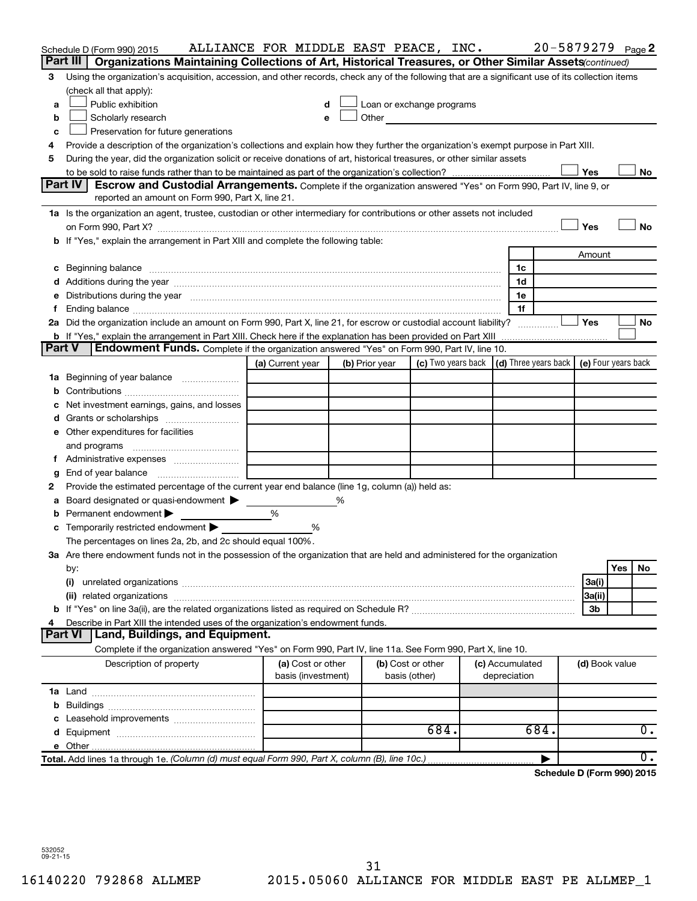|               | Schedule D (Form 990) 2015                                                                                                                                                                                                     | ALLIANCE FOR MIDDLE EAST PEACE, INC.    |   |                |                                                                                                                                                                                                                                |                                 | 20-5879279 Page 2 |                |     |    |
|---------------|--------------------------------------------------------------------------------------------------------------------------------------------------------------------------------------------------------------------------------|-----------------------------------------|---|----------------|--------------------------------------------------------------------------------------------------------------------------------------------------------------------------------------------------------------------------------|---------------------------------|-------------------|----------------|-----|----|
|               | Part III<br>Organizations Maintaining Collections of Art, Historical Treasures, or Other Similar Assets (continued)                                                                                                            |                                         |   |                |                                                                                                                                                                                                                                |                                 |                   |                |     |    |
| 3             | Using the organization's acquisition, accession, and other records, check any of the following that are a significant use of its collection items<br>(check all that apply):                                                   |                                         |   |                |                                                                                                                                                                                                                                |                                 |                   |                |     |    |
| a             | Public exhibition                                                                                                                                                                                                              | d                                       |   |                | Loan or exchange programs                                                                                                                                                                                                      |                                 |                   |                |     |    |
| b             | Scholarly research                                                                                                                                                                                                             | e                                       |   |                | Other and the control of the control of the control of the control of the control of the control of the control of the control of the control of the control of the control of the control of the control of the control of th |                                 |                   |                |     |    |
| c             | Preservation for future generations                                                                                                                                                                                            |                                         |   |                |                                                                                                                                                                                                                                |                                 |                   |                |     |    |
| 4             | Provide a description of the organization's collections and explain how they further the organization's exempt purpose in Part XIII.                                                                                           |                                         |   |                |                                                                                                                                                                                                                                |                                 |                   |                |     |    |
| 5             | During the year, did the organization solicit or receive donations of art, historical treasures, or other similar assets                                                                                                       |                                         |   |                |                                                                                                                                                                                                                                |                                 |                   |                |     |    |
|               |                                                                                                                                                                                                                                |                                         |   |                |                                                                                                                                                                                                                                |                                 |                   | Yes            |     | No |
|               | Part IV<br><b>Escrow and Custodial Arrangements.</b> Complete if the organization answered "Yes" on Form 990, Part IV, line 9, or                                                                                              |                                         |   |                |                                                                                                                                                                                                                                |                                 |                   |                |     |    |
|               | reported an amount on Form 990, Part X, line 21.                                                                                                                                                                               |                                         |   |                |                                                                                                                                                                                                                                |                                 |                   |                |     |    |
|               | 1a Is the organization an agent, trustee, custodian or other intermediary for contributions or other assets not included                                                                                                       |                                         |   |                |                                                                                                                                                                                                                                |                                 |                   |                |     |    |
|               |                                                                                                                                                                                                                                |                                         |   |                |                                                                                                                                                                                                                                |                                 |                   | Yes            |     | No |
|               | b If "Yes," explain the arrangement in Part XIII and complete the following table:                                                                                                                                             |                                         |   |                |                                                                                                                                                                                                                                |                                 |                   |                |     |    |
|               |                                                                                                                                                                                                                                |                                         |   |                |                                                                                                                                                                                                                                |                                 |                   | Amount         |     |    |
|               | c Beginning balance measurements and the state of the state of the state of the state of the state of the state of the state of the state of the state of the state of the state of the state of the state of the state of the |                                         |   |                |                                                                                                                                                                                                                                | 1c                              |                   |                |     |    |
|               |                                                                                                                                                                                                                                |                                         |   |                |                                                                                                                                                                                                                                | 1d                              |                   |                |     |    |
|               | e Distributions during the year manufactured and continuum control of the control of the control of the state of the control of the control of the control of the control of the control of the control of the control of the  |                                         |   |                |                                                                                                                                                                                                                                | 1e                              |                   |                |     |    |
| Ť.            |                                                                                                                                                                                                                                |                                         |   |                |                                                                                                                                                                                                                                | 1f                              |                   |                |     |    |
|               | 2a Did the organization include an amount on Form 990, Part X, line 21, for escrow or custodial account liability?                                                                                                             |                                         |   |                |                                                                                                                                                                                                                                |                                 |                   | Yes            |     | No |
| <b>Part V</b> | b If "Yes," explain the arrangement in Part XIII. Check here if the explanation has been provided on Part XIII<br><b>Endowment Funds.</b> Complete if the organization answered "Yes" on Form 990, Part IV, line 10.           |                                         |   |                |                                                                                                                                                                                                                                |                                 |                   |                |     |    |
|               |                                                                                                                                                                                                                                | (a) Current year                        |   | (b) Prior year | (c) Two years back $\vert$ (d) Three years back $\vert$ (e) Four years back                                                                                                                                                    |                                 |                   |                |     |    |
|               | 1a Beginning of year balance                                                                                                                                                                                                   |                                         |   |                |                                                                                                                                                                                                                                |                                 |                   |                |     |    |
|               |                                                                                                                                                                                                                                |                                         |   |                |                                                                                                                                                                                                                                |                                 |                   |                |     |    |
|               | c Net investment earnings, gains, and losses                                                                                                                                                                                   |                                         |   |                |                                                                                                                                                                                                                                |                                 |                   |                |     |    |
|               |                                                                                                                                                                                                                                |                                         |   |                |                                                                                                                                                                                                                                |                                 |                   |                |     |    |
|               | e Other expenditures for facilities                                                                                                                                                                                            |                                         |   |                |                                                                                                                                                                                                                                |                                 |                   |                |     |    |
|               | and programs                                                                                                                                                                                                                   |                                         |   |                |                                                                                                                                                                                                                                |                                 |                   |                |     |    |
|               |                                                                                                                                                                                                                                |                                         |   |                |                                                                                                                                                                                                                                |                                 |                   |                |     |    |
| g             |                                                                                                                                                                                                                                |                                         |   |                |                                                                                                                                                                                                                                |                                 |                   |                |     |    |
| 2             | Provide the estimated percentage of the current year end balance (line 1g, column (a)) held as:                                                                                                                                |                                         |   |                |                                                                                                                                                                                                                                |                                 |                   |                |     |    |
|               | a Board designated or quasi-endowment >                                                                                                                                                                                        |                                         | % |                |                                                                                                                                                                                                                                |                                 |                   |                |     |    |
|               | <b>b</b> Permanent endowment $\blacktriangleright$                                                                                                                                                                             | %                                       |   |                |                                                                                                                                                                                                                                |                                 |                   |                |     |    |
|               | <b>c</b> Temporarily restricted endowment $\blacktriangleright$                                                                                                                                                                | %                                       |   |                |                                                                                                                                                                                                                                |                                 |                   |                |     |    |
|               | The percentages on lines 2a, 2b, and 2c should equal 100%.                                                                                                                                                                     |                                         |   |                |                                                                                                                                                                                                                                |                                 |                   |                |     |    |
|               | 3a Are there endowment funds not in the possession of the organization that are held and administered for the organization                                                                                                     |                                         |   |                |                                                                                                                                                                                                                                |                                 |                   |                |     |    |
|               | by:                                                                                                                                                                                                                            |                                         |   |                |                                                                                                                                                                                                                                |                                 |                   |                | Yes | No |
|               | (i)                                                                                                                                                                                                                            |                                         |   |                |                                                                                                                                                                                                                                |                                 |                   | 3a(i)          |     |    |
|               |                                                                                                                                                                                                                                |                                         |   |                |                                                                                                                                                                                                                                |                                 |                   | 3a(ii)         |     |    |
|               |                                                                                                                                                                                                                                |                                         |   |                |                                                                                                                                                                                                                                |                                 |                   | 3b             |     |    |
| 4             | Describe in Part XIII the intended uses of the organization's endowment funds.                                                                                                                                                 |                                         |   |                |                                                                                                                                                                                                                                |                                 |                   |                |     |    |
|               | <b>Land, Buildings, and Equipment.</b><br>Part VI                                                                                                                                                                              |                                         |   |                |                                                                                                                                                                                                                                |                                 |                   |                |     |    |
|               | Complete if the organization answered "Yes" on Form 990, Part IV, line 11a. See Form 990, Part X, line 10.                                                                                                                     |                                         |   |                |                                                                                                                                                                                                                                |                                 |                   |                |     |    |
|               | Description of property                                                                                                                                                                                                        | (a) Cost or other<br>basis (investment) |   |                | (b) Cost or other<br>basis (other)                                                                                                                                                                                             | (c) Accumulated<br>depreciation |                   | (d) Book value |     |    |
|               |                                                                                                                                                                                                                                |                                         |   |                |                                                                                                                                                                                                                                |                                 |                   |                |     |    |
|               |                                                                                                                                                                                                                                |                                         |   |                |                                                                                                                                                                                                                                |                                 |                   |                |     |    |
|               |                                                                                                                                                                                                                                |                                         |   |                |                                                                                                                                                                                                                                |                                 |                   |                |     |    |
|               |                                                                                                                                                                                                                                |                                         |   |                | 684.                                                                                                                                                                                                                           |                                 | 684.              |                |     | 0. |
|               |                                                                                                                                                                                                                                |                                         |   |                |                                                                                                                                                                                                                                |                                 |                   |                |     |    |
|               | Total. Add lines 1a through 1e. (Column (d) must equal Form 990, Part X, column (B), line 10c.)                                                                                                                                |                                         |   |                |                                                                                                                                                                                                                                |                                 |                   |                |     | 0. |

**Schedule D (Form 990) 2015**

532052 09-21-15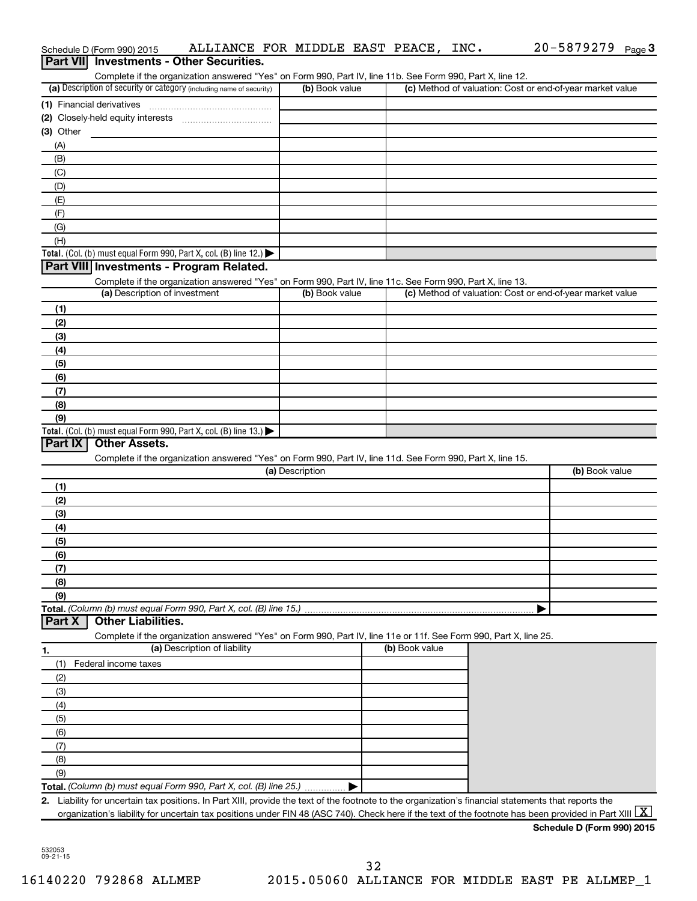|           | Part VII Investments - Other Securities.                                                                                                                                                                                   |                 |                |                                                           |
|-----------|----------------------------------------------------------------------------------------------------------------------------------------------------------------------------------------------------------------------------|-----------------|----------------|-----------------------------------------------------------|
|           | Complete if the organization answered "Yes" on Form 990, Part IV, line 11b. See Form 990, Part X, line 12.<br>(a) Description of security or category (including name of security)                                         | (b) Book value  |                | (c) Method of valuation: Cost or end-of-year market value |
|           | (1) Financial derivatives                                                                                                                                                                                                  |                 |                |                                                           |
|           |                                                                                                                                                                                                                            |                 |                |                                                           |
| (3) Other |                                                                                                                                                                                                                            |                 |                |                                                           |
| (A)       |                                                                                                                                                                                                                            |                 |                |                                                           |
| (B)       |                                                                                                                                                                                                                            |                 |                |                                                           |
| (C)       |                                                                                                                                                                                                                            |                 |                |                                                           |
| (D)       |                                                                                                                                                                                                                            |                 |                |                                                           |
| (E)       |                                                                                                                                                                                                                            |                 |                |                                                           |
| (F)       |                                                                                                                                                                                                                            |                 |                |                                                           |
| (G)       |                                                                                                                                                                                                                            |                 |                |                                                           |
| (H)       |                                                                                                                                                                                                                            |                 |                |                                                           |
|           | Total. (Col. (b) must equal Form 990, Part X, col. (B) line 12.)<br>Part VIII Investments - Program Related.                                                                                                               |                 |                |                                                           |
|           | Complete if the organization answered "Yes" on Form 990, Part IV, line 11c. See Form 990, Part X, line 13.                                                                                                                 |                 |                |                                                           |
|           | (a) Description of investment                                                                                                                                                                                              | (b) Book value  |                | (c) Method of valuation: Cost or end-of-year market value |
| (1)       |                                                                                                                                                                                                                            |                 |                |                                                           |
| (2)       |                                                                                                                                                                                                                            |                 |                |                                                           |
| (3)       |                                                                                                                                                                                                                            |                 |                |                                                           |
| (4)       |                                                                                                                                                                                                                            |                 |                |                                                           |
| (5)       |                                                                                                                                                                                                                            |                 |                |                                                           |
| (6)       |                                                                                                                                                                                                                            |                 |                |                                                           |
| (7)       |                                                                                                                                                                                                                            |                 |                |                                                           |
| (8)       |                                                                                                                                                                                                                            |                 |                |                                                           |
| (9)       |                                                                                                                                                                                                                            |                 |                |                                                           |
| Part IX   | Total. (Col. (b) must equal Form 990, Part X, col. (B) line 13.) $\blacktriangleright$<br><b>Other Assets.</b>                                                                                                             |                 |                |                                                           |
|           |                                                                                                                                                                                                                            |                 |                |                                                           |
|           | Complete if the organization answered "Yes" on Form 990, Part IV, line 11d. See Form 990, Part X, line 15.                                                                                                                 | (a) Description |                | (b) Book value                                            |
| (1)       |                                                                                                                                                                                                                            |                 |                |                                                           |
| (2)       |                                                                                                                                                                                                                            |                 |                |                                                           |
| (3)       |                                                                                                                                                                                                                            |                 |                |                                                           |
| (4)       |                                                                                                                                                                                                                            |                 |                |                                                           |
| (5)       |                                                                                                                                                                                                                            |                 |                |                                                           |
| (6)       |                                                                                                                                                                                                                            |                 |                |                                                           |
| (7)       |                                                                                                                                                                                                                            |                 |                |                                                           |
| (8)       |                                                                                                                                                                                                                            |                 |                |                                                           |
| (9)       |                                                                                                                                                                                                                            |                 |                |                                                           |
|           | Total. (Column (b) must equal Form 990, Part X, col. (B) line 15.)                                                                                                                                                         |                 |                |                                                           |
| Part X    | <b>Other Liabilities.</b>                                                                                                                                                                                                  |                 |                |                                                           |
|           | Complete if the organization answered "Yes" on Form 990, Part IV, line 11e or 11f. See Form 990, Part X, line 25.                                                                                                          |                 |                |                                                           |
| 1.        | (a) Description of liability                                                                                                                                                                                               |                 | (b) Book value |                                                           |
| (1)       | Federal income taxes                                                                                                                                                                                                       |                 |                |                                                           |
| (2)       |                                                                                                                                                                                                                            |                 |                |                                                           |
|           |                                                                                                                                                                                                                            |                 |                |                                                           |
| (3)       |                                                                                                                                                                                                                            |                 |                |                                                           |
| (4)       |                                                                                                                                                                                                                            |                 |                |                                                           |
| (5)       |                                                                                                                                                                                                                            |                 |                |                                                           |
| (6)       |                                                                                                                                                                                                                            |                 |                |                                                           |
| (7)       |                                                                                                                                                                                                                            |                 |                |                                                           |
| (8)       |                                                                                                                                                                                                                            |                 |                |                                                           |
| (9)       |                                                                                                                                                                                                                            |                 |                |                                                           |
|           | Total. (Column (b) must equal Form 990, Part X, col. (B) line 25.)<br>2. Liability for uncertain tax positions. In Part XIII, provide the text of the footnote to the organization's financial statements that reports the |                 |                |                                                           |
|           | organization's liability for uncertain tax positions under FIN 48 (ASC 740). Check here if the text of the footnote has been provided in Part XIII $ X $                                                                   |                 |                |                                                           |

Schedule D (Form 990) 2015  $\;$  <code>ALLIANCE FOR MIDDLE EAST PEACE, INC.</code>  $\;$   $\;$  20-5879279 <code>Page</code>

20-5879279 Page 3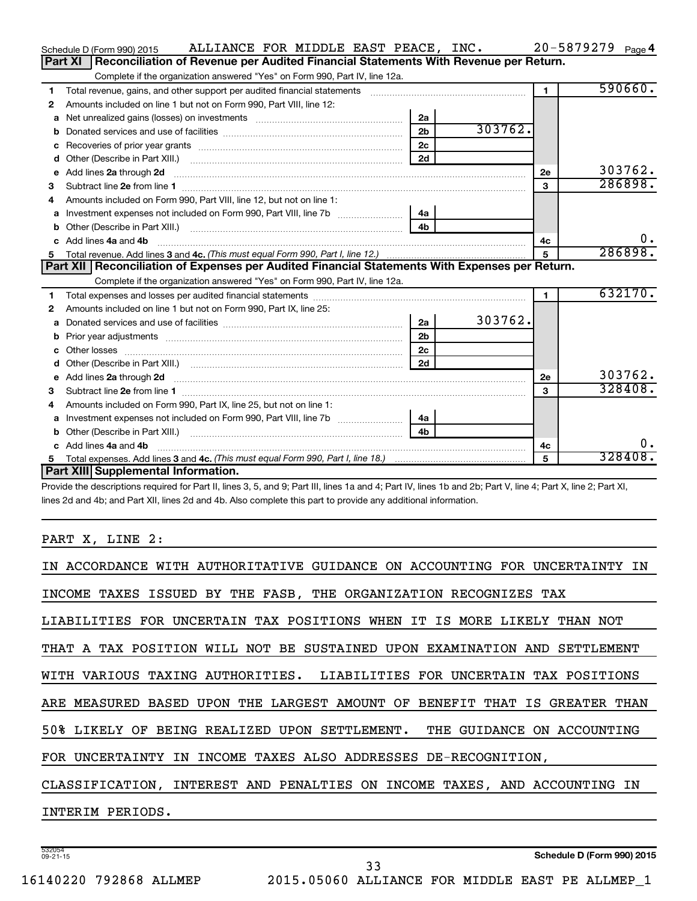|    | ALLIANCE FOR MIDDLE EAST PEACE, INC.<br>Schedule D (Form 990) 2015                                                                                                                                                                  |                |         |                | $20 - 5879279$ Page 4 |
|----|-------------------------------------------------------------------------------------------------------------------------------------------------------------------------------------------------------------------------------------|----------------|---------|----------------|-----------------------|
|    | Reconciliation of Revenue per Audited Financial Statements With Revenue per Return.<br><b>Part XI</b>                                                                                                                               |                |         |                |                       |
|    | Complete if the organization answered "Yes" on Form 990, Part IV, line 12a.                                                                                                                                                         |                |         |                |                       |
| 1  | Total revenue, gains, and other support per audited financial statements                                                                                                                                                            |                |         | $\overline{1}$ | 590660.               |
| 2  | Amounts included on line 1 but not on Form 990, Part VIII, line 12:                                                                                                                                                                 |                |         |                |                       |
| a  |                                                                                                                                                                                                                                     | 2a             |         |                |                       |
| b  |                                                                                                                                                                                                                                     | 2 <sub>b</sub> | 303762. |                |                       |
| с  |                                                                                                                                                                                                                                     | 2 <sub>c</sub> |         |                |                       |
| d  |                                                                                                                                                                                                                                     | 2d             |         |                |                       |
| e  | Add lines 2a through 2d                                                                                                                                                                                                             |                |         | 2е             | 303762.               |
| 3  |                                                                                                                                                                                                                                     |                |         | 3              | 286898.               |
| 4  | Amounts included on Form 990, Part VIII, line 12, but not on line 1:                                                                                                                                                                |                |         |                |                       |
|    | Investment expenses not included on Form 990, Part VIII, line 7b [[[[[[[[[[[[[[[[[[[[[[]]]]]]]]                                                                                                                                     | 4a             |         |                |                       |
| b  | Other (Describe in Part XIII.) (2000) (2000) (2000) (2010) (2010) (2010) (2010) (2010) (2010) (2010) (2010) (20                                                                                                                     | 4 <sub>b</sub> |         |                |                       |
| c. | Add lines 4a and 4b                                                                                                                                                                                                                 |                |         | 4с             | 0.                    |
|    |                                                                                                                                                                                                                                     |                |         |                | 286898.               |
|    |                                                                                                                                                                                                                                     |                |         |                |                       |
|    | Part XII   Reconciliation of Expenses per Audited Financial Statements With Expenses per Return.                                                                                                                                    |                |         |                |                       |
|    | Complete if the organization answered "Yes" on Form 990, Part IV, line 12a.                                                                                                                                                         |                |         |                |                       |
| 1  |                                                                                                                                                                                                                                     |                |         | $\blacksquare$ | 632170.               |
| 2  | Amounts included on line 1 but not on Form 990, Part IX, line 25:                                                                                                                                                                   |                |         |                |                       |
| a  |                                                                                                                                                                                                                                     | 2a             | 303762. |                |                       |
| b  |                                                                                                                                                                                                                                     | 2 <sub>b</sub> |         |                |                       |
| c  |                                                                                                                                                                                                                                     | 2c             |         |                |                       |
| d  |                                                                                                                                                                                                                                     | 2d             |         |                |                       |
| е  | Add lines 2a through 2d <b>contained a contained a contained a</b> contained a contact the state of the contained and contained a contact the contact of the contact of the contact of the contact of the contact of the contact of |                |         | <b>2e</b>      | 303762.               |
| З  |                                                                                                                                                                                                                                     |                |         | 3              | 328408.               |
| 4  | Amounts included on Form 990, Part IX, line 25, but not on line 1:                                                                                                                                                                  |                |         |                |                       |
| a  |                                                                                                                                                                                                                                     | 4a             |         |                |                       |
| b  |                                                                                                                                                                                                                                     | 4 <sub>b</sub> |         |                |                       |
| c. | Add lines 4a and 4b                                                                                                                                                                                                                 |                |         | 4с             | ο.                    |
|    | Part XIII Supplemental Information.                                                                                                                                                                                                 |                |         | 5              | 328408.               |

Provide the descriptions required for Part II, lines 3, 5, and 9; Part III, lines 1a and 4; Part IV, lines 1b and 2b; Part V, line 4; Part X, line 2; Part XI, lines 2d and 4b; and Part XII, lines 2d and 4b. Also complete this part to provide any additional information.

# PART X, LINE 2:

| IN ACCORDANCE WITH AUTHORITATIVE GUIDANCE ON ACCOUNTING FOR UNCERTAINTY<br>IN |  |  |  |  |  |  |  |
|-------------------------------------------------------------------------------|--|--|--|--|--|--|--|
| INCOME TAXES ISSUED BY THE FASB, THE ORGANIZATION RECOGNIZES TAX              |  |  |  |  |  |  |  |
| LIABILITIES FOR UNCERTAIN TAX POSITIONS WHEN IT IS MORE LIKELY THAN NOT       |  |  |  |  |  |  |  |
| THAT A TAX POSITION WILL NOT BE SUSTAINED UPON EXAMINATION AND SETTLEMENT     |  |  |  |  |  |  |  |
| WITH VARIOUS TAXING AUTHORITIES. LIABILITIES FOR UNCERTAIN TAX POSITIONS      |  |  |  |  |  |  |  |
| ARE MEASURED BASED UPON THE LARGEST AMOUNT OF BENEFIT THAT IS GREATER THAN    |  |  |  |  |  |  |  |
| 50% LIKELY OF BEING REALIZED UPON SETTLEMENT. THE GUIDANCE ON ACCOUNTING      |  |  |  |  |  |  |  |
| FOR UNCERTAINTY IN INCOME TAXES ALSO ADDRESSES DE-RECOGNITION,                |  |  |  |  |  |  |  |
| CLASSIFICATION, INTEREST AND PENALTIES ON INCOME TAXES, AND ACCOUNTING IN     |  |  |  |  |  |  |  |
| INTERIM PERIODS.                                                              |  |  |  |  |  |  |  |
|                                                                               |  |  |  |  |  |  |  |

33

532054 09-21-15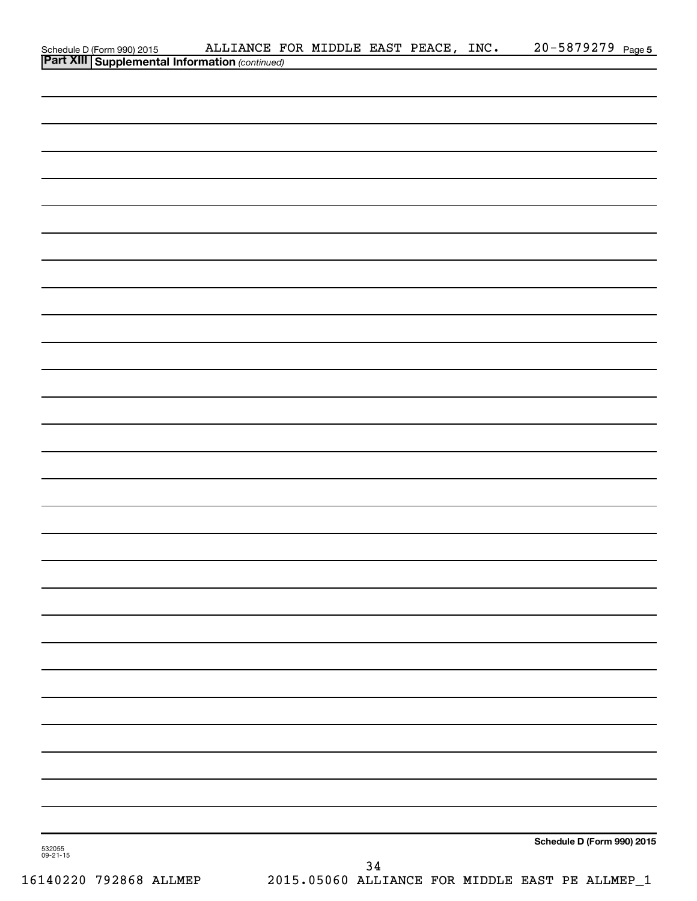|                                                                                         | ALLIANCE FOR MIDDLE EAST PEACE, INC. 20-5879279 Page 5 |    |  |                            |  |
|-----------------------------------------------------------------------------------------|--------------------------------------------------------|----|--|----------------------------|--|
| Schedule D (Form 990) 2015 ALLIANCE F<br>Part XIII Supplemental Information (continued) |                                                        |    |  |                            |  |
|                                                                                         |                                                        |    |  |                            |  |
|                                                                                         |                                                        |    |  |                            |  |
|                                                                                         |                                                        |    |  |                            |  |
|                                                                                         |                                                        |    |  |                            |  |
|                                                                                         |                                                        |    |  |                            |  |
|                                                                                         |                                                        |    |  |                            |  |
|                                                                                         |                                                        |    |  |                            |  |
|                                                                                         |                                                        |    |  |                            |  |
|                                                                                         |                                                        |    |  |                            |  |
|                                                                                         |                                                        |    |  |                            |  |
|                                                                                         |                                                        |    |  |                            |  |
|                                                                                         |                                                        |    |  |                            |  |
|                                                                                         |                                                        |    |  |                            |  |
|                                                                                         |                                                        |    |  |                            |  |
|                                                                                         |                                                        |    |  |                            |  |
|                                                                                         |                                                        |    |  |                            |  |
|                                                                                         |                                                        |    |  |                            |  |
|                                                                                         |                                                        |    |  |                            |  |
|                                                                                         |                                                        |    |  |                            |  |
|                                                                                         |                                                        |    |  |                            |  |
|                                                                                         |                                                        |    |  |                            |  |
|                                                                                         |                                                        |    |  |                            |  |
|                                                                                         |                                                        |    |  |                            |  |
|                                                                                         |                                                        |    |  |                            |  |
|                                                                                         |                                                        |    |  |                            |  |
|                                                                                         |                                                        |    |  |                            |  |
|                                                                                         |                                                        |    |  |                            |  |
|                                                                                         |                                                        |    |  |                            |  |
|                                                                                         |                                                        |    |  |                            |  |
|                                                                                         |                                                        |    |  |                            |  |
|                                                                                         |                                                        |    |  |                            |  |
|                                                                                         |                                                        |    |  |                            |  |
|                                                                                         |                                                        |    |  |                            |  |
|                                                                                         |                                                        |    |  |                            |  |
|                                                                                         |                                                        |    |  |                            |  |
|                                                                                         |                                                        |    |  |                            |  |
|                                                                                         |                                                        |    |  |                            |  |
|                                                                                         |                                                        |    |  |                            |  |
|                                                                                         |                                                        |    |  |                            |  |
|                                                                                         |                                                        |    |  |                            |  |
|                                                                                         |                                                        |    |  |                            |  |
|                                                                                         |                                                        |    |  |                            |  |
|                                                                                         |                                                        |    |  | Schedule D (Form 990) 2015 |  |
| 532055<br>09-21-15                                                                      |                                                        | 21 |  |                            |  |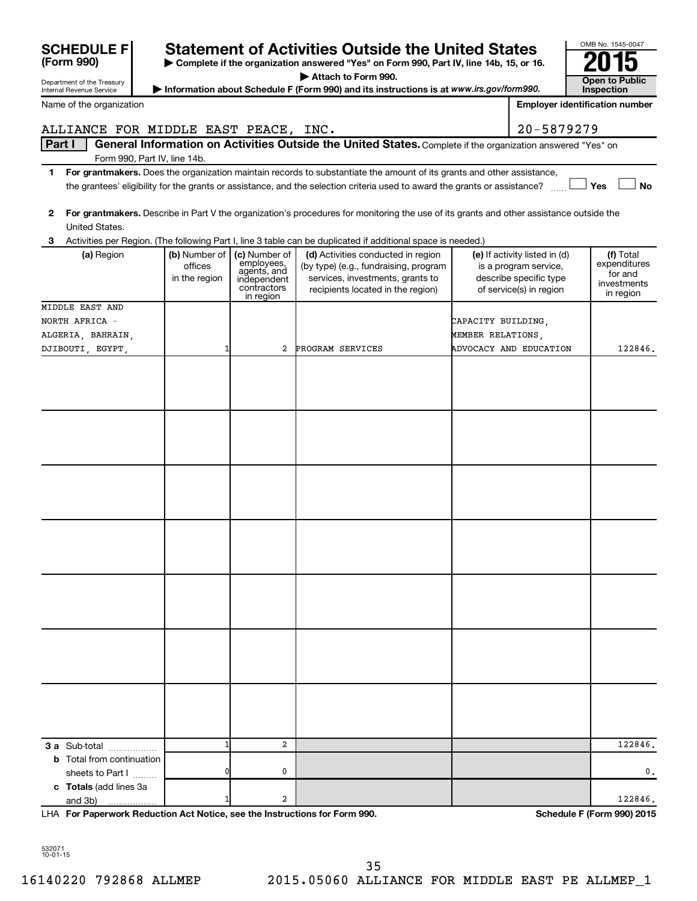| Department of the Treasury                           |                                           |                                                                                       |                                                                                                                                                      | <b>Open to Public</b>  |                                                                                                             |                                                                  |
|------------------------------------------------------|-------------------------------------------|---------------------------------------------------------------------------------------|------------------------------------------------------------------------------------------------------------------------------------------------------|------------------------|-------------------------------------------------------------------------------------------------------------|------------------------------------------------------------------|
| <b>Internal Revenue Service</b>                      |                                           |                                                                                       | Information about Schedule F (Form 990) and its instructions is at www.irs.gov/form990.                                                              |                        |                                                                                                             | <b>Inspection</b>                                                |
| Name of the organization                             |                                           |                                                                                       |                                                                                                                                                      |                        |                                                                                                             | <b>Employer identification number</b>                            |
| ALLIANCE FOR MIDDLE EAST PEACE, INC.                 |                                           |                                                                                       |                                                                                                                                                      |                        | 20-5879279                                                                                                  |                                                                  |
| Part I                                               | Form 990, Part IV, line 14b.              |                                                                                       | General Information on Activities Outside the United States. Complete if the organization answered "Yes" on                                          |                        |                                                                                                             |                                                                  |
| 1                                                    |                                           |                                                                                       | For grantmakers. Does the organization maintain records to substantiate the amount of its grants and other assistance,                               |                        |                                                                                                             |                                                                  |
|                                                      |                                           |                                                                                       | the grantees' eligibility for the grants or assistance, and the selection criteria used to award the grants or assistance?                           |                        |                                                                                                             | Yes<br><b>No</b>                                                 |
| $\mathbf{2}$<br>United States.                       |                                           |                                                                                       | For grantmakers. Describe in Part V the organization's procedures for monitoring the use of its grants and other assistance outside the              |                        |                                                                                                             |                                                                  |
| З                                                    |                                           |                                                                                       | Activities per Region. (The following Part I, line 3 table can be duplicated if additional space is needed.)                                         |                        |                                                                                                             |                                                                  |
| (a) Region                                           | (b) Number of<br>offices<br>in the region | (c) Number of<br>employees,<br>agents, and<br>independent<br>contractors<br>in region | (d) Activities conducted in region<br>(by type) (e.g., fundraising, program<br>services, investments, grants to<br>recipients located in the region) |                        | (e) If activity listed in (d)<br>is a program service,<br>describe specific type<br>of service(s) in region | (f) Total<br>expenditures<br>for and<br>investments<br>in region |
| MIDDLE EAST AND                                      |                                           |                                                                                       |                                                                                                                                                      |                        |                                                                                                             |                                                                  |
| NORTH AFRICA -                                       |                                           |                                                                                       |                                                                                                                                                      | CAPACITY BUILDING,     |                                                                                                             |                                                                  |
| ALGERIA, BAHRAIN,                                    |                                           |                                                                                       |                                                                                                                                                      | MEMBER RELATIONS,      |                                                                                                             |                                                                  |
| DJIBOUTI EGYPT                                       | 1                                         | 2                                                                                     | PROGRAM SERVICES                                                                                                                                     | ADVOCACY AND EDUCATION |                                                                                                             | 122846.                                                          |
|                                                      |                                           |                                                                                       |                                                                                                                                                      |                        |                                                                                                             |                                                                  |
|                                                      |                                           |                                                                                       |                                                                                                                                                      |                        |                                                                                                             |                                                                  |
|                                                      |                                           |                                                                                       |                                                                                                                                                      |                        |                                                                                                             |                                                                  |
|                                                      |                                           |                                                                                       |                                                                                                                                                      |                        |                                                                                                             |                                                                  |
|                                                      |                                           |                                                                                       |                                                                                                                                                      |                        |                                                                                                             |                                                                  |
|                                                      |                                           |                                                                                       |                                                                                                                                                      |                        |                                                                                                             |                                                                  |
|                                                      |                                           |                                                                                       |                                                                                                                                                      |                        |                                                                                                             |                                                                  |
| 3 a Sub-total                                        | $\mathbf{1}$                              | $\overline{a}$                                                                        |                                                                                                                                                      |                        |                                                                                                             | 122846.                                                          |
| <b>b</b> Total from continuation<br>sheets to Part I | 0                                         | 0                                                                                     |                                                                                                                                                      |                        |                                                                                                             | 0.                                                               |
| c Totals (add lines 3a<br>and 3b)                    | $\mathbf{1}$                              | $\overline{a}$                                                                        |                                                                                                                                                      |                        |                                                                                                             | 122846.                                                          |

**| Complete if the organization answered "Yes" on Form 990, Part IV, line 14b, 15, or 16.**

Statement of Activities Outside the United States<br> **Depropenting the organization answered "Yes" on Form 990, Part IV, line 14b, 15, or 16. <b>2015** 

**For Paperwork Reduction Act Notice, see the Instructions for Form 990. Schedule F (Form 990) 2015** LHA

OMB No. 1545-0047

532071 10-01-15

**SCHEDULE F**<br>(Form 990)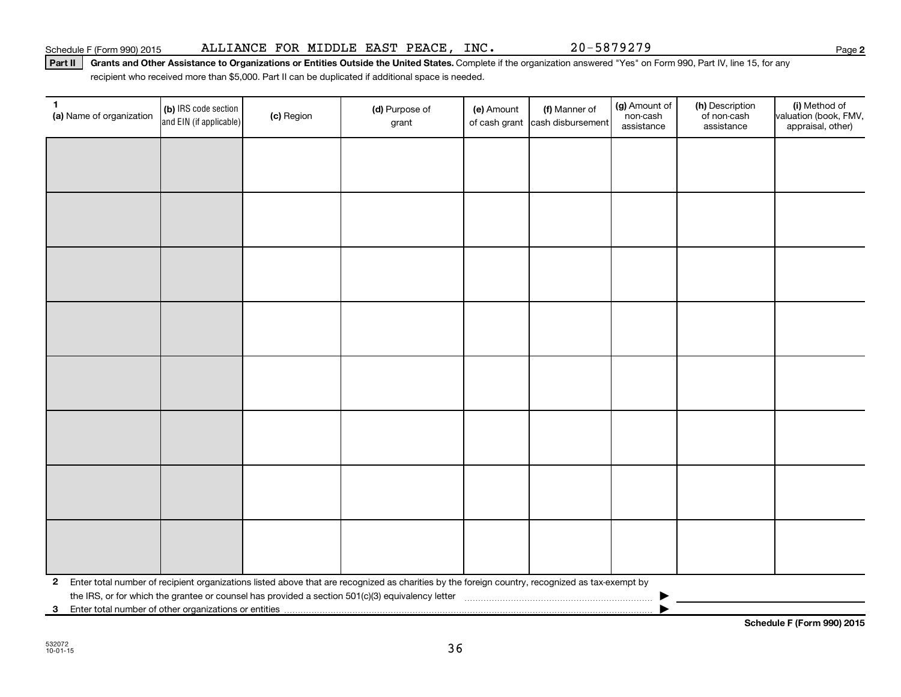Part II | Grants and Other Assistance to Organizations or Entities Outside the United States. Complete if the organization answered "Yes" on Form 990, Part IV, line 15, for any recipient who received more than \$5,000. Part II can be duplicated if additional space is needed.

| $\mathbf{1}$<br>(a) Name of organization                | (b) IRS code section<br>and EIN (if applicable) | (c) Region | (d) Purpose of<br>grant                                                                                                                         | (e) Amount | (f) Manner of<br>of cash grant cash disbursement | (g) Amount of<br>non-cash<br>assistance | (h) Description<br>of non-cash<br>assistance | (i) Method of<br>valuation (book, FMV,<br>appraisal, other) |
|---------------------------------------------------------|-------------------------------------------------|------------|-------------------------------------------------------------------------------------------------------------------------------------------------|------------|--------------------------------------------------|-----------------------------------------|----------------------------------------------|-------------------------------------------------------------|
|                                                         |                                                 |            |                                                                                                                                                 |            |                                                  |                                         |                                              |                                                             |
|                                                         |                                                 |            |                                                                                                                                                 |            |                                                  |                                         |                                              |                                                             |
|                                                         |                                                 |            |                                                                                                                                                 |            |                                                  |                                         |                                              |                                                             |
|                                                         |                                                 |            |                                                                                                                                                 |            |                                                  |                                         |                                              |                                                             |
|                                                         |                                                 |            |                                                                                                                                                 |            |                                                  |                                         |                                              |                                                             |
|                                                         |                                                 |            |                                                                                                                                                 |            |                                                  |                                         |                                              |                                                             |
|                                                         |                                                 |            |                                                                                                                                                 |            |                                                  |                                         |                                              |                                                             |
|                                                         |                                                 |            |                                                                                                                                                 |            |                                                  |                                         |                                              |                                                             |
|                                                         |                                                 |            |                                                                                                                                                 |            |                                                  |                                         |                                              |                                                             |
|                                                         |                                                 |            |                                                                                                                                                 |            |                                                  |                                         |                                              |                                                             |
|                                                         |                                                 |            |                                                                                                                                                 |            |                                                  |                                         |                                              |                                                             |
|                                                         |                                                 |            |                                                                                                                                                 |            |                                                  |                                         |                                              |                                                             |
|                                                         |                                                 |            |                                                                                                                                                 |            |                                                  |                                         |                                              |                                                             |
|                                                         |                                                 |            |                                                                                                                                                 |            |                                                  |                                         |                                              |                                                             |
|                                                         |                                                 |            |                                                                                                                                                 |            |                                                  |                                         |                                              |                                                             |
|                                                         |                                                 |            |                                                                                                                                                 |            |                                                  |                                         |                                              |                                                             |
| $\mathbf{2}$                                            |                                                 |            | Enter total number of recipient organizations listed above that are recognized as charities by the foreign country, recognized as tax-exempt by |            |                                                  |                                         |                                              |                                                             |
|                                                         |                                                 |            |                                                                                                                                                 |            |                                                  |                                         |                                              |                                                             |
| 3 Enter total number of other organizations or entities |                                                 |            |                                                                                                                                                 |            |                                                  |                                         |                                              |                                                             |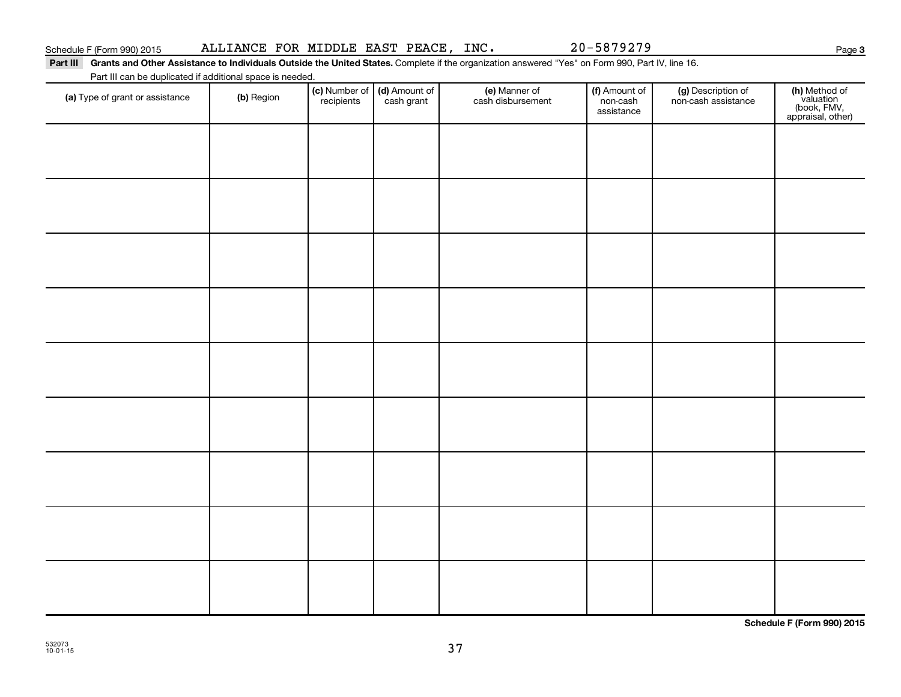Part III Grants and Other Assistance to Individuals Outside the United States. Complete if the organization answered "Yes" on Form 990, Part IV, line 16. Part III can be duplicated if additional space is needed.

| T are in carried depileated if additional space is riceded.<br>(a) Type of grant or assistance | (b) Region | (c) Number of<br>recipients | (d) Amount of<br>cash grant | (e) Manner of<br>cash disbursement | (f) Amount of<br>non-cash<br>assistance | (g) Description of<br>non-cash assistance | (h) Method of<br>valuation<br>(book, FMV,<br>appraisal, other) |
|------------------------------------------------------------------------------------------------|------------|-----------------------------|-----------------------------|------------------------------------|-----------------------------------------|-------------------------------------------|----------------------------------------------------------------|
|                                                                                                |            |                             |                             |                                    |                                         |                                           |                                                                |
|                                                                                                |            |                             |                             |                                    |                                         |                                           |                                                                |
|                                                                                                |            |                             |                             |                                    |                                         |                                           |                                                                |
|                                                                                                |            |                             |                             |                                    |                                         |                                           |                                                                |
|                                                                                                |            |                             |                             |                                    |                                         |                                           |                                                                |
|                                                                                                |            |                             |                             |                                    |                                         |                                           |                                                                |
|                                                                                                |            |                             |                             |                                    |                                         |                                           |                                                                |
|                                                                                                |            |                             |                             |                                    |                                         |                                           |                                                                |
|                                                                                                |            |                             |                             |                                    |                                         |                                           |                                                                |
|                                                                                                |            |                             |                             |                                    |                                         |                                           |                                                                |
|                                                                                                |            |                             |                             |                                    |                                         |                                           |                                                                |

**Schedule F (Form 990) 2015**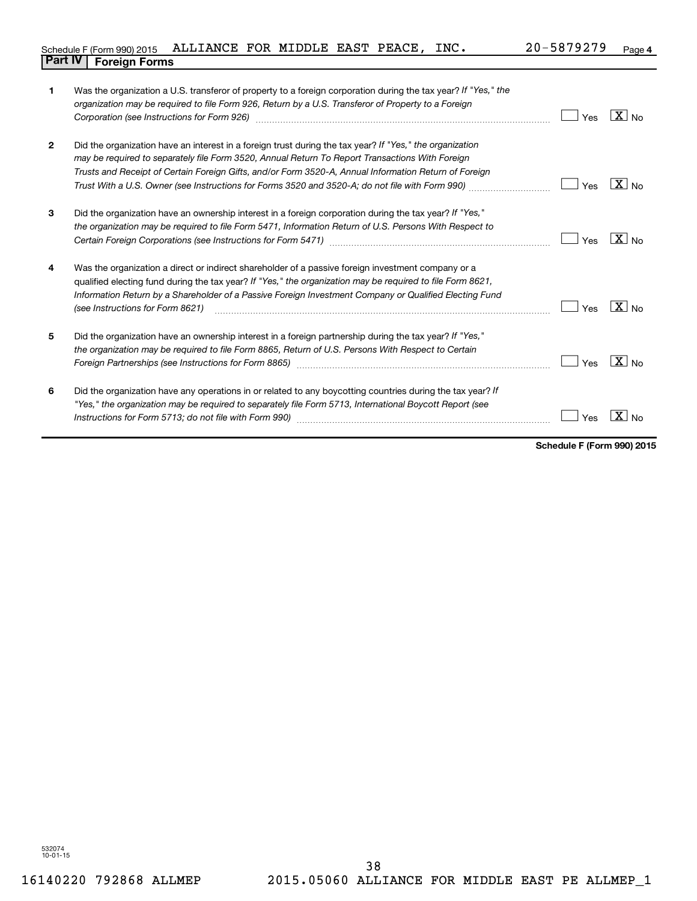| Schedule F (Form 990) 2015 ALLIANCE FOR MIDDLE EAST PEACE, |  |  | INC. | 20-5879279 | Page |
|------------------------------------------------------------|--|--|------|------------|------|
| <b>Part IV   Foreign Forms</b>                             |  |  |      |            |      |

| 1              | Was the organization a U.S. transferor of property to a foreign corporation during the tax year? If "Yes," the<br>organization may be required to file Form 926, Return by a U.S. Transferor of Property to a Foreign<br>Corporation (see Instructions for Form 926) [11] matter continuum matter of the Instruction (see Instructions for Form 926) [11] matter continuum matter of the Institution of the Institution of the Institution of the Insti | Yes | $X_{\text{No}}$       |
|----------------|---------------------------------------------------------------------------------------------------------------------------------------------------------------------------------------------------------------------------------------------------------------------------------------------------------------------------------------------------------------------------------------------------------------------------------------------------------|-----|-----------------------|
| $\overline{2}$ | Did the organization have an interest in a foreign trust during the tax year? If "Yes," the organization<br>may be required to separately file Form 3520, Annual Return To Report Transactions With Foreign<br>Trusts and Receipt of Certain Foreign Gifts, and/or Form 3520-A, Annual Information Return of Foreign<br>Trust With a U.S. Owner (see Instructions for Forms 3520 and 3520-A; do not file with Form 990) <i>managery compart</i>         | Yes | $X _{\text{No}}$      |
| 3              | Did the organization have an ownership interest in a foreign corporation during the tax year? If "Yes,"<br>the organization may be required to file Form 5471, Information Return of U.S. Persons With Respect to                                                                                                                                                                                                                                       | Yes | $X_{N0}$              |
| 4              | Was the organization a direct or indirect shareholder of a passive foreign investment company or a<br>qualified electing fund during the tax year? If "Yes," the organization may be required to file Form 8621,<br>Information Return by a Shareholder of a Passive Foreign Investment Company or Qualified Electing Fund<br>(see Instructions for Form 8621)                                                                                          | Yes | $X_{N0}$              |
| 5              | Did the organization have an ownership interest in a foreign partnership during the tax year? If "Yes,"<br>the organization may be required to file Form 8865, Return of U.S. Persons With Respect to Certain<br>Foreign Partnerships (see Instructions for Form 8865) [11, 120] Martin Martin Martin Martin Martin Martin Mart                                                                                                                         | Yes | $\boxed{\text{X}}$ No |
| 6              | Did the organization have any operations in or related to any boycotting countries during the tax year? If<br>"Yes," the organization may be required to separately file Form 5713, International Boycott Report (see                                                                                                                                                                                                                                   | Yes | $\mathbf{X}$<br>No    |

**Schedule F (Form 990) 2015**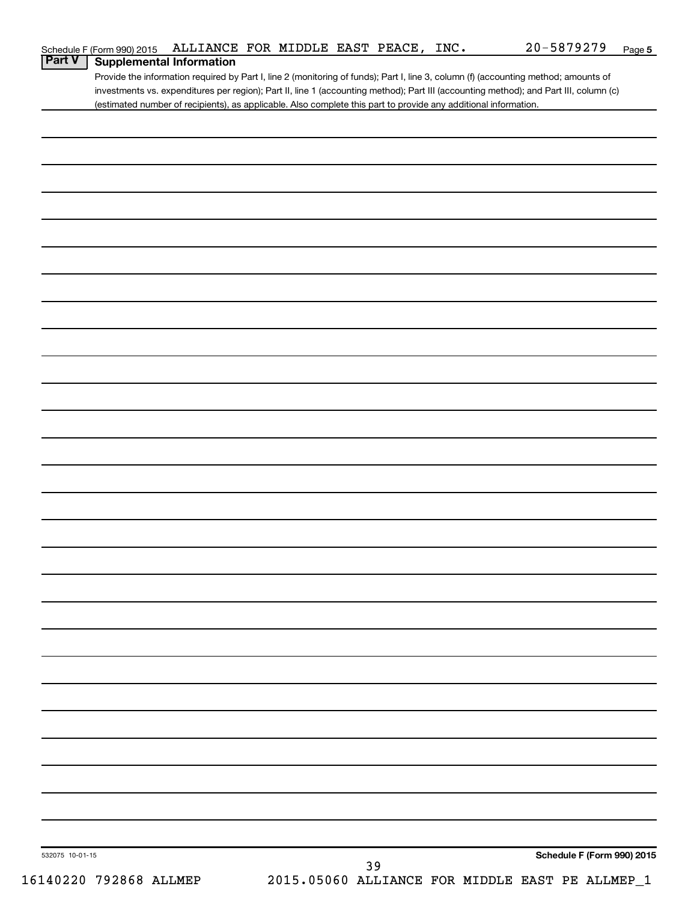| Schedule F (Form 990) 2015 | 5 ALLIANCE FOR MIDDLE EAST PEACE, |  |  | INC. | $20 - 5879279$ | Page |
|----------------------------|-----------------------------------|--|--|------|----------------|------|
|                            |                                   |  |  |      |                |      |

# **Part V** | Supplemental Information

Provide the information required by Part I, line 2 (monitoring of funds); Part I, line 3, column (f) (accounting method; amounts of investments vs. expenditures per region); Part II, line 1 (accounting method); Part III (accounting method); and Part III, column (c) (estimated number of recipients), as applicable. Also complete this part to provide any additional information.

| 532075 10-01-15 | 39 |  | Schedule F (Form 990) 2015 |
|-----------------|----|--|----------------------------|
|                 |    |  |                            |
|                 |    |  |                            |
|                 |    |  |                            |
|                 |    |  |                            |
|                 |    |  |                            |
|                 |    |  |                            |
|                 |    |  |                            |
|                 |    |  |                            |
|                 |    |  |                            |
|                 |    |  |                            |
|                 |    |  |                            |
|                 |    |  |                            |
|                 |    |  |                            |
|                 |    |  |                            |
|                 |    |  |                            |
|                 |    |  |                            |
|                 |    |  |                            |
|                 |    |  |                            |
|                 |    |  |                            |
|                 |    |  |                            |
|                 |    |  |                            |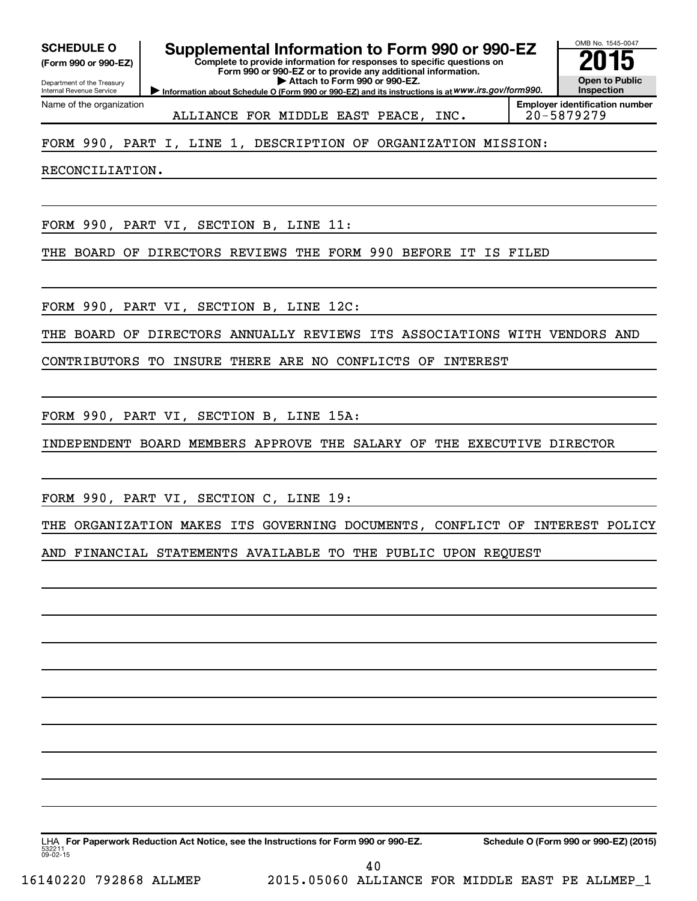**(Form 990 or 990-EZ)**

Department of the Treasury Internal Revenue Service Name of the organization

**SCHEDULE O Supplemental Information to Form 990 or 990-EZ 2015**<br>(Form 990 or 990-EZ) Complete to provide information for responses to specific questions on

**Complete to provide information for responses to specific questions on Form 990 or 990-EZ or to provide any additional information.**

**| Attach to Form 990 or 990-EZ.**

**Information about Schedule O (Form 990 or 990-EZ) and its instructions is at WWW.irs.gov/form990.** 

OMB No. 1545-0047 **Open to Public Inspection**

ALLIANCE FOR MIDDLE EAST PEACE, INC. 20-5879279

**Employer identification number**

# FORM 990, PART I, LINE 1, DESCRIPTION OF ORGANIZATION MISSION:

RECONCILIATION.

FORM 990, PART VI, SECTION B, LINE 11:

THE BOARD OF DIRECTORS REVIEWS THE FORM 990 BEFORE IT IS FILED

FORM 990, PART VI, SECTION B, LINE 12C:

THE BOARD OF DIRECTORS ANNUALLY REVIEWS ITS ASSOCIATIONS WITH VENDORS AND

CONTRIBUTORS TO INSURE THERE ARE NO CONFLICTS OF INTEREST

FORM 990, PART VI, SECTION B, LINE 15A:

INDEPENDENT BOARD MEMBERS APPROVE THE SALARY OF THE EXECUTIVE DIRECTOR

FORM 990, PART VI, SECTION C, LINE 19:

THE ORGANIZATION MAKES ITS GOVERNING DOCUMENTS, CONFLICT OF INTEREST POLICY AND FINANCIAL STATEMENTS AVAILABLE TO THE PUBLIC UPON REQUEST

53221  $09 - 02 - 15$ LHA For Paperwork Reduction Act Notice, see the Instructions for Form 990 or 990-EZ. Schedule O (Form 990 or 990-EZ) (2015) 40

16140220 792868 ALLMEP 2015.05060 ALLIANCE FOR MIDDLE EAST PE ALLMEP\_1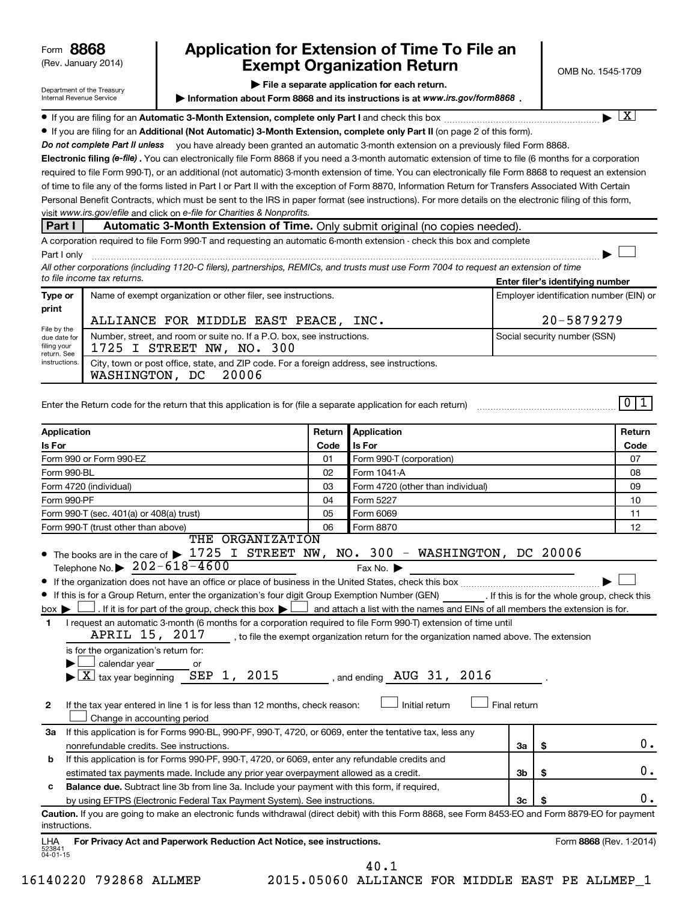| 8868<br>Form |  |
|--------------|--|
|--------------|--|

# (Rev. January 2014) **Cxempt Organization Return** Manuary 2014) **CMB No. 1545-1709 8868 Application for Extension of Time To File an**

**| File a separate application for each return.**

**Information about Form 8868 and its instructions is at www.irs.gov/form8868.** 

† X

 $\Box$ 

 $\boxed{1}$ 

| Department of the Treasury |
|----------------------------|
| Internal Revenue Service   |

| If you are filing for an Automatic 3-Month Extension, complete only Part I and check this box | . |
|-----------------------------------------------------------------------------------------------|---|
|-----------------------------------------------------------------------------------------------|---|

**• If you are filing for an Additional (Not Automatic) 3-Month Extension, complete only Part II (on page 2 of this form).** • If you are filing for an and check this box ~~~~~~~~~~~~~~~~~~~ |

Do not complete Part II unless you have already been granted an automatic 3-month extension on a previously filed Form 8868.

Electronic filing (e-file). You can electronically file Form 8868 if you need a 3-month automatic extension of time to file (6 months for a corporation visit www.irs.gov/efile and click on e-file for Charities & Nonprofits. required to file Form 990-T), or an additional (not automatic) 3-month extension of time. You can electronically file Form 8868 to request an extension of time to file any of the forms listed in Part I or Part II with the exception of Form 8870, Information Return for Transfers Associated With Certain Personal Benefit Contracts, which must be sent to the IRS in paper format (see instructions). For more details on the electronic filing of this form,

# **Part I Automatic 3-Month Extension of Time.** Only submit original (no copies needed)

A corporation required to file Form 990-T and requesting an automatic 6-month extension - check this box and complete Part I only ~~~~~~~~~~~~~~~~~~~~~~~~~~~~~~~~~~~~~~~~~~~~~~~~~~~~~~~~~~~~~~ |

**Enter filer's identifying number** *All other corporations (including 1120-C filers), partnerships, REMICs, and trusts must use Form 7004 to request an extension of time to file income tax returns.*

| Type or                                                            | Name of exempt organization or other filer, see instructions.                                       | Employer identification number (EIN) or |  |  |  |
|--------------------------------------------------------------------|-----------------------------------------------------------------------------------------------------|-----------------------------------------|--|--|--|
| print<br>File by the<br>due date for<br>filing your<br>return. See | ALLIANCE FOR MIDDLE EAST PEACE,<br>INC.                                                             | 20-5879279                              |  |  |  |
|                                                                    | Number, street, and room or suite no. If a P.O. box, see instructions.<br>1725 I STREET NW, NO. 300 | Social security number (SSN)            |  |  |  |
| instructions.                                                      | City, town or post office, state, and ZIP code. For a foreign address, see instructions.<br>.       |                                         |  |  |  |

WASHINGTON, DC 20006

| Enter the Return code for the return that this application is for (file a separate application for each return) |  |
|-----------------------------------------------------------------------------------------------------------------|--|
|                                                                                                                 |  |
|                                                                                                                 |  |
|                                                                                                                 |  |
|                                                                                                                 |  |
|                                                                                                                 |  |
|                                                                                                                 |  |

| Application                                                                                                                                                                                                                                                                                                                                                    | Return                | <b>Application</b>                |                |                         | Return |
|----------------------------------------------------------------------------------------------------------------------------------------------------------------------------------------------------------------------------------------------------------------------------------------------------------------------------------------------------------------|-----------------------|-----------------------------------|----------------|-------------------------|--------|
| Is For                                                                                                                                                                                                                                                                                                                                                         | <b>Is For</b><br>Code |                                   |                | Code                    |        |
| Form 990 or Form 990-EZ                                                                                                                                                                                                                                                                                                                                        | 01                    | Form 990-T (corporation)          |                |                         | 07     |
| Form 990-BL                                                                                                                                                                                                                                                                                                                                                    | 02                    | Form 1041-A                       |                |                         | 08     |
| Form 4720 (individual)                                                                                                                                                                                                                                                                                                                                         | 03                    | Form 4720 (other than individual) |                |                         | 09     |
| Form 990-PF                                                                                                                                                                                                                                                                                                                                                    | 04                    | Form 5227                         |                |                         | 10     |
| Form 990-T (sec. 401(a) or 408(a) trust)                                                                                                                                                                                                                                                                                                                       | 05                    | Form 6069                         |                |                         | 11     |
| Form 990-T (trust other than above)                                                                                                                                                                                                                                                                                                                            | 06                    | Form 8870                         |                |                         | 12     |
| THE ORGANIZATION<br>• The books are in the care of $\blacktriangleright$ 1725 I STREET NW, NO. 300 - WASHINGTON, DC 20006<br>Telephone No. $\triangleright$ 202-618-4600                                                                                                                                                                                       |                       | Fax No. $\blacktriangleright$     |                |                         |        |
| $\bullet$<br>If this is for a Group Return, enter the organization's four digit Group Exemption Number (GEN) [If this is for the whole group, check this<br>. If it is for part of the group, check this box $\blacktriangleright$ $\Box$ and attach a list with the names and EINs of all members the extension is for.<br>$box \blacktriangleright$          |                       |                                   |                |                         |        |
| I request an automatic 3-month (6 months for a corporation required to file Form 990-T) extension of time until<br>$\mathbf{1}$<br>APRIL 15, 2017, to file the exempt organization return for the organization named above. The extension<br>is for the organization's return for:<br>calendar year or<br>$\overline{\text{X}}$ tax year beginning SEP 1, 2015 |                       |                                   |                |                         |        |
| If the tax year entered in line 1 is for less than 12 months, check reason:<br>$\mathbf{2}$<br>Change in accounting period                                                                                                                                                                                                                                     |                       | Initial return                    | Final return   |                         |        |
| If this application is for Forms 990-BL, 990-PF, 990-T, 4720, or 6069, enter the tentative tax, less any<br>За<br>nonrefundable credits. See instructions.                                                                                                                                                                                                     |                       |                                   | За             | \$                      | О.     |
| If this application is for Forms 990-PF, 990-T, 4720, or 6069, enter any refundable credits and<br>b                                                                                                                                                                                                                                                           |                       |                                   |                |                         |        |
| estimated tax payments made. Include any prior year overpayment allowed as a credit.                                                                                                                                                                                                                                                                           |                       |                                   | 3 <sub>b</sub> | \$                      | 0.     |
| <b>Balance due.</b> Subtract line 3b from line 3a. Include your payment with this form, if required,<br>c                                                                                                                                                                                                                                                      |                       |                                   |                |                         |        |
| by using EFTPS (Electronic Federal Tax Payment System). See instructions.                                                                                                                                                                                                                                                                                      |                       |                                   | 3 <sub>c</sub> | \$                      | 0.     |
| Caution. If you are going to make an electronic funds withdrawal (direct debit) with this Form 8868, see Form 8453-EO and Form 8879-EO for payment<br>instructions.<br>For Privacy Act and Paperwork Reduction Act Notice, see instructions.<br><b>LHA</b>                                                                                                     |                       |                                   |                | Form 8868 (Rev. 1-2014) |        |

40.1

523841 04-01-15

16140220 792868 ALLMEP 2015.05060 ALLIANCE FOR MIDDLE EAST PE ALLMEP\_1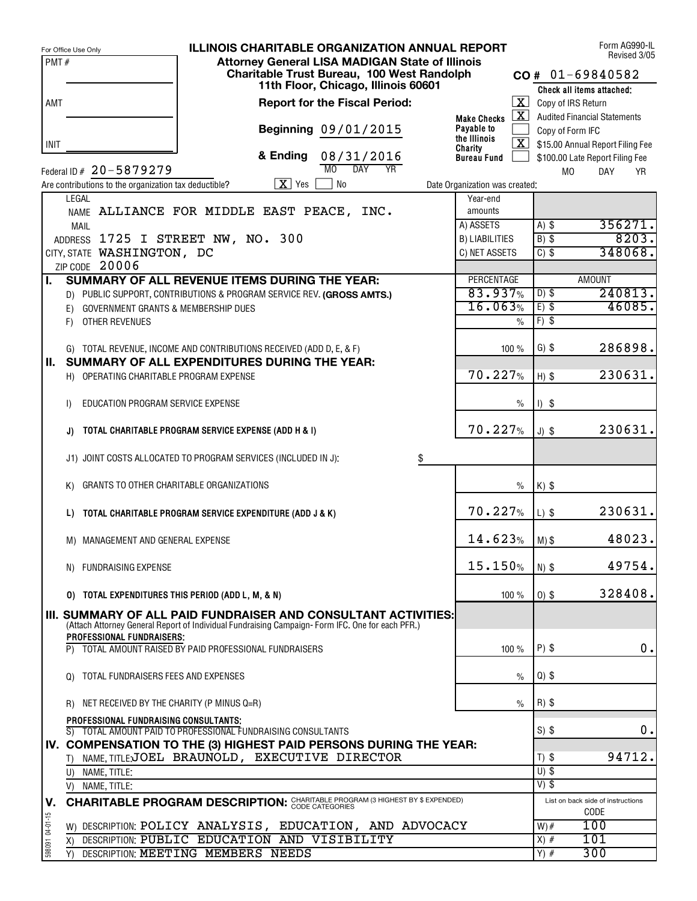|                 | <b>ILLINOIS CHARITABLE ORGANIZATION ANNUAL REPORT</b><br>For Office Use Only                                                                                      |                                |                         | Form AG990-IL<br>Revised 3/05       |       |
|-----------------|-------------------------------------------------------------------------------------------------------------------------------------------------------------------|--------------------------------|-------------------------|-------------------------------------|-------|
| PMT#            | <b>Attorney General LISA MADIGAN State of Illinois</b>                                                                                                            |                                |                         |                                     |       |
|                 | Charitable Trust Bureau, 100 West Randolph                                                                                                                        |                                |                         | $CO# 01-69840582$                   |       |
|                 | 11th Floor, Chicago, Illinois 60601                                                                                                                               |                                |                         | Check all items attached:           |       |
| AMT             | <b>Report for the Fiscal Period:</b>                                                                                                                              |                                | $\mathbf{X}$            | Copy of IRS Return                  |       |
|                 |                                                                                                                                                                   | <b>Make Checks</b>             | $\mathbf{X}$            | <b>Audited Financial Statements</b> |       |
|                 | Beginning 09/01/2015                                                                                                                                              | Payable to                     |                         | Copy of Form IFC                    |       |
| <b>INIT</b>     |                                                                                                                                                                   | the Illinois<br>Charity        | $\overline{\mathbf{X}}$ | \$15.00 Annual Report Filing Fee    |       |
|                 | & Ending<br>08/31/2016                                                                                                                                            | <b>Bureau Fund</b>             |                         | \$100.00 Late Report Filing Fee     |       |
|                 | M <sub>0</sub><br>DAY<br><b>YR</b><br>Federal ID # 20-5879279                                                                                                     |                                |                         | <b>MO</b><br><b>DAY</b>             | YR    |
|                 | $X$ Yes<br><b>No</b><br>Are contributions to the organization tax deductible?                                                                                     | Date Organization was created: |                         |                                     |       |
|                 | LEGAL                                                                                                                                                             | Year-end                       |                         |                                     |       |
|                 | NAME ALLIANCE FOR MIDDLE EAST PEACE, INC.                                                                                                                         | amounts                        |                         |                                     |       |
|                 | <b>MAIL</b>                                                                                                                                                       | A) ASSETS                      |                         | 356271.<br>$A)$ \$                  |       |
|                 | ADDRESS 1725 I STREET NW, NO. 300                                                                                                                                 | <b>B) LIABILITIES</b>          |                         | $B)$ \$                             | 8203. |
|                 | CITY, STATE WASHINGTON, DC                                                                                                                                        | C) NET ASSETS                  |                         | 348068.<br>$C)$ \$                  |       |
|                 | ZIP CODE 20006                                                                                                                                                    |                                |                         |                                     |       |
| L.              | <b>SUMMARY OF ALL REVENUE ITEMS DURING THE YEAR:</b>                                                                                                              | PERCENTAGE                     |                         | <b>AMOUNT</b>                       |       |
|                 | D) PUBLIC SUPPORT, CONTRIBUTIONS & PROGRAM SERVICE REV. (GROSS AMTS.)                                                                                             | 83.937%                        |                         | 240813.<br>$D)$ \$                  |       |
|                 | GOVERNMENT GRANTS & MEMBERSHIP DUES<br>E)                                                                                                                         | 16.063%                        |                         | 46085.<br>$E)$ \$                   |       |
|                 | OTHER REVENUES<br>F)                                                                                                                                              |                                | $\%$                    | $F)$ \$                             |       |
|                 |                                                                                                                                                                   |                                |                         |                                     |       |
|                 | G) TOTAL REVENUE, INCOME AND CONTRIBUTIONS RECEIVED (ADD D, E, & F)                                                                                               |                                | 100 %                   | 286898.<br>$G)$ \$                  |       |
| Ш.              | SUMMARY OF ALL EXPENDITURES DURING THE YEAR:                                                                                                                      |                                |                         |                                     |       |
|                 | H) OPERATING CHARITABLE PROGRAM EXPENSE                                                                                                                           | 70.227%                        |                         | 230631.<br>$H)$ \$                  |       |
|                 |                                                                                                                                                                   |                                |                         |                                     |       |
|                 | EDUCATION PROGRAM SERVICE EXPENSE<br>$\vert$                                                                                                                      |                                | $\frac{0}{0}$           | $1)$ \$                             |       |
|                 |                                                                                                                                                                   |                                |                         |                                     |       |
|                 | TOTAL CHARITABLE PROGRAM SERVICE EXPENSE (ADD H & I)<br>J)                                                                                                        | 70.227%                        |                         | 230631.<br>$J)$ \$                  |       |
|                 |                                                                                                                                                                   |                                |                         |                                     |       |
|                 | J1) JOINT COSTS ALLOCATED TO PROGRAM SERVICES (INCLUDED IN J):<br>\$                                                                                              |                                |                         |                                     |       |
|                 |                                                                                                                                                                   |                                |                         |                                     |       |
|                 | GRANTS TO OTHER CHARITABLE ORGANIZATIONS<br>K)                                                                                                                    |                                | $\%$                    | $K)$ \$                             |       |
|                 |                                                                                                                                                                   |                                |                         |                                     |       |
|                 | TOTAL CHARITABLE PROGRAM SERVICE EXPENDITURE (ADD J & K)<br>L)                                                                                                    | 70.227%                        |                         | 230631.<br>$L)$ \$                  |       |
|                 |                                                                                                                                                                   |                                |                         |                                     |       |
|                 | M) MANAGEMENT AND GENERAL EXPENSE                                                                                                                                 | 14.623%                        |                         | 48023.<br>$M)$ \$                   |       |
|                 |                                                                                                                                                                   |                                |                         |                                     |       |
|                 | N) FUNDRAISING EXPENSE                                                                                                                                            | 15.150%                        |                         | 49754.<br>$N)$ \$                   |       |
|                 |                                                                                                                                                                   |                                |                         |                                     |       |
|                 | 0) TOTAL EXPENDITURES THIS PERIOD (ADD L, M, & N)                                                                                                                 |                                | 100 %                   | 328408.<br>$0)$ \$                  |       |
|                 |                                                                                                                                                                   |                                |                         |                                     |       |
|                 | III. SUMMARY OF ALL PAID FUNDRAISER AND CONSULTANT ACTIVITIES:<br>(Attach Attorney General Report of Individual Fundraising Campaign-Form IFC. One for each PFR.) |                                |                         |                                     |       |
|                 | PROFESSIONAL FUNDRAISERS:                                                                                                                                         |                                |                         |                                     |       |
|                 | TOTAL AMOUNT RAISED BY PAID PROFESSIONAL FUNDRAISERS<br>P)                                                                                                        |                                | 100 %                   | $P)$ \$                             | 0.    |
|                 |                                                                                                                                                                   |                                |                         |                                     |       |
|                 | TOTAL FUNDRAISERS FEES AND EXPENSES<br>$\Omega$                                                                                                                   |                                | $\%$                    | $Q$ ) \$                            |       |
|                 |                                                                                                                                                                   |                                |                         |                                     |       |
|                 | R) NET RECEIVED BY THE CHARITY (P MINUS Q=R)                                                                                                                      |                                | $\%$                    | $R)$ \$                             |       |
|                 | <b>PROFESSIONAL FUNDRAISING CONSULTANTS:</b>                                                                                                                      |                                |                         |                                     |       |
|                 | S) TOTAL AMOUNT PAID TO PROFESSIONAL FUNDRAISING CONSULTANTS                                                                                                      |                                |                         | $S)$ \$                             | 0.    |
|                 | IV. COMPENSATION TO THE (3) HIGHEST PAID PERSONS DURING THE YEAR:                                                                                                 |                                |                         |                                     |       |
|                 | T) NAME, TITLE;JOEL BRAUNOLD, EXECUTIVE DIRECTOR                                                                                                                  |                                |                         | 94712.<br>$T)$ \$                   |       |
|                 | U) NAME, TITLE:                                                                                                                                                   |                                |                         | $U)$ \$                             |       |
|                 | V) NAME, TITLE:                                                                                                                                                   |                                |                         | $V)$ \$                             |       |
| V.              | <b>CHARITABLE PROGRAM DESCRIPTION: CHARITABLE PROGRAM (3 HIGHEST BY \$ EXPENDED)</b>                                                                              |                                |                         | List on back side of instructions   |       |
|                 |                                                                                                                                                                   |                                |                         | CODE                                |       |
| 598091 04-01-15 | W) DESCRIPTION: POLICY ANALYSIS, EDUCATION, AND ADVOCACY                                                                                                          |                                |                         | 100<br>$W)$ #                       |       |
|                 | DESCRIPTION: PUBLIC EDUCATION AND VISIBILITY<br>X)                                                                                                                |                                |                         | 101<br>$X)$ #                       |       |
|                 | DESCRIPTION: MEETING MEMBERS NEEDS<br>Y)                                                                                                                          |                                |                         | 300<br>$Y)$ #                       |       |